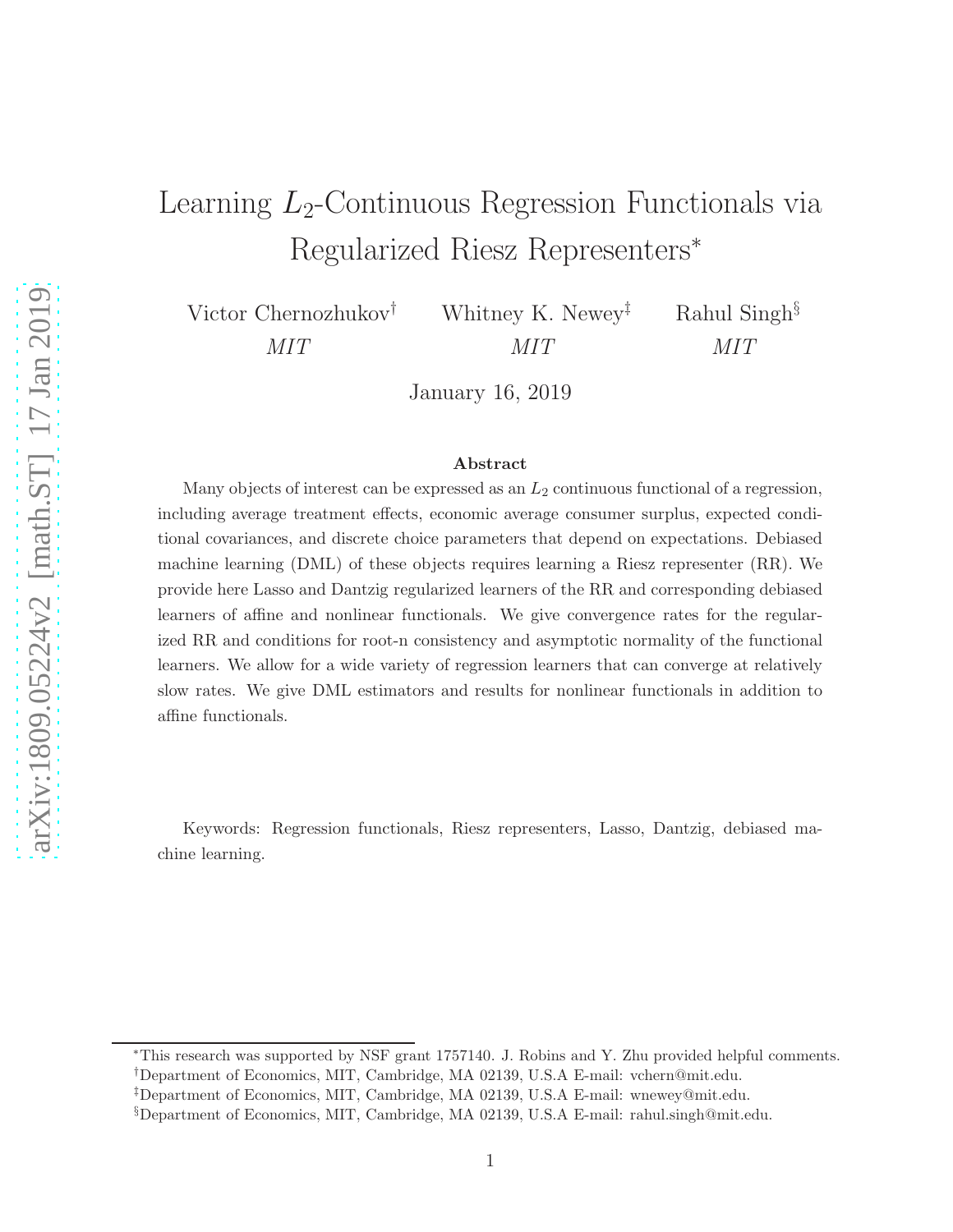# Learning  $L_2$ -Continuous Regression Functionals via Regularized Riesz Representers<sup>∗</sup>

Victor Chernozhukov† MIT

Whitney K. Newey‡ MIT Rahul Singh§ MIT

January 16, 2019

#### Abstract

Many objects of interest can be expressed as an  $L_2$  continuous functional of a regression, including average treatment effects, economic average consumer surplus, expected conditional covariances, and discrete choice parameters that depend on expectations. Debiased machine learning (DML) of these objects requires learning a Riesz representer (RR). We provide here Lasso and Dantzig regularized learners of the RR and corresponding debiased learners of affine and nonlinear functionals. We give convergence rates for the regularized RR and conditions for root-n consistency and asymptotic normality of the functional learners. We allow for a wide variety of regression learners that can converge at relatively slow rates. We give DML estimators and results for nonlinear functionals in addition to affine functionals.

Keywords: Regression functionals, Riesz representers, Lasso, Dantzig, debiased machine learning.

<sup>∗</sup>This research was supported by NSF grant 1757140. J. Robins and Y. Zhu provided helpful comments. †Department of Economics, MIT, Cambridge, MA 02139, U.S.A E-mail: vchern@mit.edu.

<sup>‡</sup>Department of Economics, MIT, Cambridge, MA 02139, U.S.A E-mail: wnewey@mit.edu.

<sup>§</sup>Department of Economics, MIT, Cambridge, MA 02139, U.S.A E-mail: rahul.singh@mit.edu.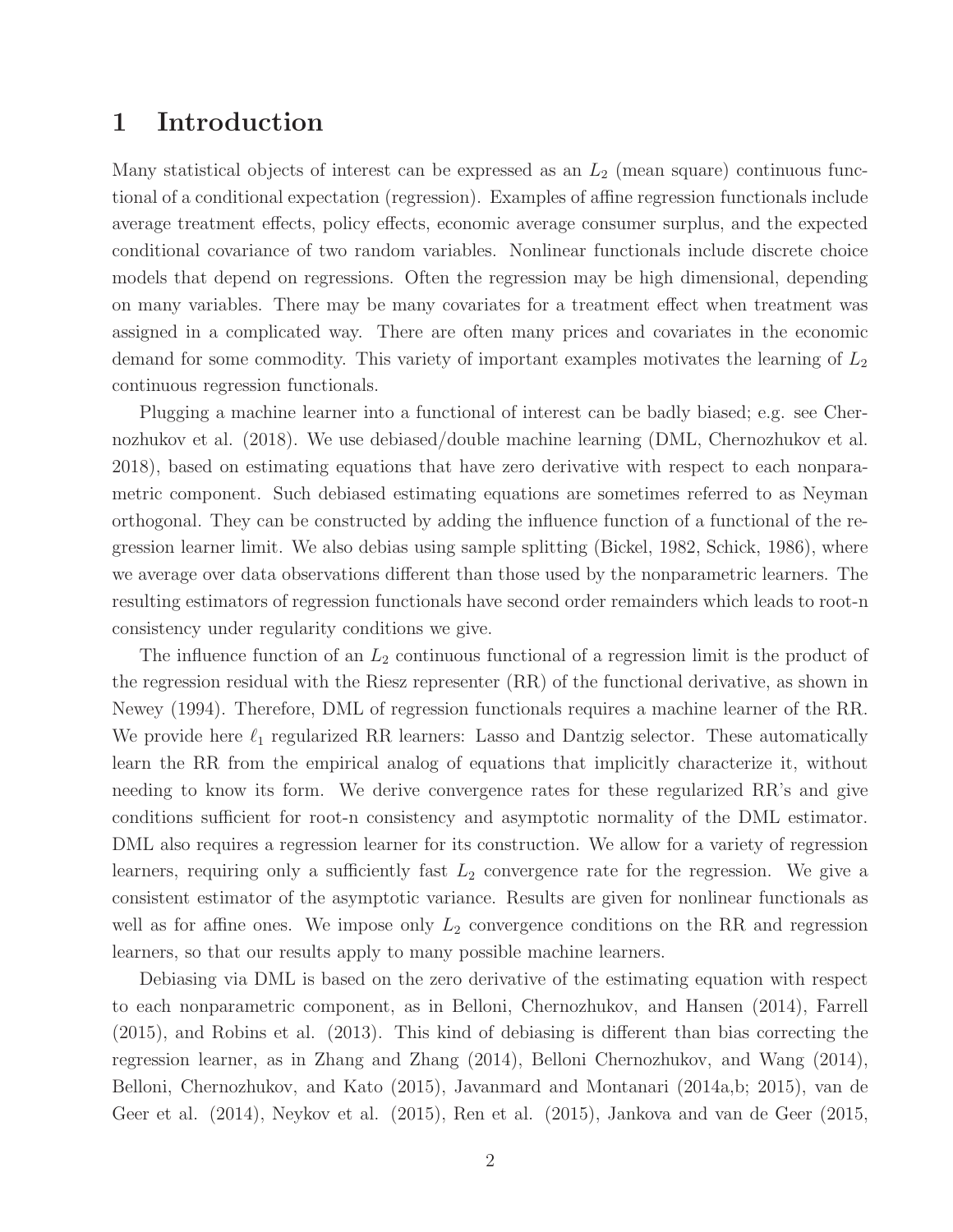## 1 Introduction

Many statistical objects of interest can be expressed as an  $L_2$  (mean square) continuous functional of a conditional expectation (regression). Examples of affine regression functionals include average treatment effects, policy effects, economic average consumer surplus, and the expected conditional covariance of two random variables. Nonlinear functionals include discrete choice models that depend on regressions. Often the regression may be high dimensional, depending on many variables. There may be many covariates for a treatment effect when treatment was assigned in a complicated way. There are often many prices and covariates in the economic demand for some commodity. This variety of important examples motivates the learning of  $L_2$ continuous regression functionals.

Plugging a machine learner into a functional of interest can be badly biased; e.g. see Chernozhukov et al. (2018). We use debiased/double machine learning (DML, Chernozhukov et al. 2018), based on estimating equations that have zero derivative with respect to each nonparametric component. Such debiased estimating equations are sometimes referred to as Neyman orthogonal. They can be constructed by adding the influence function of a functional of the regression learner limit. We also debias using sample splitting (Bickel, 1982, Schick, 1986), where we average over data observations different than those used by the nonparametric learners. The resulting estimators of regression functionals have second order remainders which leads to root-n consistency under regularity conditions we give.

The influence function of an  $L_2$  continuous functional of a regression limit is the product of the regression residual with the Riesz representer (RR) of the functional derivative, as shown in Newey (1994). Therefore, DML of regression functionals requires a machine learner of the RR. We provide here  $\ell_1$  regularized RR learners: Lasso and Dantzig selector. These automatically learn the RR from the empirical analog of equations that implicitly characterize it, without needing to know its form. We derive convergence rates for these regularized RR's and give conditions sufficient for root-n consistency and asymptotic normality of the DML estimator. DML also requires a regression learner for its construction. We allow for a variety of regression learners, requiring only a sufficiently fast  $L_2$  convergence rate for the regression. We give a consistent estimator of the asymptotic variance. Results are given for nonlinear functionals as well as for affine ones. We impose only  $L_2$  convergence conditions on the RR and regression learners, so that our results apply to many possible machine learners.

Debiasing via DML is based on the zero derivative of the estimating equation with respect to each nonparametric component, as in Belloni, Chernozhukov, and Hansen (2014), Farrell (2015), and Robins et al. (2013). This kind of debiasing is different than bias correcting the regression learner, as in Zhang and Zhang (2014), Belloni Chernozhukov, and Wang (2014), Belloni, Chernozhukov, and Kato (2015), Javanmard and Montanari (2014a,b; 2015), van de Geer et al. (2014), Neykov et al. (2015), Ren et al. (2015), Jankova and van de Geer (2015,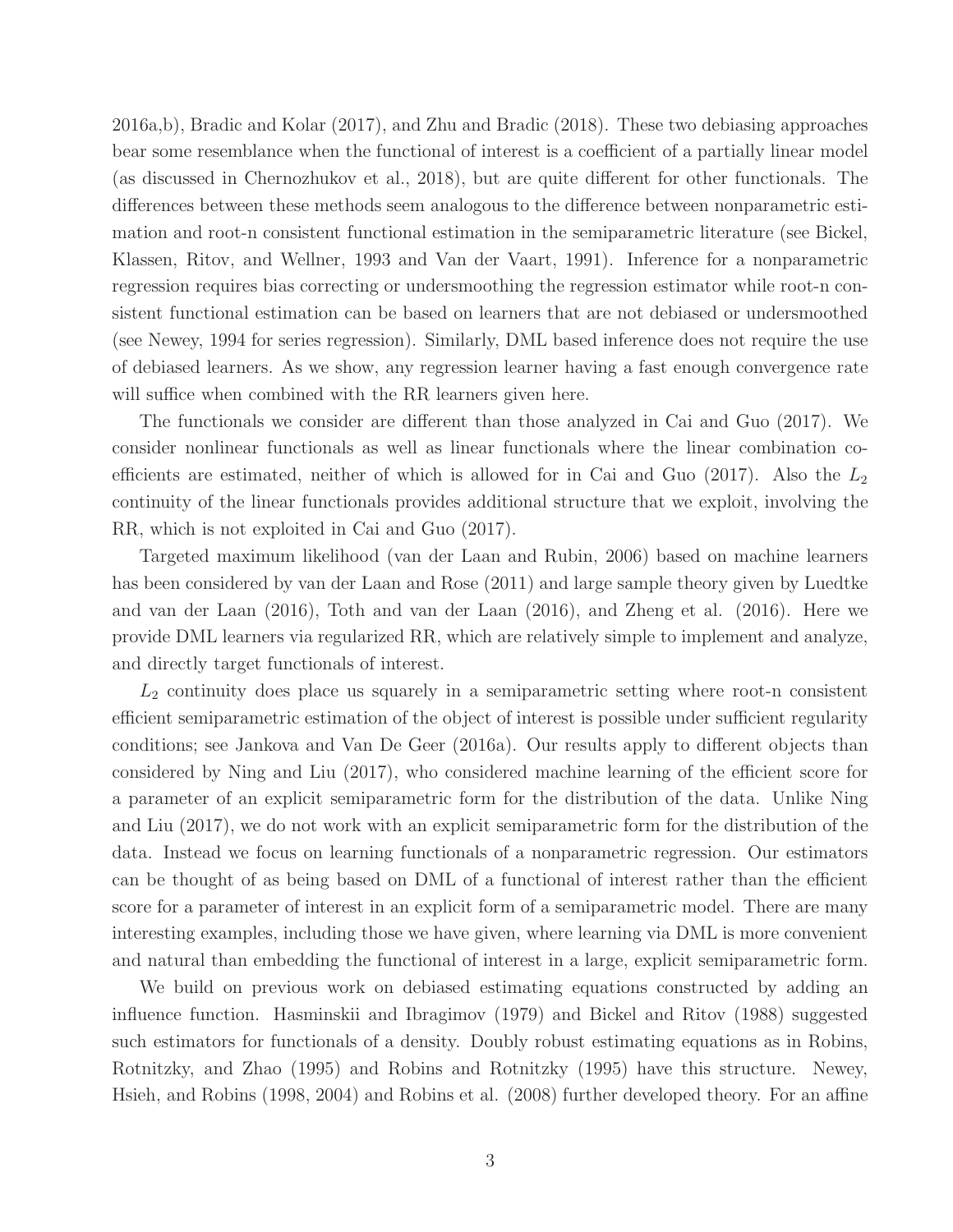2016a,b), Bradic and Kolar (2017), and Zhu and Bradic (2018). These two debiasing approaches bear some resemblance when the functional of interest is a coefficient of a partially linear model (as discussed in Chernozhukov et al., 2018), but are quite different for other functionals. The differences between these methods seem analogous to the difference between nonparametric estimation and root-n consistent functional estimation in the semiparametric literature (see Bickel, Klassen, Ritov, and Wellner, 1993 and Van der Vaart, 1991). Inference for a nonparametric regression requires bias correcting or undersmoothing the regression estimator while root-n consistent functional estimation can be based on learners that are not debiased or undersmoothed (see Newey, 1994 for series regression). Similarly, DML based inference does not require the use of debiased learners. As we show, any regression learner having a fast enough convergence rate will suffice when combined with the RR learners given here.

The functionals we consider are different than those analyzed in Cai and Guo (2017). We consider nonlinear functionals as well as linear functionals where the linear combination coefficients are estimated, neither of which is allowed for in Cai and Guo  $(2017)$ . Also the  $L_2$ continuity of the linear functionals provides additional structure that we exploit, involving the RR, which is not exploited in Cai and Guo (2017).

Targeted maximum likelihood (van der Laan and Rubin, 2006) based on machine learners has been considered by van der Laan and Rose (2011) and large sample theory given by Luedtke and van der Laan (2016), Toth and van der Laan (2016), and Zheng et al. (2016). Here we provide DML learners via regularized RR, which are relatively simple to implement and analyze, and directly target functionals of interest.

 $L_2$  continuity does place us squarely in a semiparametric setting where root-n consistent efficient semiparametric estimation of the object of interest is possible under sufficient regularity conditions; see Jankova and Van De Geer (2016a). Our results apply to different objects than considered by Ning and Liu (2017), who considered machine learning of the efficient score for a parameter of an explicit semiparametric form for the distribution of the data. Unlike Ning and Liu (2017), we do not work with an explicit semiparametric form for the distribution of the data. Instead we focus on learning functionals of a nonparametric regression. Our estimators can be thought of as being based on DML of a functional of interest rather than the efficient score for a parameter of interest in an explicit form of a semiparametric model. There are many interesting examples, including those we have given, where learning via DML is more convenient and natural than embedding the functional of interest in a large, explicit semiparametric form.

We build on previous work on debiased estimating equations constructed by adding an influence function. Hasminskii and Ibragimov (1979) and Bickel and Ritov (1988) suggested such estimators for functionals of a density. Doubly robust estimating equations as in Robins, Rotnitzky, and Zhao (1995) and Robins and Rotnitzky (1995) have this structure. Newey, Hsieh, and Robins (1998, 2004) and Robins et al. (2008) further developed theory. For an affine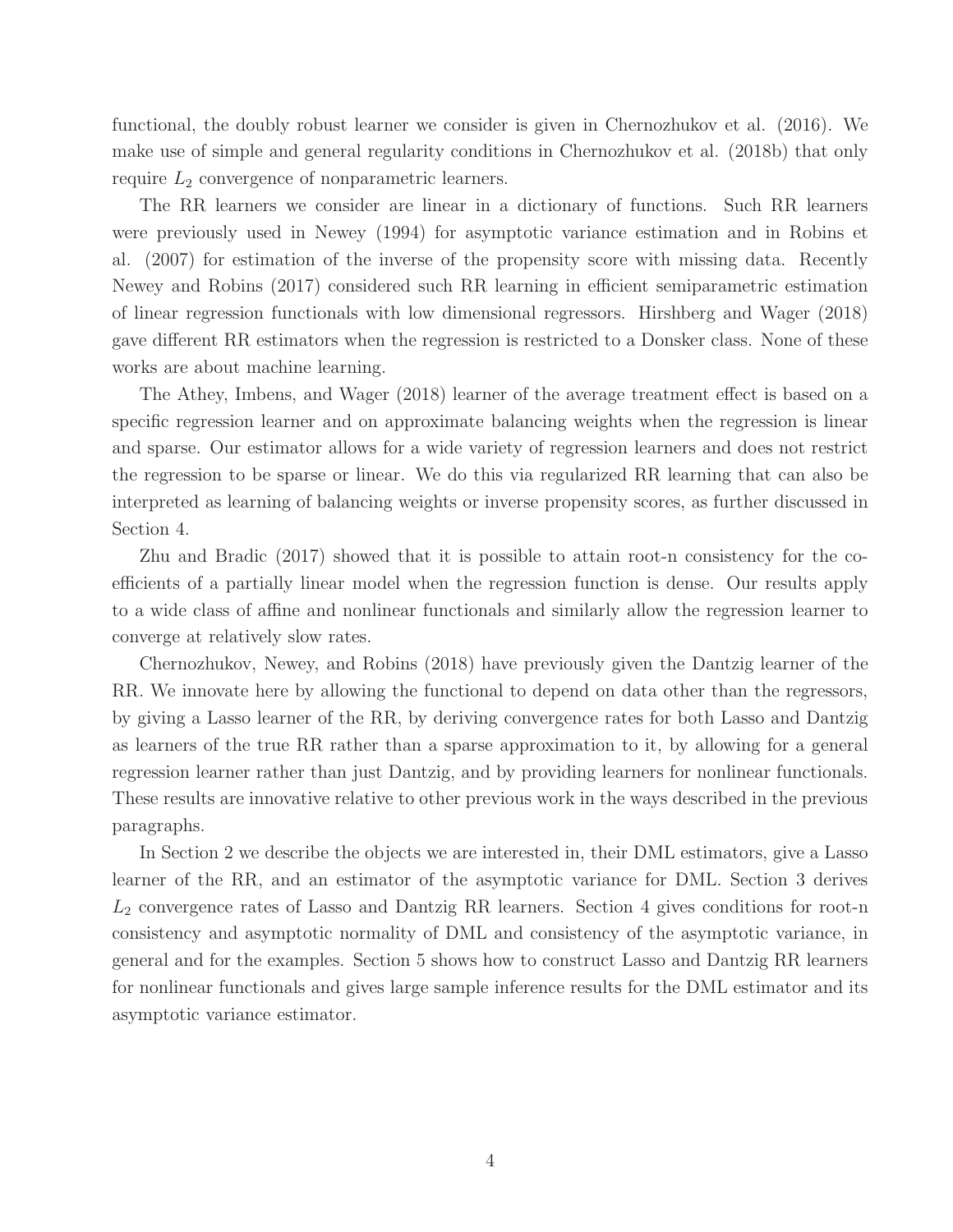functional, the doubly robust learner we consider is given in Chernozhukov et al. (2016). We make use of simple and general regularity conditions in Chernozhukov et al. (2018b) that only require  $L_2$  convergence of nonparametric learners.

The RR learners we consider are linear in a dictionary of functions. Such RR learners were previously used in Newey (1994) for asymptotic variance estimation and in Robins et al. (2007) for estimation of the inverse of the propensity score with missing data. Recently Newey and Robins (2017) considered such RR learning in efficient semiparametric estimation of linear regression functionals with low dimensional regressors. Hirshberg and Wager (2018) gave different RR estimators when the regression is restricted to a Donsker class. None of these works are about machine learning.

The Athey, Imbens, and Wager (2018) learner of the average treatment effect is based on a specific regression learner and on approximate balancing weights when the regression is linear and sparse. Our estimator allows for a wide variety of regression learners and does not restrict the regression to be sparse or linear. We do this via regularized RR learning that can also be interpreted as learning of balancing weights or inverse propensity scores, as further discussed in Section 4.

Zhu and Bradic (2017) showed that it is possible to attain root-n consistency for the coefficients of a partially linear model when the regression function is dense. Our results apply to a wide class of affine and nonlinear functionals and similarly allow the regression learner to converge at relatively slow rates.

Chernozhukov, Newey, and Robins (2018) have previously given the Dantzig learner of the RR. We innovate here by allowing the functional to depend on data other than the regressors, by giving a Lasso learner of the RR, by deriving convergence rates for both Lasso and Dantzig as learners of the true RR rather than a sparse approximation to it, by allowing for a general regression learner rather than just Dantzig, and by providing learners for nonlinear functionals. These results are innovative relative to other previous work in the ways described in the previous paragraphs.

In Section 2 we describe the objects we are interested in, their DML estimators, give a Lasso learner of the RR, and an estimator of the asymptotic variance for DML. Section 3 derives  $L_2$  convergence rates of Lasso and Dantzig RR learners. Section 4 gives conditions for root-n consistency and asymptotic normality of DML and consistency of the asymptotic variance, in general and for the examples. Section 5 shows how to construct Lasso and Dantzig RR learners for nonlinear functionals and gives large sample inference results for the DML estimator and its asymptotic variance estimator.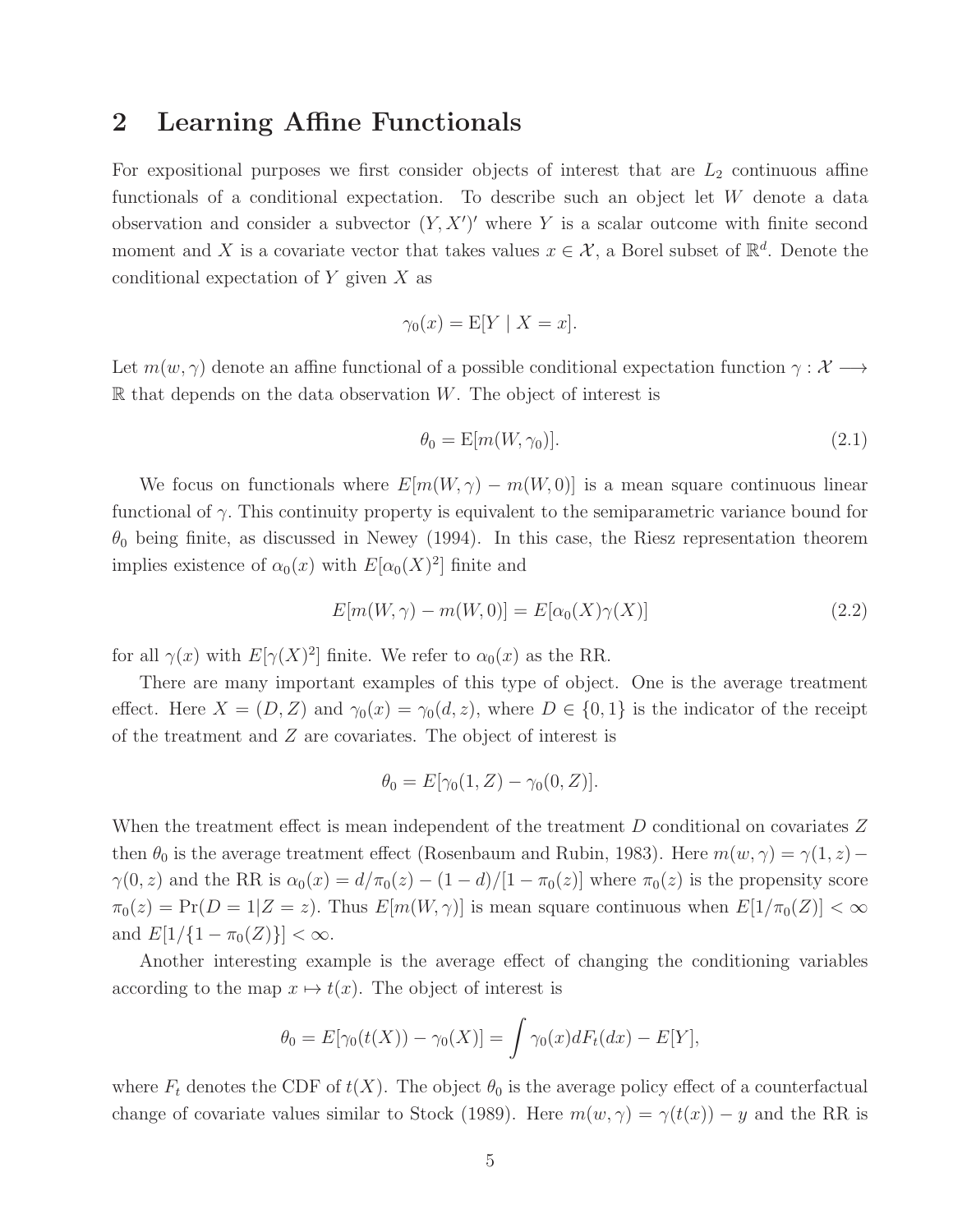## 2 Learning Affine Functionals

For expositional purposes we first consider objects of interest that are  $L_2$  continuous affine functionals of a conditional expectation. To describe such an object let W denote a data observation and consider a subvector  $(Y, X')'$  where Y is a scalar outcome with finite second moment and X is a covariate vector that takes values  $x \in \mathcal{X}$ , a Borel subset of  $\mathbb{R}^d$ . Denote the conditional expectation of  $Y$  given  $X$  as

$$
\gamma_0(x) = \mathbb{E}[Y \mid X = x].
$$

Let  $m(w, \gamma)$  denote an affine functional of a possible conditional expectation function  $\gamma : \mathcal{X} \longrightarrow$  $\mathbb R$  that depends on the data observation W. The object of interest is

$$
\theta_0 = \mathbb{E}[m(W, \gamma_0)].\tag{2.1}
$$

We focus on functionals where  $E[m(W, \gamma) - m(W, 0)]$  is a mean square continuous linear functional of  $\gamma$ . This continuity property is equivalent to the semiparametric variance bound for  $\theta_0$  being finite, as discussed in Newey (1994). In this case, the Riesz representation theorem implies existence of  $\alpha_0(x)$  with  $E[\alpha_0(X)^2]$  finite and

<span id="page-4-0"></span>
$$
E[m(W,\gamma) - m(W,0)] = E[\alpha_0(X)\gamma(X)] \qquad (2.2)
$$

for all  $\gamma(x)$  with  $E[\gamma(X)^2]$  finite. We refer to  $\alpha_0(x)$  as the RR.

There are many important examples of this type of object. One is the average treatment effect. Here  $X = (D, Z)$  and  $\gamma_0(x) = \gamma_0(d, z)$ , where  $D \in \{0, 1\}$  is the indicator of the receipt of the treatment and Z are covariates. The object of interest is

$$
\theta_0 = E[\gamma_0(1, Z) - \gamma_0(0, Z)].
$$

When the treatment effect is mean independent of the treatment D conditional on covariates Z then  $\theta_0$  is the average treatment effect (Rosenbaum and Rubin, 1983). Here  $m(w, \gamma) = \gamma(1, z) \gamma(0, z)$  and the RR is  $\alpha_0(x) = d/\pi_0(z) - (1 - d)/[1 - \pi_0(z)]$  where  $\pi_0(z)$  is the propensity score  $\pi_0(z) = \Pr(D = 1|Z = z)$ . Thus  $E[m(W, \gamma)]$  is mean square continuous when  $E[1/\pi_0(Z)] < \infty$ and  $E[1/\{1-\pi_0(Z)\}] < \infty$ .

Another interesting example is the average effect of changing the conditioning variables according to the map  $x \mapsto t(x)$ . The object of interest is

$$
\theta_0 = E[\gamma_0(t(X)) - \gamma_0(X)] = \int \gamma_0(x) dF_t(dx) - E[Y],
$$

where  $F_t$  denotes the CDF of  $t(X)$ . The object  $\theta_0$  is the average policy effect of a counterfactual change of covariate values similar to Stock (1989). Here  $m(w, \gamma) = \gamma(t(x)) - y$  and the RR is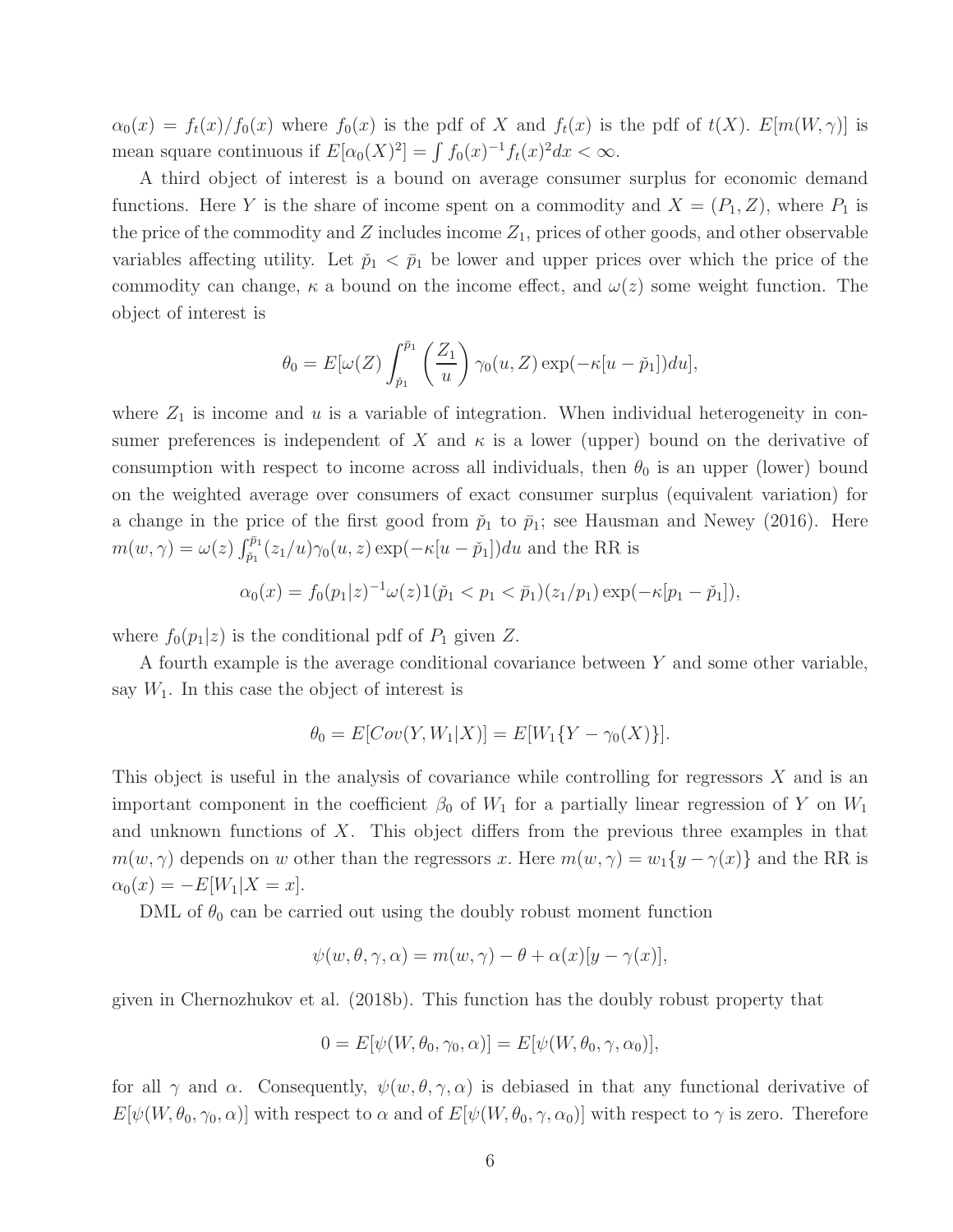$\alpha_0(x) = f_t(x)/f_0(x)$  where  $f_0(x)$  is the pdf of X and  $f_t(x)$  is the pdf of  $t(X)$ .  $E[m(W, \gamma)]$  is mean square continuous if  $E[\alpha_0(X)^2] = \int f_0(x)^{-1} f_t(x)^2 dx < \infty$ .

A third object of interest is a bound on average consumer surplus for economic demand functions. Here Y is the share of income spent on a commodity and  $X = (P_1, Z)$ , where  $P_1$  is the price of the commodity and  $Z$  includes income  $Z_1$ , prices of other goods, and other observable variables affecting utility. Let  $\tilde{p}_1 < \bar{p}_1$  be lower and upper prices over which the price of the commodity can change,  $\kappa$  a bound on the income effect, and  $\omega(z)$  some weight function. The object of interest is

$$
\theta_0 = E[\omega(Z) \int_{\tilde{p}_1}^{\tilde{p}_1} \left(\frac{Z_1}{u}\right) \gamma_0(u, Z) \exp(-\kappa[u - \tilde{p}_1]) du],
$$

where  $Z_1$  is income and u is a variable of integration. When individual heterogeneity in consumer preferences is independent of X and  $\kappa$  is a lower (upper) bound on the derivative of consumption with respect to income across all individuals, then  $\theta_0$  is an upper (lower) bound on the weighted average over consumers of exact consumer surplus (equivalent variation) for a change in the price of the first good from  $\tilde{p}_1$  to  $\bar{p}_1$ ; see Hausman and Newey (2016). Here  $m(w, \gamma) = \omega(z) \int_{\tilde{p}_1}^{\tilde{p}_1}(z_1/u) \gamma_0(u, z) \exp(-\kappa[u - \tilde{p}_1]) du$  and the RR is

$$
\alpha_0(x) = f_0(p_1|z)^{-1}\omega(z)1(\check{p}_1 < p_1 < \bar{p}_1)(z_1/p_1)\exp(-\kappa[p_1 - \check{p}_1]),
$$

where  $f_0(p_1|z)$  is the conditional pdf of  $P_1$  given Z.

A fourth example is the average conditional covariance between Y and some other variable, say  $W_1$ . In this case the object of interest is

$$
\theta_0 = E[Cov(Y, W_1|X)] = E[W_1\{Y - \gamma_0(X)\}].
$$

This object is useful in the analysis of covariance while controlling for regressors  $X$  and is an important component in the coefficient  $\beta_0$  of  $W_1$  for a partially linear regression of Y on  $W_1$ and unknown functions of  $X$ . This object differs from the previous three examples in that  $m(w, \gamma)$  depends on w other than the regressors x. Here  $m(w, \gamma) = w_1\{y - \gamma(x)\}\$  and the RR is  $\alpha_0(x) = -E[W_1|X=x].$ 

DML of  $\theta_0$  can be carried out using the doubly robust moment function

$$
\psi(w,\theta,\gamma,\alpha) = m(w,\gamma) - \theta + \alpha(x)[y - \gamma(x)],
$$

given in Chernozhukov et al. (2018b). This function has the doubly robust property that

$$
0 = E[\psi(W, \theta_0, \gamma_0, \alpha)] = E[\psi(W, \theta_0, \gamma, \alpha_0)],
$$

for all  $\gamma$  and  $\alpha$ . Consequently,  $\psi(w, \theta, \gamma, \alpha)$  is debiased in that any functional derivative of  $E[\psi(W, \theta_0, \gamma_0, \alpha)]$  with respect to  $\alpha$  and of  $E[\psi(W, \theta_0, \gamma, \alpha_0)]$  with respect to  $\gamma$  is zero. Therefore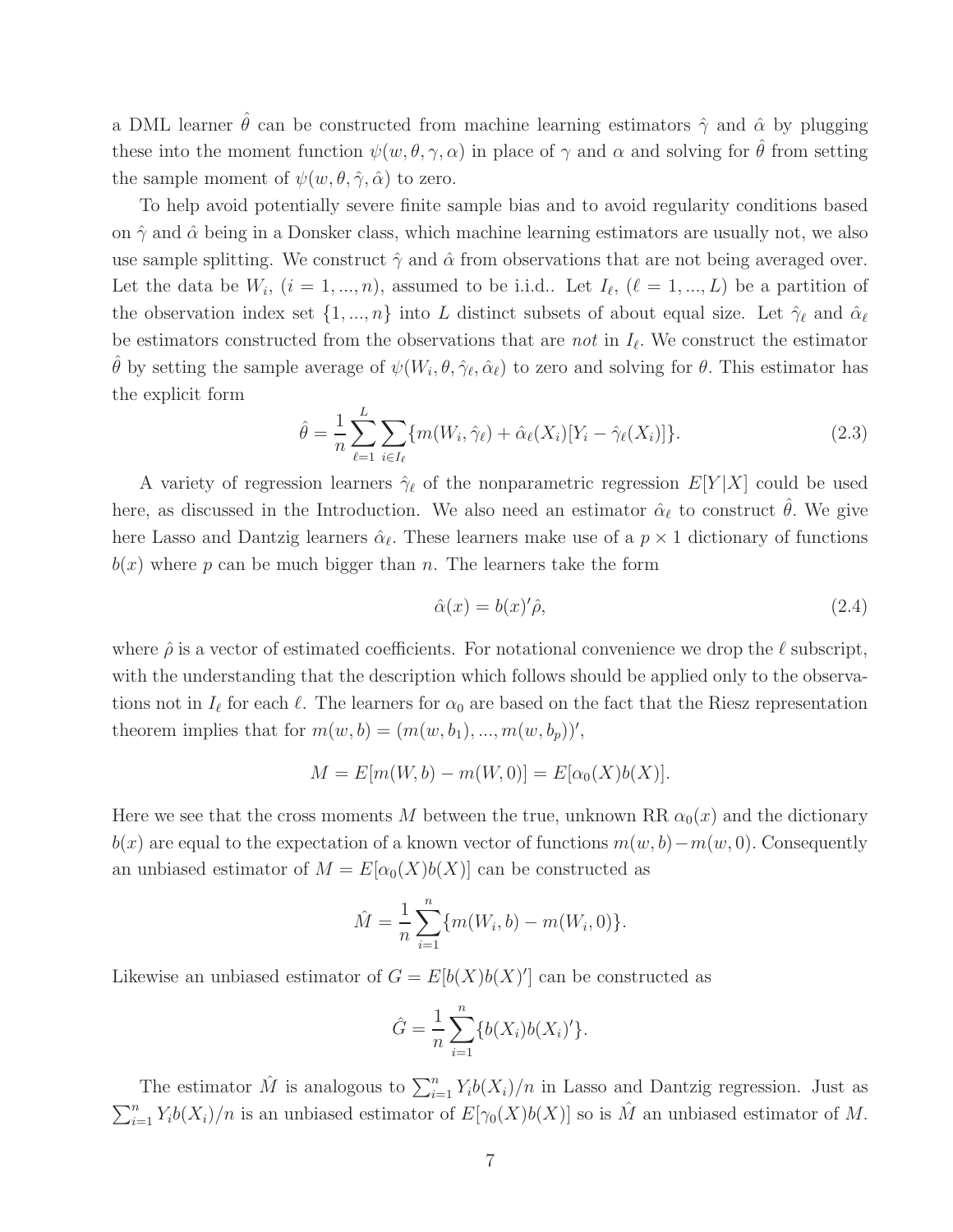a DML learner  $\hat{\theta}$  can be constructed from machine learning estimators  $\hat{\gamma}$  and  $\hat{\alpha}$  by plugging these into the moment function  $\psi(w, \theta, \gamma, \alpha)$  in place of  $\gamma$  and  $\alpha$  and solving for  $\hat{\theta}$  from setting the sample moment of  $\psi(w, \theta, \hat{\gamma}, \hat{\alpha})$  to zero.

To help avoid potentially severe finite sample bias and to avoid regularity conditions based on  $\hat{\gamma}$  and  $\hat{\alpha}$  being in a Donsker class, which machine learning estimators are usually not, we also use sample splitting. We construct  $\hat{\gamma}$  and  $\hat{\alpha}$  from observations that are not being averaged over. Let the data be  $W_i$ ,  $(i = 1, ..., n)$ , assumed to be i.i.d.. Let  $I_{\ell}$ ,  $(\ell = 1, ..., L)$  be a partition of the observation index set  $\{1, ..., n\}$  into L distinct subsets of about equal size. Let  $\hat{\gamma}_{\ell}$  and  $\hat{\alpha}_{\ell}$ be estimators constructed from the observations that are *not* in  $I_{\ell}$ . We construct the estimator  $\hat{\theta}$  by setting the sample average of  $\psi(W_i, \theta, \hat{\gamma}_{\ell}, \hat{\alpha}_{\ell})$  to zero and solving for  $\theta$ . This estimator has the explicit form

<span id="page-6-1"></span>
$$
\hat{\theta} = \frac{1}{n} \sum_{\ell=1}^{L} \sum_{i \in I_{\ell}} \{ m(W_i, \hat{\gamma}_{\ell}) + \hat{\alpha}_{\ell}(X_i) [Y_i - \hat{\gamma}_{\ell}(X_i)] \}.
$$
\n(2.3)

A variety of regression learners  $\hat{\gamma}_{\ell}$  of the nonparametric regression  $E[Y|X]$  could be used here, as discussed in the Introduction. We also need an estimator  $\hat{\alpha}_{\ell}$  to construct  $\hat{\theta}$ . We give here Lasso and Dantzig learners  $\hat{\alpha}_{\ell}$ . These learners make use of a  $p \times 1$  dictionary of functions  $b(x)$  where p can be much bigger than n. The learners take the form

<span id="page-6-0"></span>
$$
\hat{\alpha}(x) = b(x)'\hat{\rho},\tag{2.4}
$$

where  $\hat{\rho}$  is a vector of estimated coefficients. For notational convenience we drop the  $\ell$  subscript, with the understanding that the description which follows should be applied only to the observations not in  $I_{\ell}$  for each  $\ell$ . The learners for  $\alpha_0$  are based on the fact that the Riesz representation theorem implies that for  $m(w, b) = (m(w, b_1), ..., m(w, b_p))'$ ,

$$
M = E[m(W, b) - m(W, 0)] = E[\alpha_0(X)b(X)].
$$

Here we see that the cross moments M between the true, unknown RR  $\alpha_0(x)$  and the dictionary  $b(x)$  are equal to the expectation of a known vector of functions  $m(w, b)-m(w, 0)$ . Consequently an unbiased estimator of  $M = E[\alpha_0(X)b(X)]$  can be constructed as

$$
\hat{M} = \frac{1}{n} \sum_{i=1}^{n} \{m(W_i, b) - m(W_i, 0)\}.
$$

Likewise an unbiased estimator of  $G = E[b(X)b(X)]$  can be constructed as

$$
\hat{G} = \frac{1}{n} \sum_{i=1}^{n} \{b(X_i)b(X_i)'\}.
$$

The estimator  $\hat{M}$  is analogous to  $\sum_{i=1}^{n} Y_i b(X_i)/n$  in Lasso and Dantzig regression. Just as  $\sum_{i=1}^{n} Y_i b(X_i) / n$  is an unbiased estimator of  $E[\gamma_0(X)b(X)]$  so is  $\hat{M}$  an unbiased estimator of M.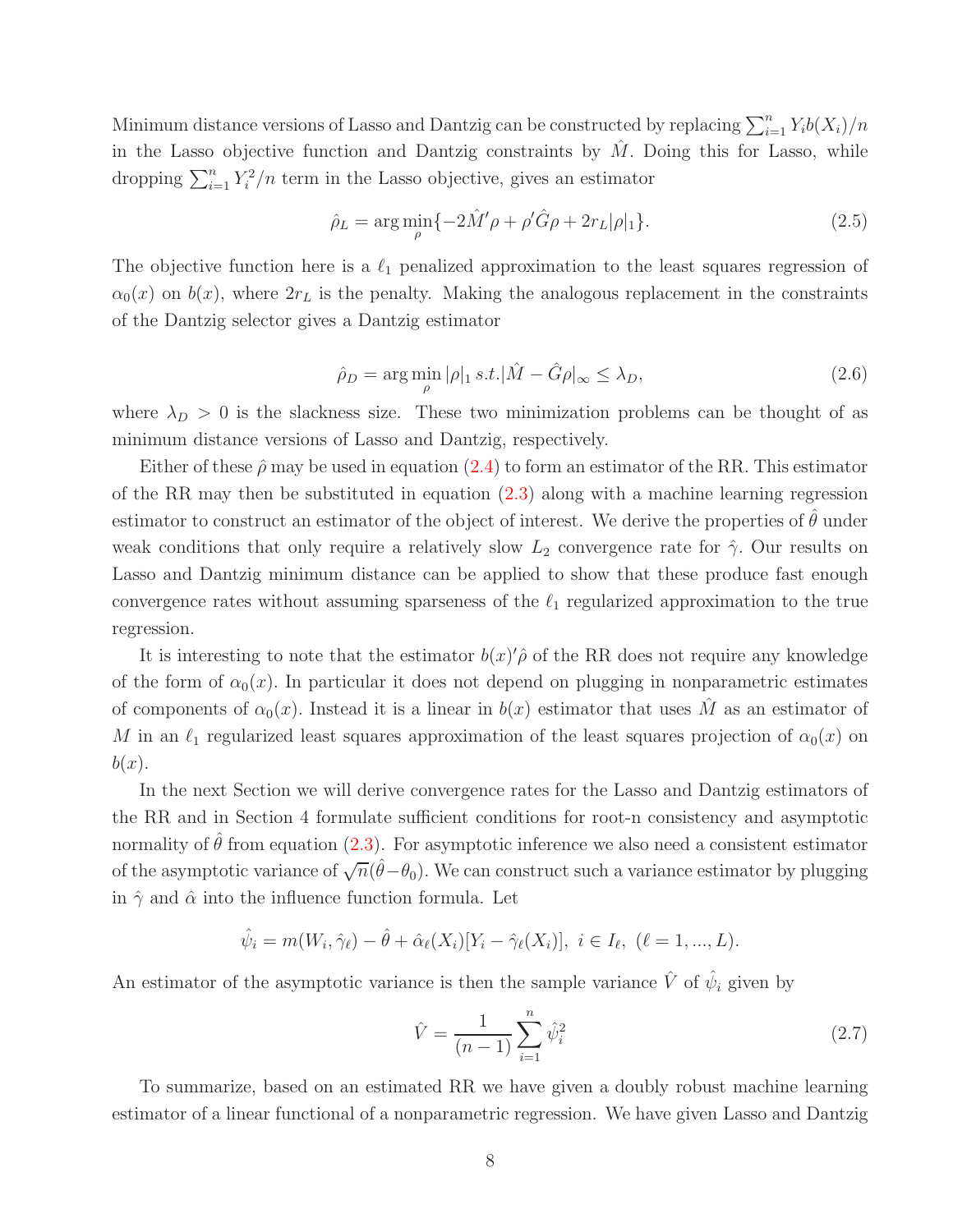Minimum distance versions of Lasso and Dantzig can be constructed by replacing  $\sum_{i=1}^{n} Y_i b(X_i) / n$ in the Lasso objective function and Dantzig constraints by  $M$ . Doing this for Lasso, while dropping  $\sum_{i=1}^{n} Y_i^2/n$  term in the Lasso objective, gives an estimator

<span id="page-7-0"></span>
$$
\hat{\rho}_L = \arg\min_{\rho} \{-2\hat{M}'\rho + \rho'\hat{G}\rho + 2r_L|\rho|_1\}.
$$
\n(2.5)

The objective function here is a  $\ell_1$  penalized approximation to the least squares regression of  $\alpha_0(x)$  on  $b(x)$ , where  $2r<sub>L</sub>$  is the penalty. Making the analogous replacement in the constraints of the Dantzig selector gives a Dantzig estimator

<span id="page-7-1"></span>
$$
\hat{\rho}_D = \arg\min_{\rho} |\rho|_1 \, s.t. |\hat{M} - \hat{G}\rho|_{\infty} \le \lambda_D,\tag{2.6}
$$

where  $\lambda_D > 0$  is the slackness size. These two minimization problems can be thought of as minimum distance versions of Lasso and Dantzig, respectively.

Either of these  $\hat{\rho}$  may be used in equation [\(2.4\)](#page-6-0) to form an estimator of the RR. This estimator of the RR may then be substituted in equation [\(2.3\)](#page-6-1) along with a machine learning regression estimator to construct an estimator of the object of interest. We derive the properties of  $\hat{\theta}$  under weak conditions that only require a relatively slow  $L_2$  convergence rate for  $\hat{\gamma}$ . Our results on Lasso and Dantzig minimum distance can be applied to show that these produce fast enough convergence rates without assuming sparseness of the  $\ell_1$  regularized approximation to the true regression.

It is interesting to note that the estimator  $b(x)$  of the RR does not require any knowledge of the form of  $\alpha_0(x)$ . In particular it does not depend on plugging in nonparametric estimates of components of  $\alpha_0(x)$ . Instead it is a linear in  $b(x)$  estimator that uses M as an estimator of M in an  $\ell_1$  regularized least squares approximation of the least squares projection of  $\alpha_0(x)$  on  $b(x)$ .

In the next Section we will derive convergence rates for the Lasso and Dantzig estimators of the RR and in Section 4 formulate sufficient conditions for root-n consistency and asymptotic normality of  $\hat{\theta}$  from equation [\(2.3\)](#page-6-1). For asymptotic inference we also need a consistent estimator of the asymptotic variance of  $\sqrt{n}(\hat{\theta}-\theta_0)$ . We can construct such a variance estimator by plugging in  $\hat{\gamma}$  and  $\hat{\alpha}$  into the influence function formula. Let

$$
\hat{\psi}_i = m(W_i, \hat{\gamma}_\ell) - \hat{\theta} + \hat{\alpha}_\ell(X_i)[Y_i - \hat{\gamma}_\ell(X_i)], \ i \in I_\ell, \ (\ell = 1, ..., L).
$$

An estimator of the asymptotic variance is then the sample variance  $\hat{V}$  of  $\hat{\psi}_i$  given by

$$
\hat{V} = \frac{1}{(n-1)} \sum_{i=1}^{n} \hat{\psi}_i^2
$$
\n(2.7)

To summarize, based on an estimated RR we have given a doubly robust machine learning estimator of a linear functional of a nonparametric regression. We have given Lasso and Dantzig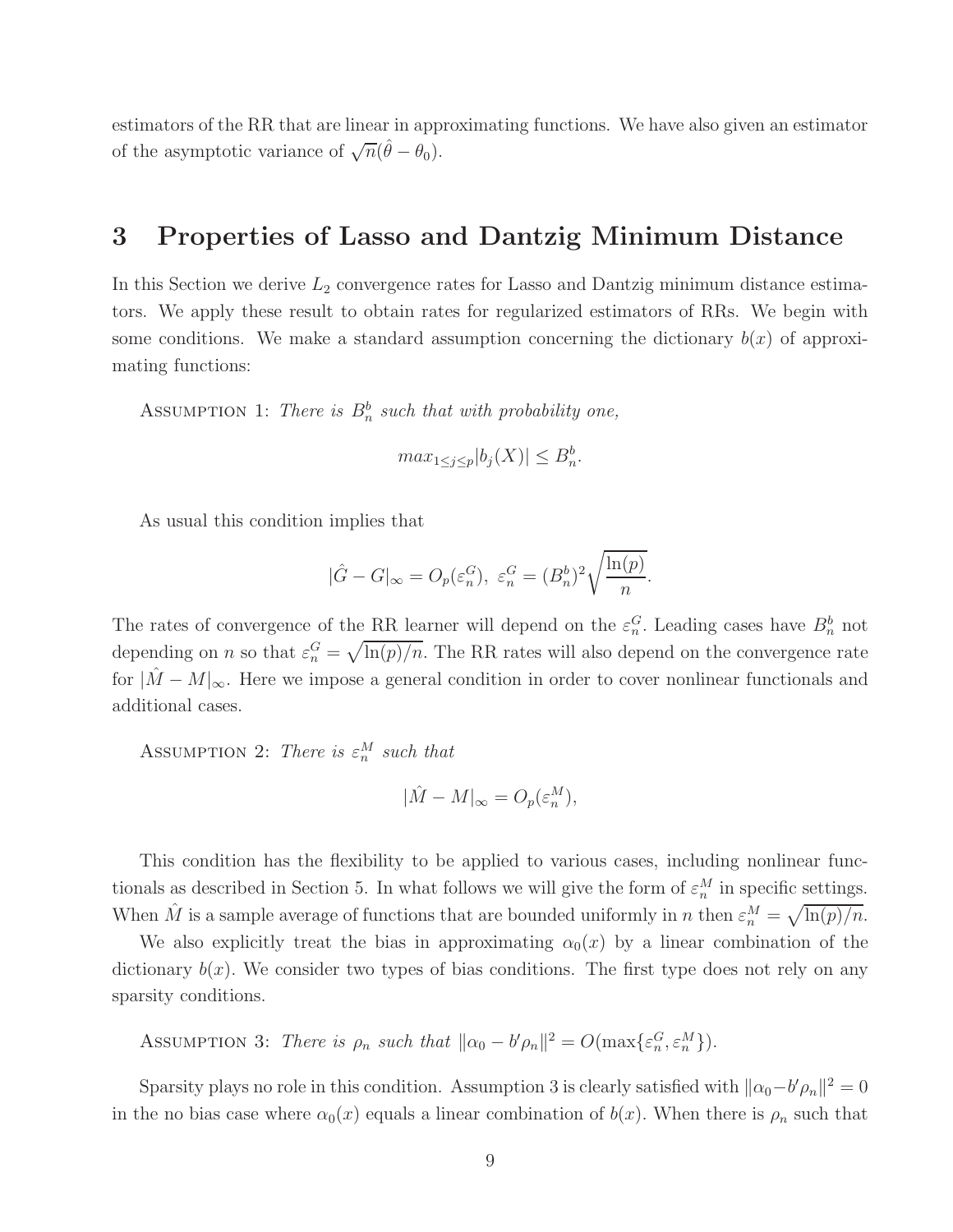estimators of the RR that are linear in approximating functions. We have also given an estimator of the asymptotic variance of  $\sqrt{n}(\hat{\theta} - \theta_0)$ .

## 3 Properties of Lasso and Dantzig Minimum Distance

In this Section we derive  $L_2$  convergence rates for Lasso and Dantzig minimum distance estimators. We apply these result to obtain rates for regularized estimators of RRs. We begin with some conditions. We make a standard assumption concerning the dictionary  $b(x)$  of approximating functions:

ASSUMPTION 1: There is  $B_n^b$  such that with probability one,

$$
max_{1 \le j \le p} |b_j(X)| \le B_n^b.
$$

As usual this condition implies that

$$
|\hat{G} - G|_{\infty} = O_p(\varepsilon_n^G), \ \varepsilon_n^G = (B_n^b)^2 \sqrt{\frac{\ln(p)}{n}}.
$$

The rates of convergence of the RR learner will depend on the  $\varepsilon_n^G$ . Leading cases have  $B_n^b$  not depending on *n* so that  $\varepsilon_n^G = \sqrt{\ln(p)/n}$ . The RR rates will also depend on the convergence rate for  $|M-M|_{\infty}$ . Here we impose a general condition in order to cover nonlinear functionals and additional cases.

ASSUMPTION 2: There is  $\varepsilon_n^M$  such that

$$
|\hat{M} - M|_{\infty} = O_p(\varepsilon_n^M),
$$

This condition has the flexibility to be applied to various cases, including nonlinear functionals as described in Section 5. In what follows we will give the form of  $\varepsilon_n^M$  in specific settings. When  $\hat{M}$  is a sample average of functions that are bounded uniformly in n then  $\varepsilon_n^M = \sqrt{\ln(p)/n}$ .

We also explicitly treat the bias in approximating  $\alpha_0(x)$  by a linear combination of the dictionary  $b(x)$ . We consider two types of bias conditions. The first type does not rely on any sparsity conditions.

ASSUMPTION 3: There is  $\rho_n$  such that  $\|\alpha_0 - b'\rho_n\|^2 = O(\max{\{\varepsilon_n^G, \varepsilon_n^M\}}).$ 

Sparsity plays no role in this condition. Assumption 3 is clearly satisfied with  $\|\alpha_0 - b'\rho_n\|^2 = 0$ in the no bias case where  $\alpha_0(x)$  equals a linear combination of  $b(x)$ . When there is  $\rho_n$  such that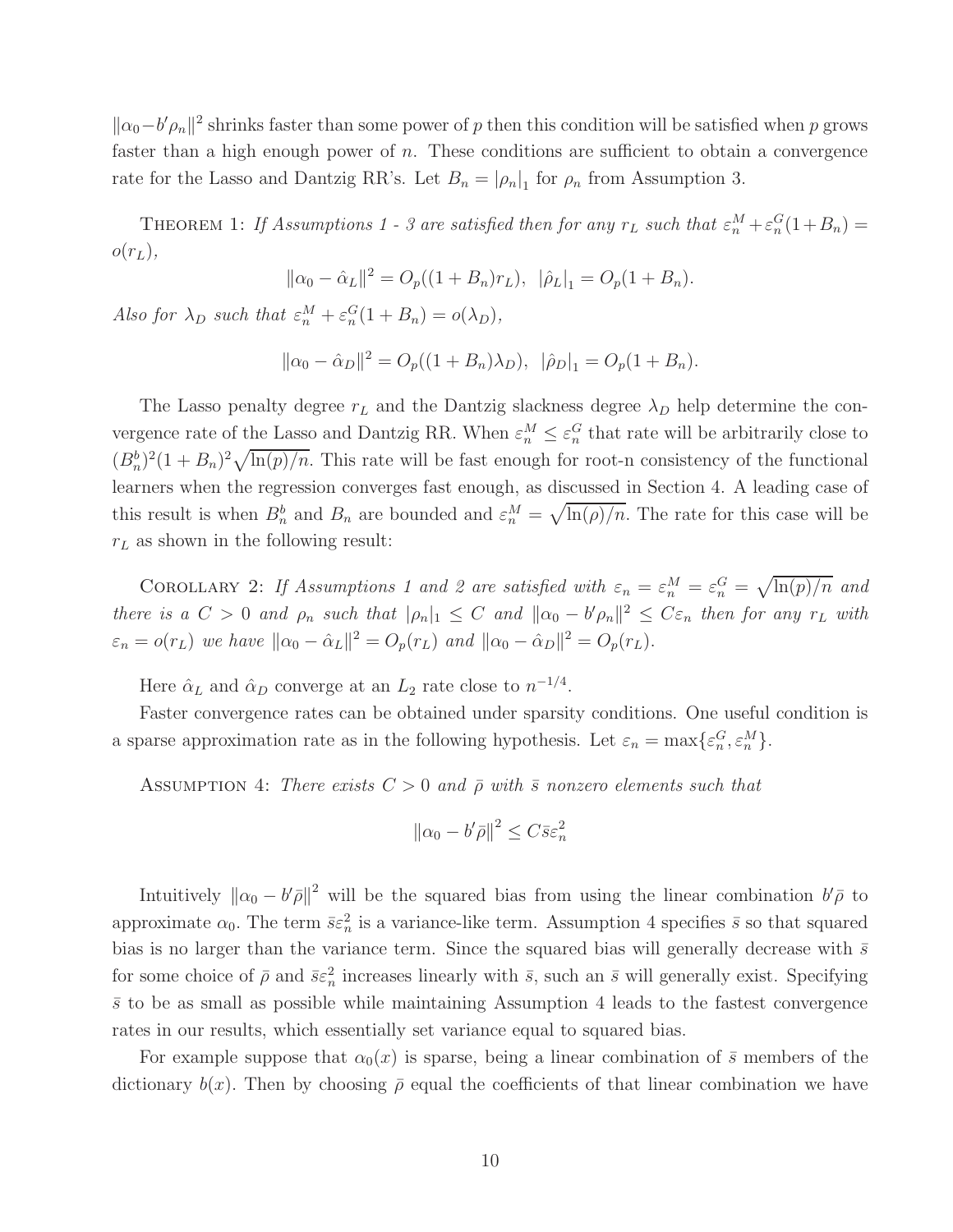$\|\alpha_0 - b'\rho_n\|^2$  shrinks faster than some power of p then this condition will be satisfied when p grows faster than a high enough power of  $n$ . These conditions are sufficient to obtain a convergence rate for the Lasso and Dantzig RR's. Let  $B_n = |\rho_n|_1$  for  $\rho_n$  from Assumption 3.

THEOREM 1: If Assumptions 1 - 3 are satisfied then for any  $r_L$  such that  $\varepsilon_n^M + \varepsilon_n^G(1+B_n) =$  $o(r_L),$ 

$$
\|\alpha_0 - \hat{\alpha}_L\|^2 = O_p((1 + B_n)r_L), \|\hat{\rho}_L\|_1 = O_p(1 + B_n).
$$

Also for  $\lambda_D$  such that  $\varepsilon_n^M + \varepsilon_n^G(1 + B_n) = o(\lambda_D)$ ,

$$
\|\alpha_0 - \hat{\alpha}_D\|^2 = O_p((1 + B_n)\lambda_D), \|\hat{\rho}_D\|_1 = O_p(1 + B_n).
$$

The Lasso penalty degree  $r<sub>L</sub>$  and the Dantzig slackness degree  $\lambda_D$  help determine the convergence rate of the Lasso and Dantzig RR. When  $\varepsilon_n^M \leq \varepsilon_n^G$  that rate will be arbitrarily close to  $(B_n^b)^2(1+B_n)^2\sqrt{\ln(p)/n}$ . This rate will be fast enough for root-n consistency of the functional learners when the regression converges fast enough, as discussed in Section 4. A leading case of this result is when  $B_n^b$  and  $B_n$  are bounded and  $\varepsilon_n^M = \sqrt{\ln(\rho)/n}$ . The rate for this case will be  $r<sub>L</sub>$  as shown in the following result:

COROLLARY 2: If Assumptions 1 and 2 are satisfied with  $\varepsilon_n = \varepsilon_n^M = \varepsilon_n^G = \sqrt{\ln(p)/n}$  and there is a  $C > 0$  and  $\rho_n$  such that  $|\rho_n|_1 \leq C$  and  $||\alpha_0 - b'\rho_n||^2 \leq C\varepsilon_n$  then for any  $r_L$  with  $\varepsilon_n = o(r_L)$  we have  $\|\alpha_0 - \hat{\alpha}_L\|^2 = O_p(r_L)$  and  $\|\alpha_0 - \hat{\alpha}_D\|^2 = O_p(r_L)$ .

Here  $\hat{\alpha}_L$  and  $\hat{\alpha}_D$  converge at an  $L_2$  rate close to  $n^{-1/4}$ .

Faster convergence rates can be obtained under sparsity conditions. One useful condition is a sparse approximation rate as in the following hypothesis. Let  $\varepsilon_n = \max\{\varepsilon_n^G, \varepsilon_n^M\}.$ 

ASSUMPTION 4: There exists  $C > 0$  and  $\bar{\rho}$  with  $\bar{s}$  nonzero elements such that

$$
\left\|\alpha_0 - b'\bar{\rho}\right\|^2 \le C\bar{s}\varepsilon_n^2
$$

Intuitively  $\|\alpha_0 - b'\bar{\rho}\|^2$  will be the squared bias from using the linear combination  $b'\bar{\rho}$  to approximate  $\alpha_0$ . The term  $\bar{s}\varepsilon_n^2$  is a variance-like term. Assumption 4 specifies  $\bar{s}$  so that squared bias is no larger than the variance term. Since the squared bias will generally decrease with  $\bar{s}$ for some choice of  $\bar{\rho}$  and  $\bar{s}\varepsilon_n^2$  increases linearly with  $\bar{s}$ , such an  $\bar{s}$  will generally exist. Specifying  $\bar{s}$  to be as small as possible while maintaining Assumption 4 leads to the fastest convergence rates in our results, which essentially set variance equal to squared bias.

For example suppose that  $\alpha_0(x)$  is sparse, being a linear combination of  $\bar{s}$  members of the dictionary  $b(x)$ . Then by choosing  $\bar{\rho}$  equal the coefficients of that linear combination we have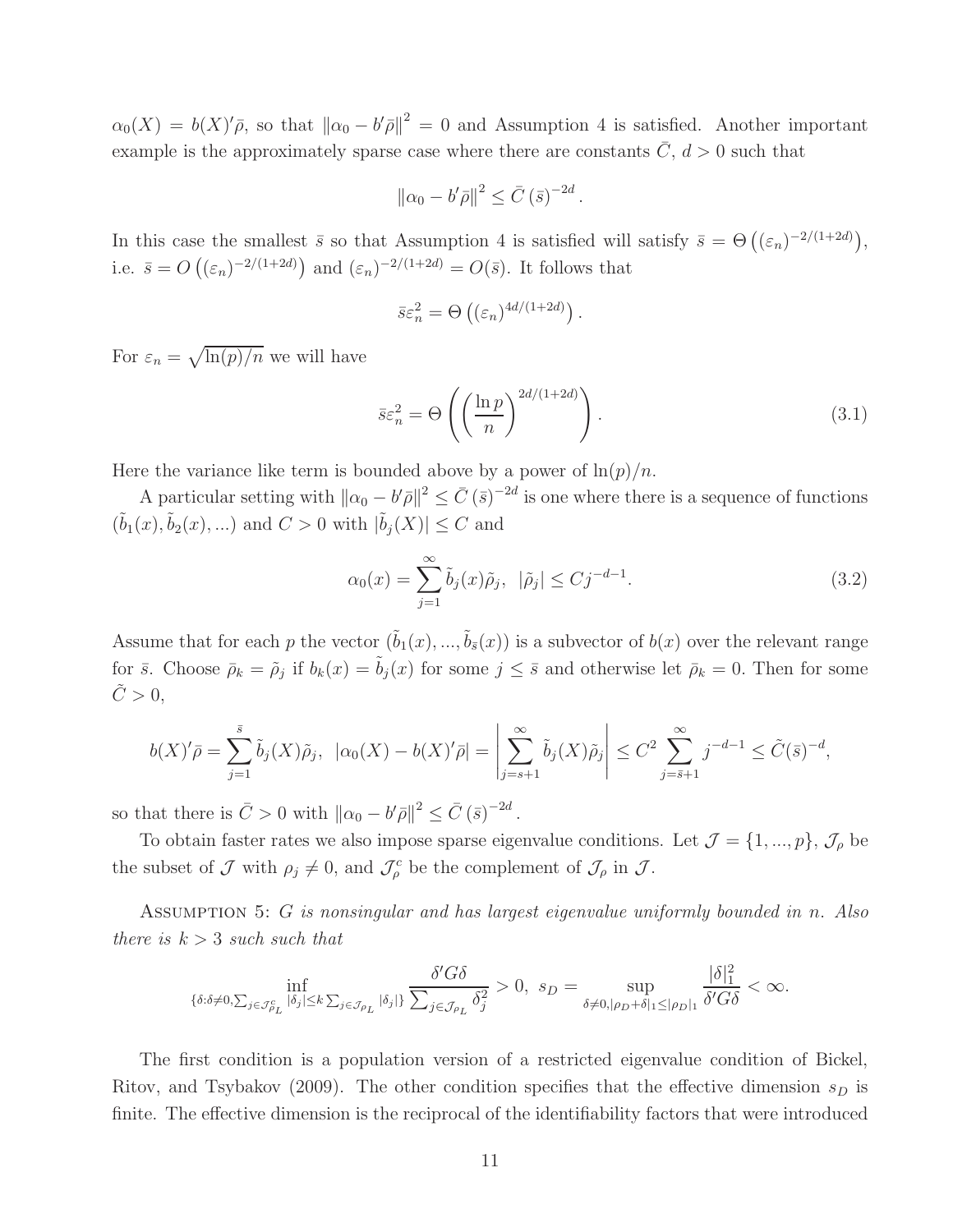$\alpha_0(X) = b(X)'\overline{\rho}$ , so that  $\|\alpha_0 - b'\overline{\rho}\|^2 = 0$  and Assumption 4 is satisfied. Another important example is the approximately sparse case where there are constants  $\bar{C}$ ,  $d > 0$  such that

$$
\left\|\alpha_0 - b'\bar{\rho}\right\|^2 \leq \bar{C} \left(\bar{s}\right)^{-2d}.
$$

In this case the smallest  $\bar{s}$  so that Assumption 4 is satisfied will satisfy  $\bar{s} = \Theta\left((\varepsilon_n)^{-2/(1+2d)}\right)$ , i.e.  $\bar{s} = O\left((\varepsilon_n)^{-2/(1+2d)}\right)$  and  $(\varepsilon_n)^{-2/(1+2d)} = O(\bar{s})$ . It follows that

$$
\bar{s}\varepsilon_n^2 = \Theta\left((\varepsilon_n)^{4d/(1+2d)}\right).
$$

For  $\varepsilon_n = \sqrt{\ln(p)/n}$  we will have

<span id="page-10-0"></span>
$$
\bar{s}\varepsilon_n^2 = \Theta\left(\left(\frac{\ln p}{n}\right)^{2d/(1+2d)}\right). \tag{3.1}
$$

Here the variance like term is bounded above by a power of  $\ln(p)/n$ .

A particular setting with  $\|\alpha_0 - b'\bar{\rho}\|^2 \leq \bar{C}(\bar{s})^{-2d}$  is one where there is a sequence of functions  $(\tilde{b}_1(x), \tilde{b}_2(x), \ldots)$  and  $C > 0$  with  $|\tilde{b}_j(X)| \leq C$  and

<span id="page-10-1"></span>
$$
\alpha_0(x) = \sum_{j=1}^{\infty} \tilde{b}_j(x)\tilde{\rho}_j, \quad |\tilde{\rho}_j| \le Cj^{-d-1}.
$$
 (3.2)

Assume that for each p the vector  $(\tilde{b}_1(x), ..., \tilde{b}_s(x))$  is a subvector of  $b(x)$  over the relevant range for  $\bar{s}$ . Choose  $\bar{\rho}_k = \tilde{\rho}_j$  if  $b_k(x) = \tilde{b}_j(x)$  for some  $j \leq \bar{s}$  and otherwise let  $\bar{\rho}_k = 0$ . Then for some  $C > 0$ ,

$$
b(X)' \bar{\rho} = \sum_{j=1}^{\bar{s}} \tilde{b}_j(X) \tilde{\rho}_j, \ \ |\alpha_0(X) - b(X)' \bar{\rho}| = \left| \sum_{j=s+1}^{\infty} \tilde{b}_j(X) \tilde{\rho}_j \right| \leq C^2 \sum_{j=\bar{s}+1}^{\infty} j^{-d-1} \leq \tilde{C}(\bar{s})^{-d},
$$

so that there is  $\bar{C} > 0$  with  $\|\alpha_0 - b'\bar{\rho}\|^2 \leq \bar{C} (\bar{s})^{-2d}$ .

To obtain faster rates we also impose sparse eigenvalue conditions. Let  $\mathcal{J} = \{1, ..., p\}, \mathcal{J}_{\rho}$  be the subset of  $\mathcal J$  with  $\rho_j \neq 0$ , and  $\mathcal J_\rho^c$  be the complement of  $\mathcal J_\rho$  in  $\mathcal J$ .

ASSUMPTION 5: G is nonsingular and has largest eigenvalue uniformly bounded in n. Also there is  $k > 3$  such such that

$$
\inf_{\{\delta:\delta\neq 0,\sum_{j\in\mathcal{J}_{\rho_L}^c}|\delta_j|\leq k\sum_{j\in\mathcal{J}_{\rho_L}}|\delta_j|\}}\frac{\delta' G\delta}{\sum_{j\in\mathcal{J}_{\rho_L}}\delta_j^2}>0,\ s_D=\sup_{\delta\neq 0,|\rho_D+\delta|_1\leq|\rho_D|_1}\frac{|\delta|_1^2}{\delta' G\delta}<\infty.
$$

The first condition is a population version of a restricted eigenvalue condition of Bickel, Ritov, and Tsybakov (2009). The other condition specifies that the effective dimension  $s_D$  is finite. The effective dimension is the reciprocal of the identifiability factors that were introduced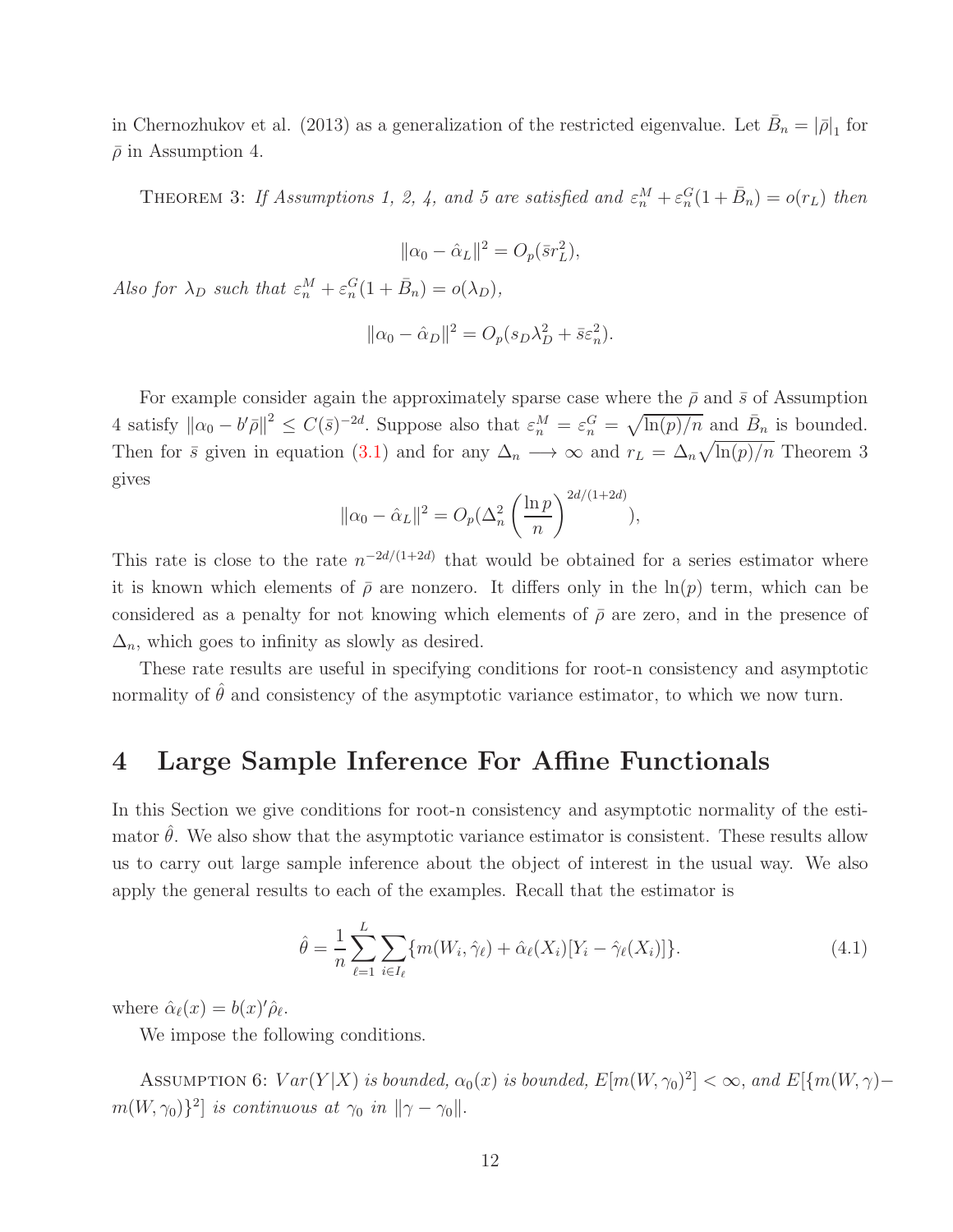in Chernozhukov et al. (2013) as a generalization of the restricted eigenvalue. Let  $\bar{B}_n = |\bar{\rho}|_1$  for  $\bar{\rho}$  in Assumption 4.

THEOREM 3: If Assumptions 1, 2, 4, and 5 are satisfied and  $\varepsilon_n^M + \varepsilon_n^G(1 + \bar{B}_n) = o(r_L)$  then

$$
\|\alpha_0 - \hat{\alpha}_L\|^2 = O_p(\bar{s}r_L^2),
$$

Also for  $\lambda_D$  such that  $\varepsilon_n^M + \varepsilon_n^G(1 + \bar{B}_n) = o(\lambda_D)$ ,

$$
\|\alpha_0 - \hat{\alpha}_D\|^2 = O_p(s_D\lambda_D^2 + \bar{s}\varepsilon_n^2).
$$

For example consider again the approximately sparse case where the  $\bar{\rho}$  and  $\bar{s}$  of Assumption 4 satisfy  $\|\alpha_0 - b'\bar{\rho}\|^2 \le C(\bar{s})^{-2d}$ . Suppose also that  $\varepsilon_n^M = \varepsilon_n^G = \sqrt{\ln(p)/n}$  and  $\bar{B}_n$  is bounded. Then for  $\bar{s}$  given in equation [\(3.1\)](#page-10-0) and for any  $\Delta_n \to \infty$  and  $r_L = \Delta_n \sqrt{\ln(p)/n}$  Theorem 3 gives

$$
\|\alpha_0 - \hat{\alpha}_L\|^2 = O_p(\Delta_n^2 \left(\frac{\ln p}{n}\right)^{2d/(1+2d)}),
$$

This rate is close to the rate  $n^{-2d/(1+2d)}$  that would be obtained for a series estimator where it is known which elements of  $\bar{\rho}$  are nonzero. It differs only in the ln(p) term, which can be considered as a penalty for not knowing which elements of  $\bar{\rho}$  are zero, and in the presence of  $\Delta_n$ , which goes to infinity as slowly as desired.

These rate results are useful in specifying conditions for root-n consistency and asymptotic normality of  $\hat{\theta}$  and consistency of the asymptotic variance estimator, to which we now turn.

## 4 Large Sample Inference For Affine Functionals

In this Section we give conditions for root-n consistency and asymptotic normality of the estimator  $\hat{\theta}$ . We also show that the asymptotic variance estimator is consistent. These results allow us to carry out large sample inference about the object of interest in the usual way. We also apply the general results to each of the examples. Recall that the estimator is

$$
\hat{\theta} = \frac{1}{n} \sum_{\ell=1}^{L} \sum_{i \in I_{\ell}} \{ m(W_i, \hat{\gamma}_{\ell}) + \hat{\alpha}_{\ell}(X_i) [Y_i - \hat{\gamma}_{\ell}(X_i)] \}.
$$
\n(4.1)

where  $\hat{\alpha}_{\ell}(x) = b(x)^{\prime} \hat{\rho}_{\ell}$ .

We impose the following conditions.

ASSUMPTION 6:  $Var(Y|X)$  is bounded,  $\alpha_0(x)$  is bounded,  $E[m(W, \gamma_0)^2] < \infty$ , and  $E[\{m(W, \gamma)$  $m(W, \gamma_0)\}^2$  is continuous at  $\gamma_0$  in  $\|\gamma - \gamma_0\|$ .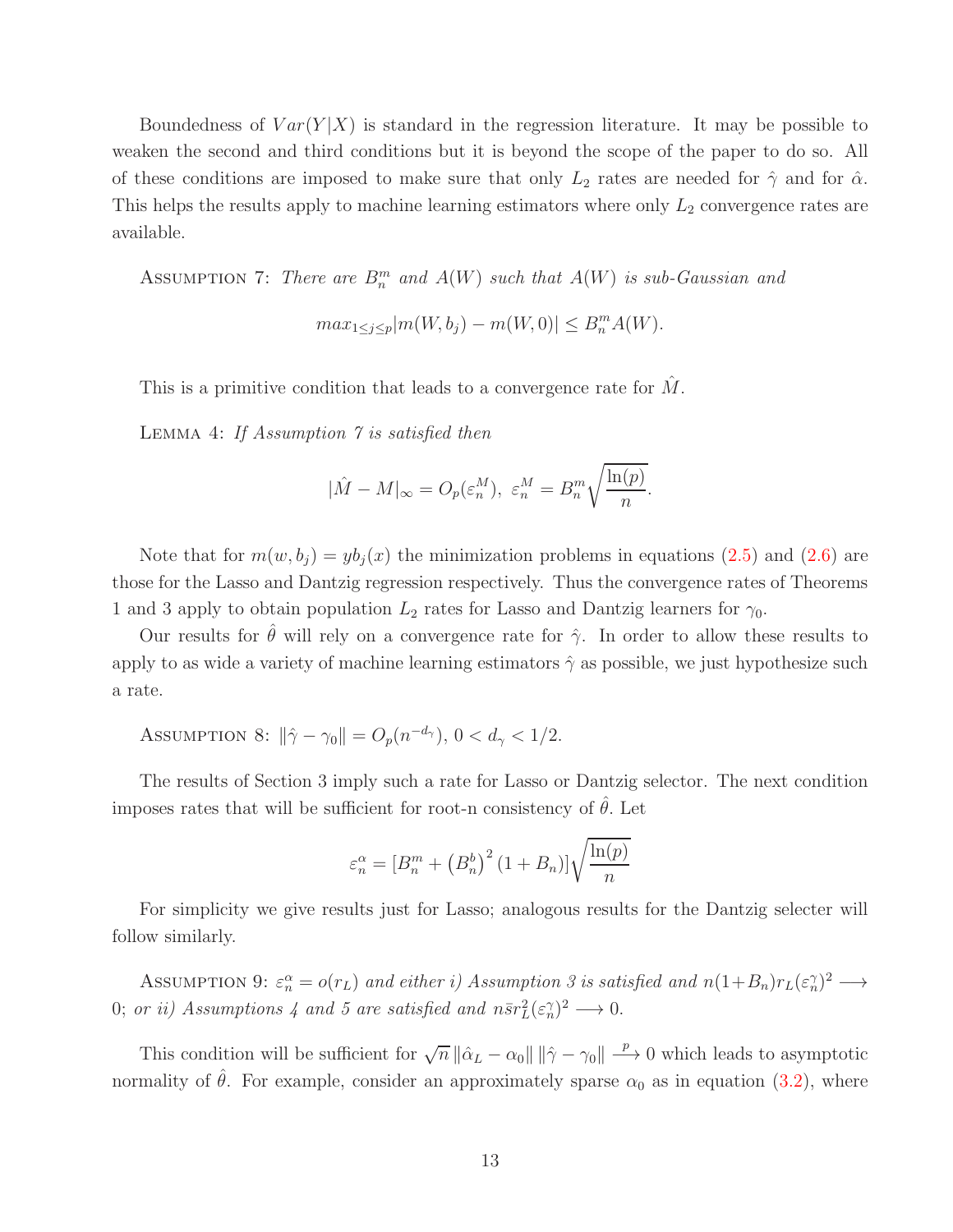Boundedness of  $Var(Y|X)$  is standard in the regression literature. It may be possible to weaken the second and third conditions but it is beyond the scope of the paper to do so. All of these conditions are imposed to make sure that only  $L_2$  rates are needed for  $\hat{\gamma}$  and for  $\hat{\alpha}$ . This helps the results apply to machine learning estimators where only  $L_2$  convergence rates are available.

ASSUMPTION 7: There are  $B_n^m$  and  $A(W)$  such that  $A(W)$  is sub-Gaussian and

$$
max_{1 \le j \le p} |m(W, b_j) - m(W, 0)| \le B_n^m A(W).
$$

This is a primitive condition that leads to a convergence rate for  $\hat{M}$ .

LEMMA 4: If Assumption 7 is satisfied then

$$
|\hat{M} - M|_{\infty} = O_p(\varepsilon_n^M), \ \varepsilon_n^M = B_n^m \sqrt{\frac{\ln(p)}{n}}.
$$

Note that for  $m(w, b_i) = y b_i(x)$  the minimization problems in equations [\(2.5\)](#page-7-0) and [\(2.6\)](#page-7-1) are those for the Lasso and Dantzig regression respectively. Thus the convergence rates of Theorems 1 and 3 apply to obtain population  $L_2$  rates for Lasso and Dantzig learners for  $\gamma_0$ .

Our results for  $\hat{\theta}$  will rely on a convergence rate for  $\hat{\gamma}$ . In order to allow these results to apply to as wide a variety of machine learning estimators  $\hat{\gamma}$  as possible, we just hypothesize such a rate.

ASSUMPTION 8:  $\|\hat{\gamma} - \gamma_0\| = O_p(n^{-d_\gamma}), 0 < d_\gamma < 1/2.$ 

The results of Section 3 imply such a rate for Lasso or Dantzig selector. The next condition imposes rates that will be sufficient for root-n consistency of  $\theta$ . Let

$$
\varepsilon_n^{\alpha} = \left[B_n^m + \left(B_n^b\right)^2 (1 + B_n)\right] \sqrt{\frac{\ln(p)}{n}}
$$

For simplicity we give results just for Lasso; analogous results for the Dantzig selecter will follow similarly.

ASSUMPTION 9:  $\varepsilon_n^{\alpha} = o(r_L)$  and either i) Assumption 3 is satisfied and  $n(1+B_n)r_L(\varepsilon_n^{\gamma})^2 \longrightarrow$ 0; or ii) Assumptions 4 and 5 are satisfied and  $n\bar{s}r_L^2(\epsilon_n^{\gamma})^2 \longrightarrow 0$ .

This condition will be sufficient for  $\sqrt{n} ||\hat{\alpha}_L - \alpha_0|| ||\hat{\gamma} - \gamma_0|| \stackrel{p}{\longrightarrow} 0$  which leads to asymptotic normality of  $\hat{\theta}$ . For example, consider an approximately sparse  $\alpha_0$  as in equation [\(3.2\)](#page-10-1), where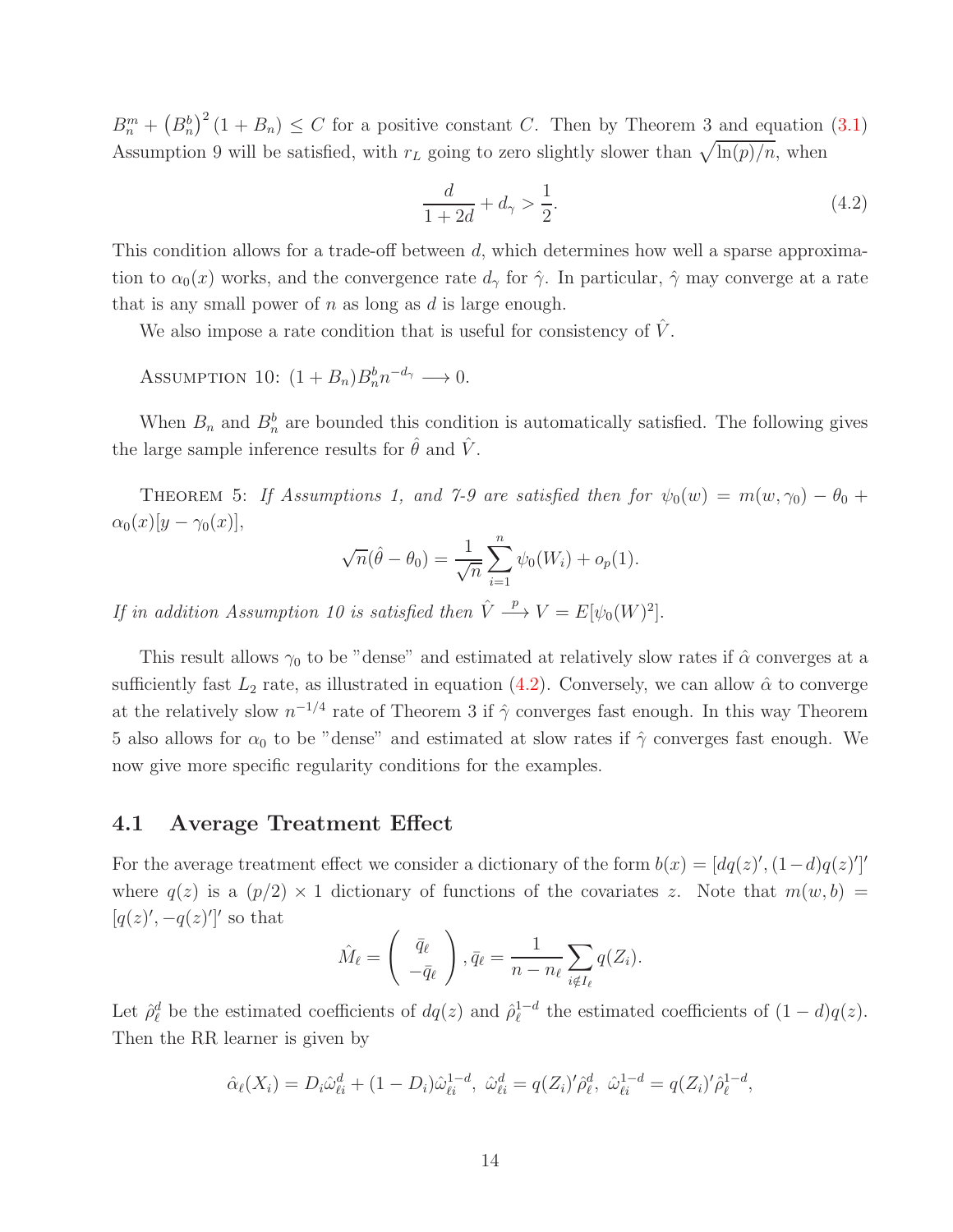$B_n^m + (B_n^b)^2 (1 + B_n) \leq C$  for a positive constant C. Then by Theorem 3 and equation [\(3.1\)](#page-10-0) Assumption 9 will be satisfied, with  $r<sub>L</sub>$  going to zero slightly slower than  $\sqrt{\ln(p)/n}$ , when

<span id="page-13-0"></span>
$$
\frac{d}{1+2d} + d_{\gamma} > \frac{1}{2}.\tag{4.2}
$$

This condition allows for a trade-off between d, which determines how well a sparse approximation to  $\alpha_0(x)$  works, and the convergence rate  $d_\gamma$  for  $\hat{\gamma}$ . In particular,  $\hat{\gamma}$  may converge at a rate that is any small power of  $n$  as long as  $d$  is large enough.

We also impose a rate condition that is useful for consistency of  $\hat{V}$ .

ASSUMPTION 10:  $(1 + B_n)B_n^b n^{-d_\gamma} \longrightarrow 0$ .

When  $B_n$  and  $B_n^b$  are bounded this condition is automatically satisfied. The following gives the large sample inference results for  $\hat{\theta}$  and  $\hat{V}$ .

THEOREM 5: If Assumptions 1, and 7-9 are satisfied then for  $\psi_0(w) = m(w, \gamma_0) - \theta_0 +$  $\alpha_0(x)[y-\gamma_0(x)],$ 

$$
\sqrt{n}(\hat{\theta} - \theta_0) = \frac{1}{\sqrt{n}} \sum_{i=1}^n \psi_0(W_i) + o_p(1).
$$

If in addition Assumption 10 is satisfied then  $\hat{V} \stackrel{p}{\longrightarrow} V = E[\psi_0(W)^2].$ 

This result allows  $\gamma_0$  to be "dense" and estimated at relatively slow rates if  $\hat{\alpha}$  converges at a sufficiently fast  $L_2$  rate, as illustrated in equation [\(4.2\)](#page-13-0). Conversely, we can allow  $\hat{\alpha}$  to converge at the relatively slow  $n^{-1/4}$  rate of Theorem 3 if  $\hat{\gamma}$  converges fast enough. In this way Theorem 5 also allows for  $\alpha_0$  to be "dense" and estimated at slow rates if  $\hat{\gamma}$  converges fast enough. We now give more specific regularity conditions for the examples.

#### 4.1 Average Treatment Effect

For the average treatment effect we consider a dictionary of the form  $b(x) = [dq(z)', (1-d)q(z)']'$ where  $q(z)$  is a  $(p/2) \times 1$  dictionary of functions of the covariates z. Note that  $m(w, b)$  $[q(z)', -q(z)']'$  so that

$$
\hat{M}_{\ell} = \begin{pmatrix} \bar{q}_{\ell} \\ -\bar{q}_{\ell} \end{pmatrix}, \bar{q}_{\ell} = \frac{1}{n - n_{\ell}} \sum_{i \notin I_{\ell}} q(Z_i).
$$

Let  $\hat{\rho}_{\ell}^d$  be the estimated coefficients of  $dq(z)$  and  $\hat{\rho}_{\ell}^{1-d}$  $\int_{\ell}^{1-d}$  the estimated coefficients of  $(1-d)q(z)$ . Then the RR learner is given by

$$
\hat{\alpha}_{\ell}(X_i) = D_i \hat{\omega}_{\ell i}^d + (1 - D_i) \hat{\omega}_{\ell i}^{1-d}, \ \hat{\omega}_{\ell i}^d = q(Z_i)' \hat{\rho}_{\ell}^d, \ \hat{\omega}_{\ell i}^{1-d} = q(Z_i)' \hat{\rho}_{\ell}^{1-d},
$$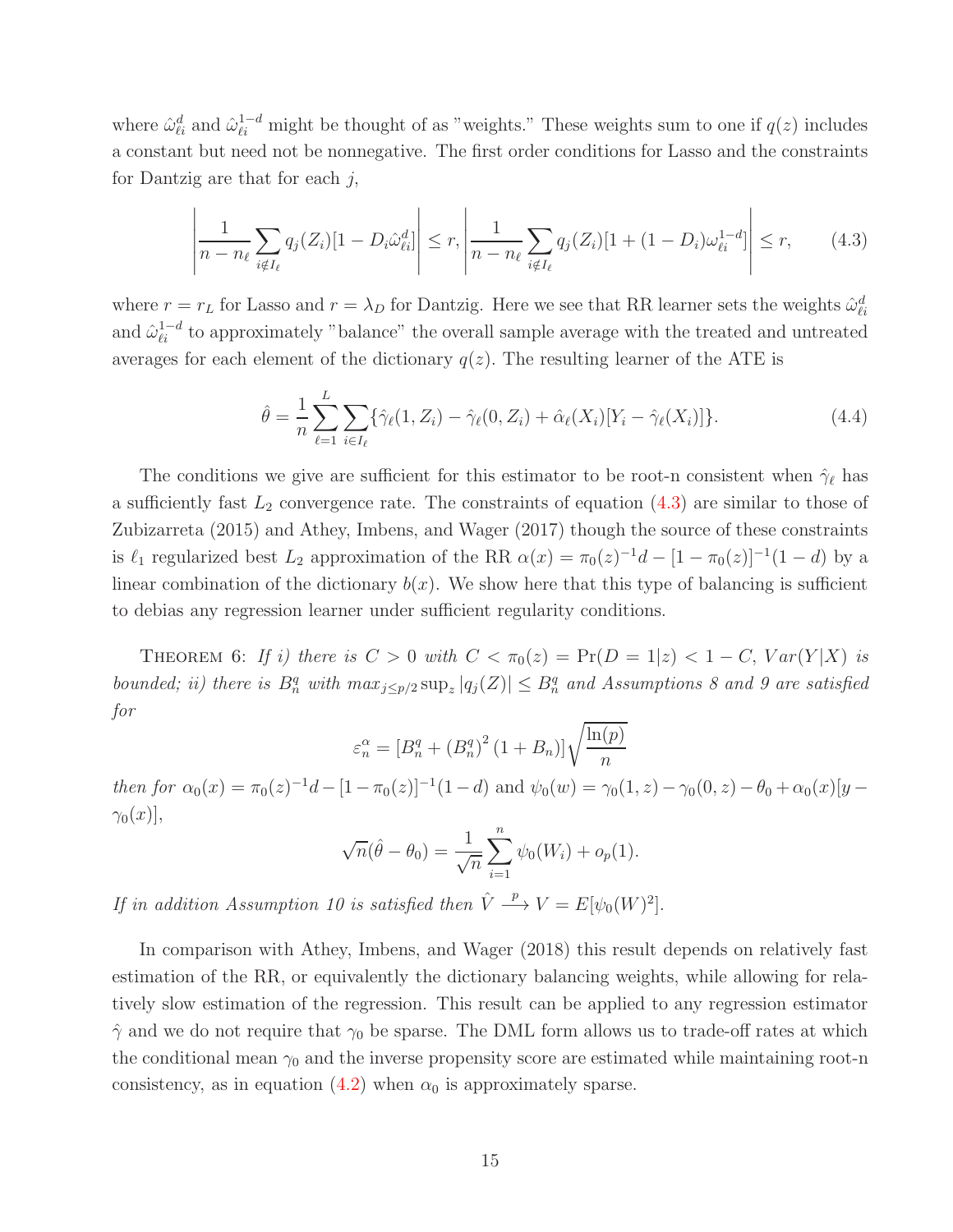where  $\hat{\omega}_{\ell i}^d$  and  $\hat{\omega}_{\ell i}^{1-d}$  might be thought of as "weights." These weights sum to one if  $q(z)$  includes a constant but need not be nonnegative. The first order conditions for Lasso and the constraints for Dantzig are that for each  $j$ ,

<span id="page-14-0"></span>
$$
\left| \frac{1}{n - n_{\ell}} \sum_{i \notin I_{\ell}} q_j(Z_i) [1 - D_i \hat{\omega}_{\ell i}^d] \right| \le r, \left| \frac{1}{n - n_{\ell}} \sum_{i \notin I_{\ell}} q_j(Z_i) [1 + (1 - D_i) \omega_{\ell i}^{1 - d}] \right| \le r, \tag{4.3}
$$

where  $r = r_L$  for Lasso and  $r = \lambda_D$  for Dantzig. Here we see that RR learner sets the weights  $\hat{\omega}_{\ell i}^d$ and  $\hat{\omega}_{\ell i}^{1-d}$  to approximately "balance" the overall sample average with the treated and untreated averages for each element of the dictionary  $q(z)$ . The resulting learner of the ATE is

$$
\hat{\theta} = \frac{1}{n} \sum_{\ell=1}^{L} \sum_{i \in I_{\ell}} \{ \hat{\gamma}_{\ell}(1, Z_i) - \hat{\gamma}_{\ell}(0, Z_i) + \hat{\alpha}_{\ell}(X_i) [Y_i - \hat{\gamma}_{\ell}(X_i)] \}.
$$
\n(4.4)

The conditions we give are sufficient for this estimator to be root-n consistent when  $\hat{\gamma}_{\ell}$  has a sufficiently fast  $L_2$  convergence rate. The constraints of equation  $(4.3)$  are similar to those of Zubizarreta (2015) and Athey, Imbens, and Wager (2017) though the source of these constraints is  $\ell_1$  regularized best  $L_2$  approximation of the RR  $\alpha(x) = \pi_0(z)^{-1}d - [1 - \pi_0(z)]^{-1}(1 - d)$  by a linear combination of the dictionary  $b(x)$ . We show here that this type of balancing is sufficient to debias any regression learner under sufficient regularity conditions.

THEOREM 6: If i) there is  $C > 0$  with  $C < \pi_0(z) = \Pr(D = 1|z) < 1 - C$ ,  $Var(Y|X)$  is bounded; ii) there is  $B_n^q$  with  $\max_{j\leq p/2} \sup_z |q_j(Z)| \leq B_n^q$  and Assumptions 8 and 9 are satisfied for

$$
\varepsilon_n^{\alpha} = \left[B_n^q + \left(B_n^q\right)^2 (1 + B_n)\right] \sqrt{\frac{\ln(p)}{n}}
$$

then for  $\alpha_0(x) = \pi_0(z)^{-1}d - [1 - \pi_0(z)]^{-1}(1 - d)$  and  $\psi_0(w) = \gamma_0(1, z) - \gamma_0(0, z) - \theta_0 + \alpha_0(x)[y \gamma_0(x)$ ,

$$
\sqrt{n}(\hat{\theta} - \theta_0) = \frac{1}{\sqrt{n}} \sum_{i=1}^{n} \psi_0(W_i) + o_p(1).
$$

If in addition Assumption 10 is satisfied then  $\hat{V} \stackrel{p}{\longrightarrow} V = E[\psi_0(W)^2].$ 

In comparison with Athey, Imbens, and Wager (2018) this result depends on relatively fast estimation of the RR, or equivalently the dictionary balancing weights, while allowing for relatively slow estimation of the regression. This result can be applied to any regression estimator  $\hat{\gamma}$  and we do not require that  $\gamma_0$  be sparse. The DML form allows us to trade-off rates at which the conditional mean  $\gamma_0$  and the inverse propensity score are estimated while maintaining root-n consistency, as in equation [\(4.2\)](#page-13-0) when  $\alpha_0$  is approximately sparse.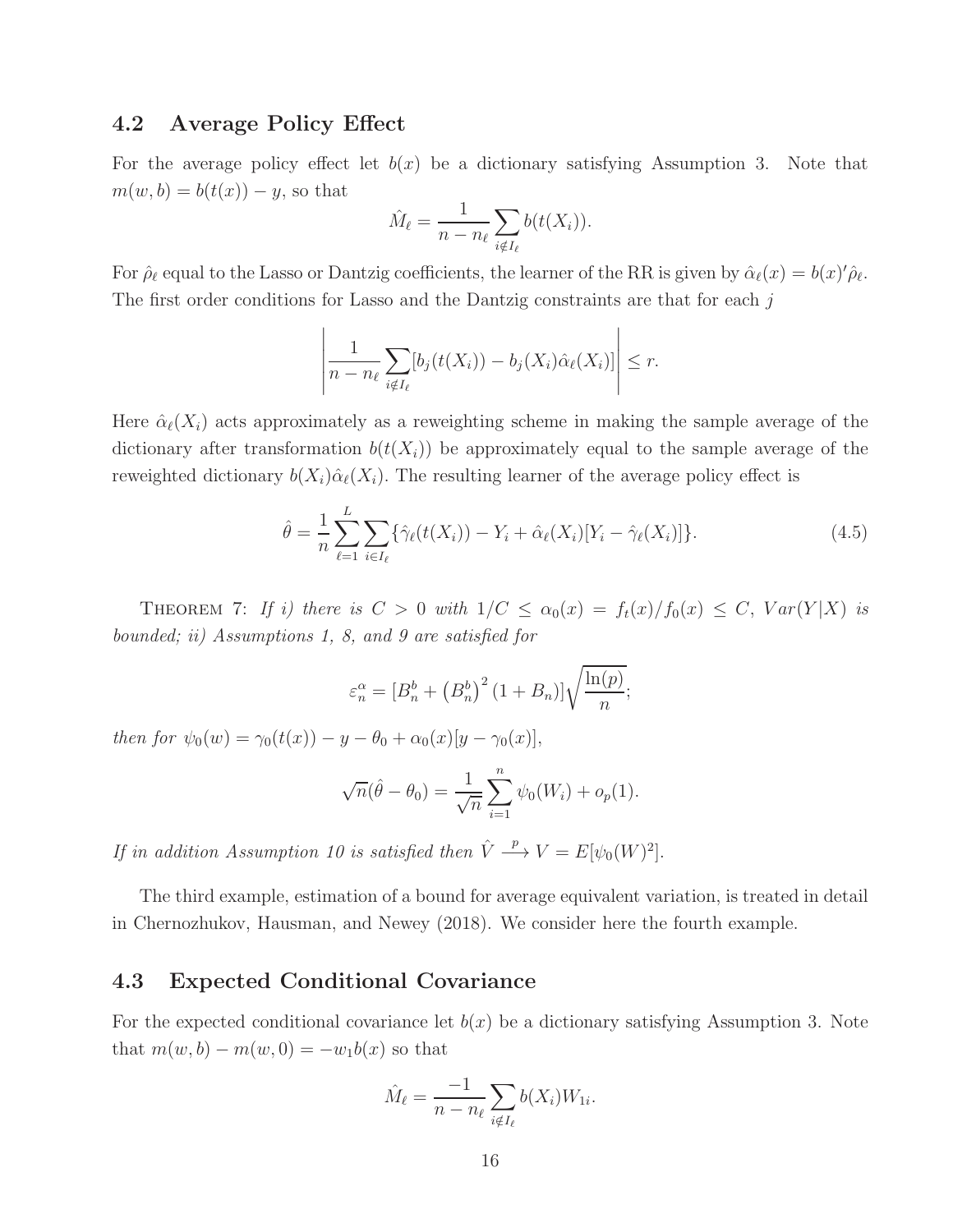## 4.2 Average Policy Effect

For the average policy effect let  $b(x)$  be a dictionary satisfying Assumption 3. Note that  $m(w, b) = b(t(x)) - y$ , so that

$$
\hat{M}_{\ell} = \frac{1}{n - n_{\ell}} \sum_{i \notin I_{\ell}} b(t(X_i)).
$$

For  $\hat{\rho}_{\ell}$  equal to the Lasso or Dantzig coefficients, the learner of the RR is given by  $\hat{\alpha}_{\ell}(x) = b(x)'\hat{\rho}_{\ell}$ . The first order conditions for Lasso and the Dantzig constraints are that for each j

$$
\left|\frac{1}{n-n_{\ell}}\sum_{i\notin I_{\ell}}[b_j(t(X_i))-b_j(X_i)\hat{\alpha}_{\ell}(X_i)]\right|\leq r.
$$

Here  $\hat{\alpha}_{\ell}(X_i)$  acts approximately as a reweighting scheme in making the sample average of the dictionary after transformation  $b(t(X_i))$  be approximately equal to the sample average of the reweighted dictionary  $b(X_i)\hat{\alpha}_{\ell}(X_i)$ . The resulting learner of the average policy effect is

$$
\hat{\theta} = \frac{1}{n} \sum_{\ell=1}^{L} \sum_{i \in I_{\ell}} \{ \hat{\gamma}_{\ell}(t(X_i)) - Y_i + \hat{\alpha}_{\ell}(X_i) [Y_i - \hat{\gamma}_{\ell}(X_i)] \}.
$$
\n(4.5)

THEOREM 7: If i) there is  $C > 0$  with  $1/C \le \alpha_0(x) = f_t(x)/f_0(x) \le C$ ,  $Var(Y|X)$  is bounded; ii) Assumptions 1, 8, and 9 are satisfied for

$$
\varepsilon_n^{\alpha} = \left[B_n^b + \left(B_n^b\right)^2 (1 + B_n)\right] \sqrt{\frac{\ln(p)}{n}};
$$

then for  $\psi_0(w) = \gamma_0(t(x)) - y - \theta_0 + \alpha_0(x)[y - \gamma_0(x)],$ 

$$
\sqrt{n}(\hat{\theta} - \theta_0) = \frac{1}{\sqrt{n}} \sum_{i=1}^n \psi_0(W_i) + o_p(1).
$$

If in addition Assumption 10 is satisfied then  $\hat{V} \stackrel{p}{\longrightarrow} V = E[\psi_0(W)^2].$ 

The third example, estimation of a bound for average equivalent variation, is treated in detail in Chernozhukov, Hausman, and Newey (2018). We consider here the fourth example.

## 4.3 Expected Conditional Covariance

For the expected conditional covariance let  $b(x)$  be a dictionary satisfying Assumption 3. Note that  $m(w, b) - m(w, 0) = -w_1b(x)$  so that

$$
\hat{M}_{\ell} = \frac{-1}{n - n_{\ell}} \sum_{i \notin I_{\ell}} b(X_i) W_{1i}.
$$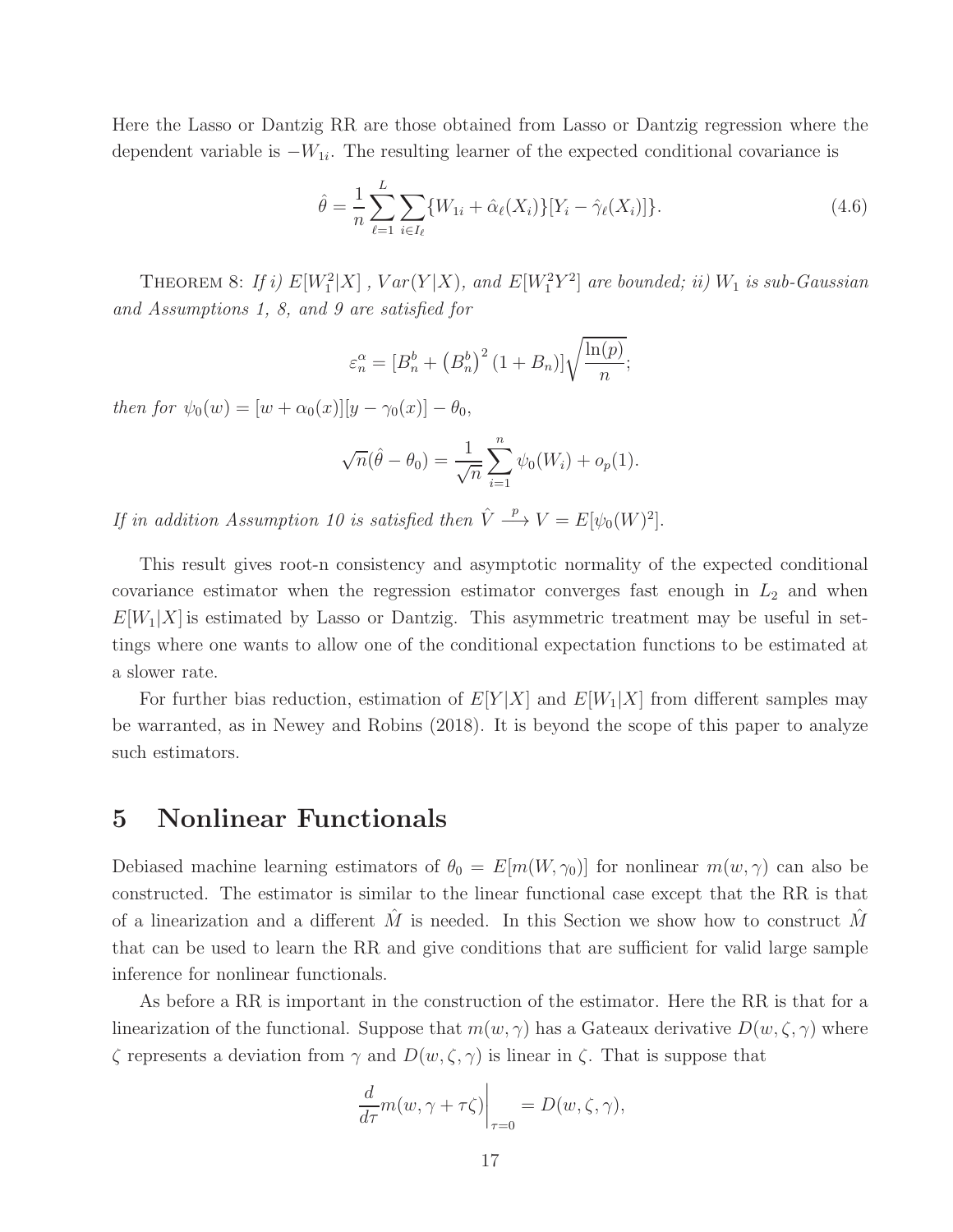Here the Lasso or Dantzig RR are those obtained from Lasso or Dantzig regression where the dependent variable is  $-W_{1i}$ . The resulting learner of the expected conditional covariance is

$$
\hat{\theta} = \frac{1}{n} \sum_{\ell=1}^{L} \sum_{i \in I_{\ell}} \{ W_{1i} + \hat{\alpha}_{\ell}(X_i) \} [Y_i - \hat{\gamma}_{\ell}(X_i)] \}.
$$
\n(4.6)

THEOREM 8: If i)  $E[W_1^2|X]$ ,  $Var(Y|X)$ , and  $E[W_1^2Y^2]$  are bounded; ii)  $W_1$  is sub-Gaussian and Assumptions 1, 8, and 9 are satisfied for

$$
\varepsilon_n^{\alpha} = \left[B_n^b + \left(B_n^b\right)^2 (1 + B_n)\right] \sqrt{\frac{\ln(p)}{n}};
$$

then for  $\psi_0(w) = [w + \alpha_0(x)][y - \gamma_0(x)] - \theta_0$ ,

$$
\sqrt{n}(\hat{\theta} - \theta_0) = \frac{1}{\sqrt{n}} \sum_{i=1}^{n} \psi_0(W_i) + o_p(1).
$$

If in addition Assumption 10 is satisfied then  $\hat{V} \stackrel{p}{\longrightarrow} V = E[\psi_0(W)^2].$ 

This result gives root-n consistency and asymptotic normality of the expected conditional covariance estimator when the regression estimator converges fast enough in  $L_2$  and when  $E[W_1|X]$  is estimated by Lasso or Dantzig. This asymmetric treatment may be useful in settings where one wants to allow one of the conditional expectation functions to be estimated at a slower rate.

For further bias reduction, estimation of  $E[Y|X]$  and  $E[W_1|X]$  from different samples may be warranted, as in Newey and Robins (2018). It is beyond the scope of this paper to analyze such estimators.

## 5 Nonlinear Functionals

Debiased machine learning estimators of  $\theta_0 = E[m(W, \gamma_0)]$  for nonlinear  $m(w, \gamma)$  can also be constructed. The estimator is similar to the linear functional case except that the RR is that of a linearization and a different  $\tilde{M}$  is needed. In this Section we show how to construct  $\tilde{M}$ that can be used to learn the RR and give conditions that are sufficient for valid large sample inference for nonlinear functionals.

As before a RR is important in the construction of the estimator. Here the RR is that for a linearization of the functional. Suppose that  $m(w, \gamma)$  has a Gateaux derivative  $D(w, \zeta, \gamma)$  where ζ represents a deviation from γ and D(w, ζ, γ) is linear in ζ. That is suppose that

$$
\left. \frac{d}{d\tau} m(w, \gamma + \tau \zeta) \right|_{\tau=0} = D(w, \zeta, \gamma),
$$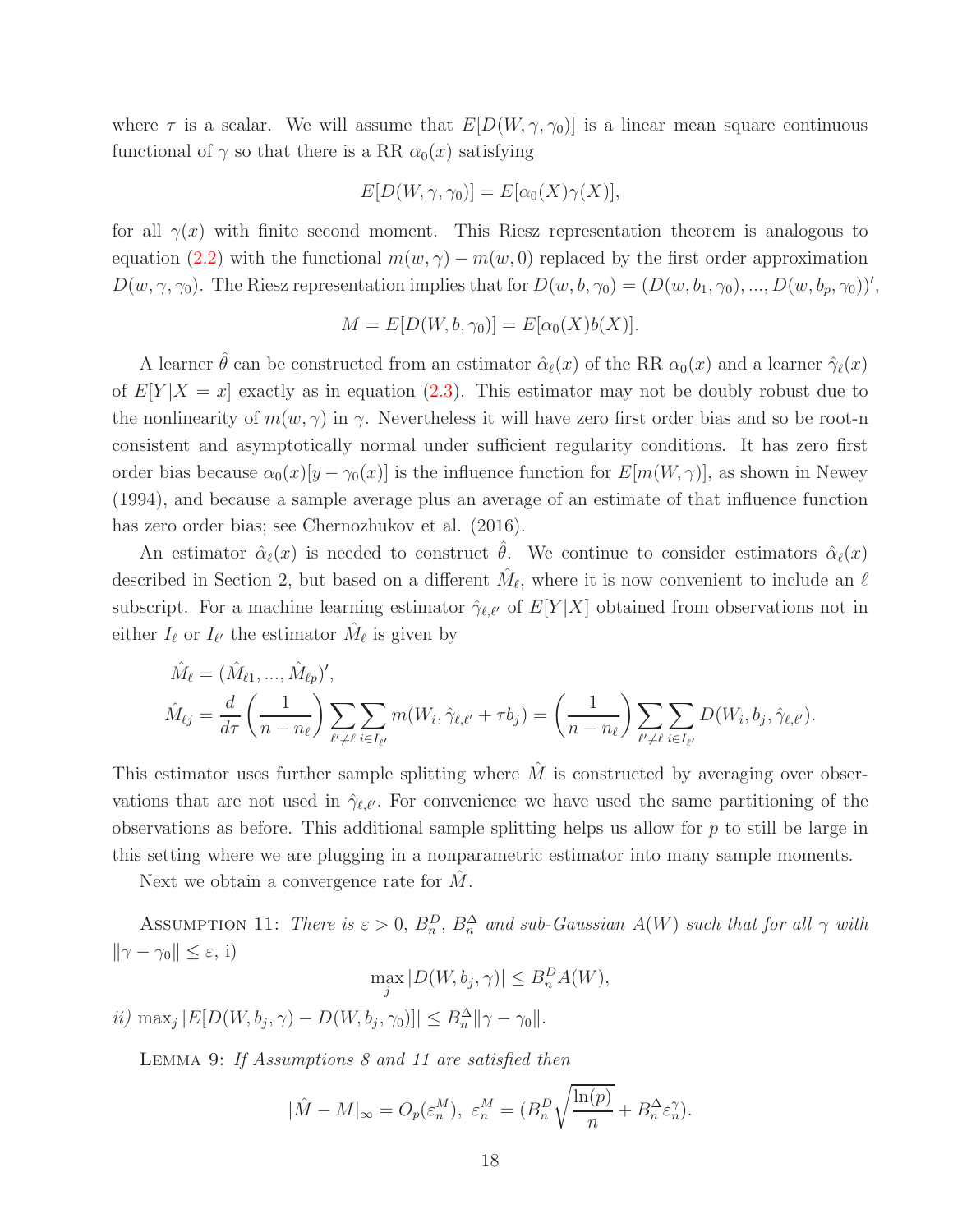where  $\tau$  is a scalar. We will assume that  $E[D(W, \gamma, \gamma_0)]$  is a linear mean square continuous functional of  $\gamma$  so that there is a RR  $\alpha_0(x)$  satisfying

$$
E[D(W, \gamma, \gamma_0)] = E[\alpha_0(X)\gamma(X)],
$$

for all  $\gamma(x)$  with finite second moment. This Riesz representation theorem is analogous to equation [\(2.2\)](#page-4-0) with the functional  $m(w, \gamma) - m(w, 0)$  replaced by the first order approximation  $D(w, \gamma, \gamma_0)$ . The Riesz representation implies that for  $D(w, b, \gamma_0) = (D(w, b_1, \gamma_0), ..., D(w, b_p, \gamma_0))'$ ,

$$
M = E[D(W, b, \gamma_0)] = E[\alpha_0(X)b(X)].
$$

A learner  $\hat{\theta}$  can be constructed from an estimator  $\hat{\alpha}_{\ell}(x)$  of the RR  $\alpha_0(x)$  and a learner  $\hat{\gamma}_{\ell}(x)$ of  $E[Y|X=x]$  exactly as in equation [\(2.3\)](#page-6-1). This estimator may not be doubly robust due to the nonlinearity of  $m(w, \gamma)$  in  $\gamma$ . Nevertheless it will have zero first order bias and so be root-n consistent and asymptotically normal under sufficient regularity conditions. It has zero first order bias because  $\alpha_0(x)[y - \gamma_0(x)]$  is the influence function for  $E[m(W, \gamma)]$ , as shown in Newey (1994), and because a sample average plus an average of an estimate of that influence function has zero order bias; see Chernozhukov et al. (2016).

An estimator  $\hat{\alpha}_{\ell}(x)$  is needed to construct  $\hat{\theta}$ . We continue to consider estimators  $\hat{\alpha}_{\ell}(x)$ described in Section 2, but based on a different  $\hat{M}_{\ell}$ , where it is now convenient to include an  $\ell$ subscript. For a machine learning estimator  $\hat{\gamma}_{\ell,\ell'}$  of  $E[Y|X]$  obtained from observations not in either  $I_{\ell}$  or  $I_{\ell'}$  the estimator  $\hat{M}_{\ell}$  is given by

$$
\hat{M}_{\ell} = (\hat{M}_{\ell 1}, ..., \hat{M}_{\ell p})',
$$
\n
$$
\hat{M}_{\ell j} = \frac{d}{d\tau} \left(\frac{1}{n - n_{\ell}}\right) \sum_{\ell' \neq \ell} \sum_{i \in I_{\ell'}} m(W_i, \hat{\gamma}_{\ell, \ell'} + \tau b_j) = \left(\frac{1}{n - n_{\ell}}\right) \sum_{\ell' \neq \ell} \sum_{i \in I_{\ell'}} D(W_i, b_j, \hat{\gamma}_{\ell, \ell'}).
$$

This estimator uses further sample splitting where  $\hat{M}$  is constructed by averaging over observations that are not used in  $\hat{\gamma}_{\ell,\ell'}$ . For convenience we have used the same partitioning of the observations as before. This additional sample splitting helps us allow for  $p$  to still be large in this setting where we are plugging in a nonparametric estimator into many sample moments.

Next we obtain a convergence rate for  $\tilde{M}$ .

ASSUMPTION 11: There is  $\varepsilon > 0$ ,  $B_n^D$ ,  $B_n^{\Delta}$  and sub-Gaussian  $A(W)$  such that for all  $\gamma$  with  $\|\gamma - \gamma_0\| \leq \varepsilon$ , i)

$$
\max_{j} |D(W, b_j, \gamma)| \le B_n^D A(W),
$$

ii) max<sub>j</sub>  $|E[D(W, b_j, \gamma) - D(W, b_j, \gamma_0)]| \leq B_n^{\Delta} ||\gamma - \gamma_0||.$ 

LEMMA 9: If Assumptions 8 and 11 are satisfied then

$$
|\hat{M} - M|_{\infty} = O_p(\varepsilon_n^M), \ \varepsilon_n^M = (B_n^D \sqrt{\frac{\ln(p)}{n}} + B_n^{\Delta} \varepsilon_n^{\gamma}).
$$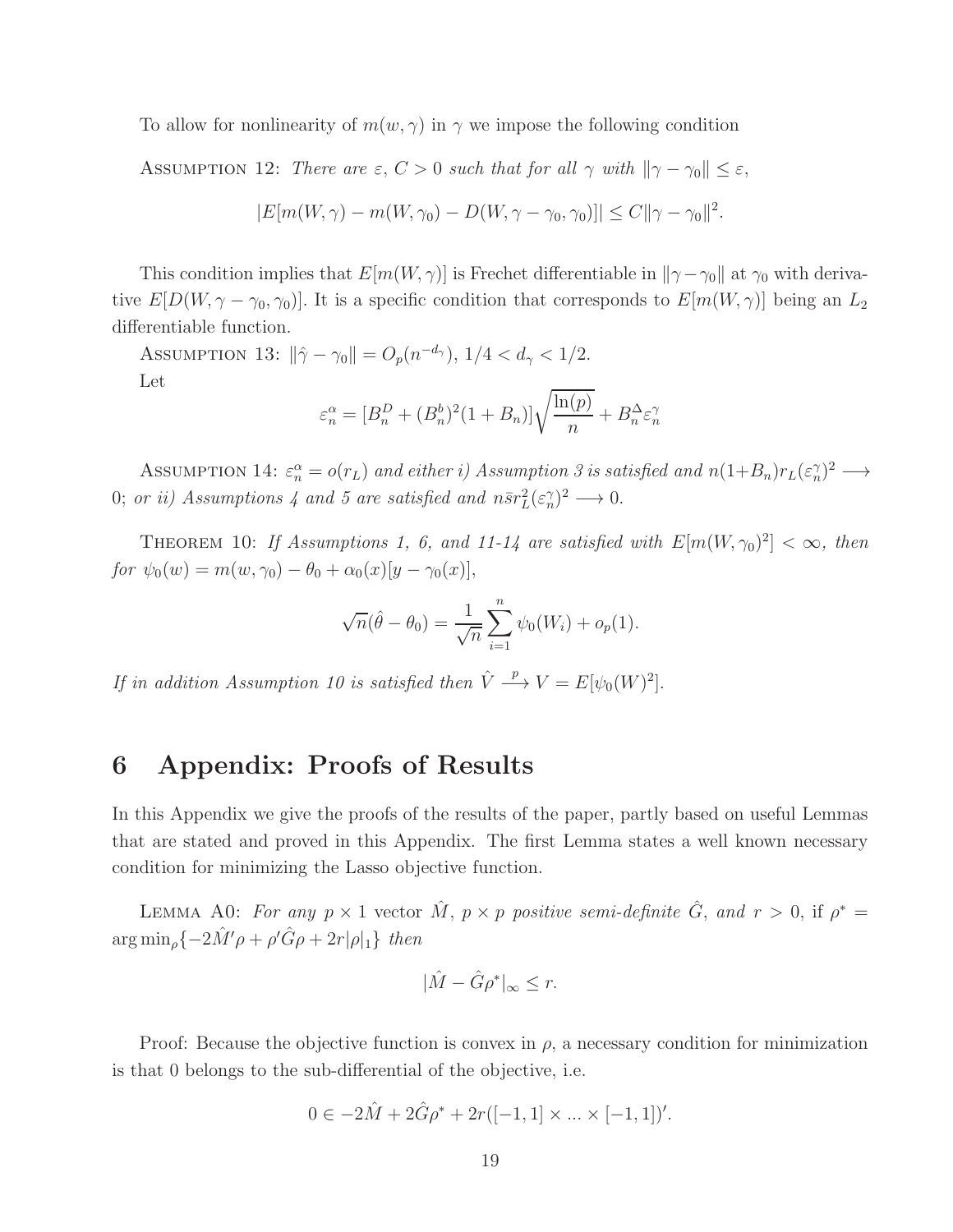To allow for nonlinearity of  $m(w, \gamma)$  in  $\gamma$  we impose the following condition

ASSUMPTION 12: There are  $\varepsilon$ ,  $C > 0$  such that for all  $\gamma$  with  $\|\gamma - \gamma_0\| \leq \varepsilon$ ,

$$
|E[m(W, \gamma) - m(W, \gamma_0) - D(W, \gamma - \gamma_0, \gamma_0)]| \le C ||\gamma - \gamma_0||^2.
$$

This condition implies that  $E[m(W, \gamma)]$  is Frechet differentiable in  $\|\gamma - \gamma_0\|$  at  $\gamma_0$  with derivative  $E[D(W, \gamma - \gamma_0, \gamma_0)]$ . It is a specific condition that corresponds to  $E[m(W, \gamma)]$  being an  $L_2$ differentiable function.

ASSUMPTION 13:  $\|\hat{\gamma} - \gamma_0\| = O_p(n^{-d_\gamma}), 1/4 < d_\gamma < 1/2.$ Let

$$
\varepsilon_n^{\alpha} = [B_n^D + (B_n^b)^2 (1 + B_n)] \sqrt{\frac{\ln(p)}{n}} + B_n^{\Delta} \varepsilon_n^{\gamma}
$$

ASSUMPTION 14:  $\varepsilon_n^{\alpha} = o(r_L)$  and either i) Assumption 3 is satisfied and  $n(1+B_n)r_L(\varepsilon_n^{\gamma})^2 \longrightarrow$ 0; or ii) Assumptions 4 and 5 are satisfied and  $n\bar{s}r_L^2(\epsilon_n^{\gamma})^2 \longrightarrow 0$ .

THEOREM 10: If Assumptions 1, 6, and 11-14 are satisfied with  $E[m(W, \gamma_0)^2] < \infty$ , then for  $\psi_0(w) = m(w, \gamma_0) - \theta_0 + \alpha_0(x)[y - \gamma_0(x)],$ 

$$
\sqrt{n}(\hat{\theta} - \theta_0) = \frac{1}{\sqrt{n}} \sum_{i=1}^{n} \psi_0(W_i) + o_p(1).
$$

If in addition Assumption 10 is satisfied then  $\hat{V} \stackrel{p}{\longrightarrow} V = E[\psi_0(W)^2].$ 

# 6 Appendix: Proofs of Results

In this Appendix we give the proofs of the results of the paper, partly based on useful Lemmas that are stated and proved in this Appendix. The first Lemma states a well known necessary condition for minimizing the Lasso objective function.

LEMMA A0: For any  $p \times 1$  vector  $\hat{M}$ ,  $p \times p$  positive semi-definite  $\hat{G}$ , and  $r > 0$ , if  $p^* =$  $\arg \min_{\rho} \{-2\hat{M}'\rho + \rho'\hat{G}\rho + 2r|\rho|_1\}$  then

$$
|\hat{M} - \hat{G}\rho^*|_{\infty} \le r.
$$

Proof: Because the objective function is convex in  $\rho$ , a necessary condition for minimization is that 0 belongs to the sub-differential of the objective, i.e.

$$
0 \in -2\hat{M} + 2\hat{G}\rho^* + 2r([-1, 1] \times ... \times [-1, 1])'.
$$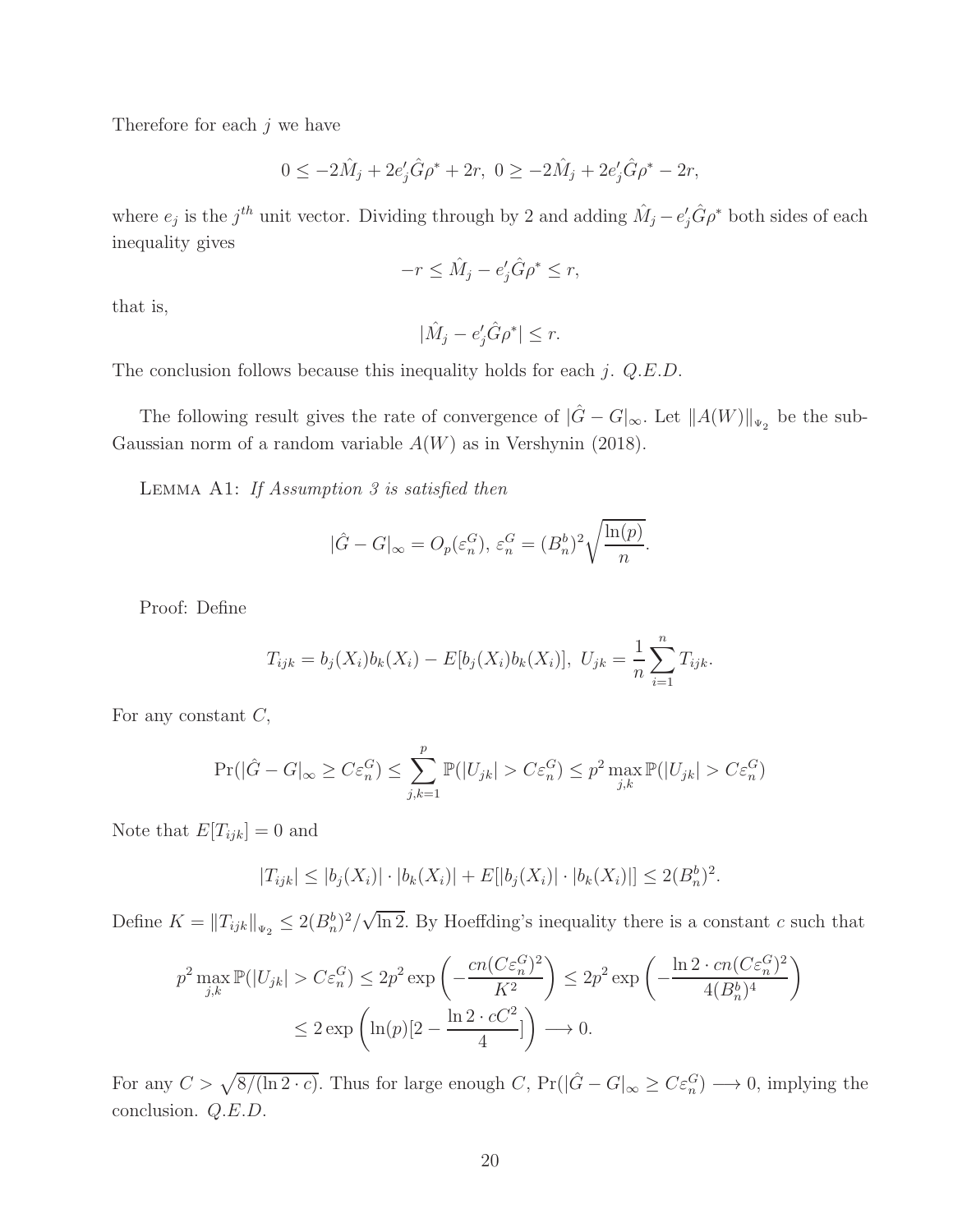Therefore for each  $j$  we have

$$
0 \le -2\hat{M}_j + 2e'_j \hat{G} \rho^* + 2r, \ 0 \ge -2\hat{M}_j + 2e'_j \hat{G} \rho^* - 2r,
$$

where  $e_j$  is the j<sup>th</sup> unit vector. Dividing through by 2 and adding  $\hat{M}_j - e'_j \hat{G} \rho^*$  both sides of each inequality gives

$$
-r \leq \hat{M}_j - e'_j \hat{G} \rho^* \leq r,
$$

that is,

$$
|\hat{M}_j - e'_j \hat{G} \rho^*| \le r.
$$

The conclusion follows because this inequality holds for each  $j$ .  $Q.E.D$ .

The following result gives the rate of convergence of  $|\hat{G} - G|_{\infty}$ . Let  $||A(W)||_{\Psi_2}$  be the sub-Gaussian norm of a random variable  $A(W)$  as in Vershynin (2018).

LEMMA A1: If Assumption 3 is satisfied then

$$
|\hat{G} - G|_{\infty} = O_p(\varepsilon_n^G), \, \varepsilon_n^G = (B_n^b)^2 \sqrt{\frac{\ln(p)}{n}}.
$$

Proof: Define

$$
T_{ijk} = b_j(X_i)b_k(X_i) - E[b_j(X_i)b_k(X_i)], \ U_{jk} = \frac{1}{n} \sum_{i=1}^n T_{ijk}.
$$

For any constant  $C$ ,

$$
\Pr(|\hat{G} - G|_{\infty} \ge C\varepsilon_n^G) \le \sum_{j,k=1}^p \mathbb{P}(|U_{jk}| > C\varepsilon_n^G) \le p^2 \max_{j,k} \mathbb{P}(|U_{jk}| > C\varepsilon_n^G)
$$

Note that  $E[T_{ijk}] = 0$  and

$$
|T_{ijk}| \le |b_j(X_i)| \cdot |b_k(X_i)| + E[|b_j(X_i)| \cdot |b_k(X_i)|] \le 2(B_n^b)^2.
$$

Define  $K = ||T_{ijk}||_{\Psi_2} \leq 2(B_n^b)^2/\sqrt{\ln 2}$ . By Hoeffding's inequality there is a constant c such that

$$
p^2 \max_{j,k} \mathbb{P}(|U_{jk}| > C\varepsilon_n^G) \le 2p^2 \exp\left(-\frac{cn(C\varepsilon_n^G)^2}{K^2}\right) \le 2p^2 \exp\left(-\frac{\ln 2 \cdot cn(C\varepsilon_n^G)^2}{4(B_n^b)^4}\right)
$$
  

$$
\le 2 \exp\left(\ln(p)[2 - \frac{\ln 2 \cdot cC^2}{4}]\right) \longrightarrow 0.
$$

For any  $C > \sqrt{\frac{8}{(\ln 2 \cdot c)}}$ . Thus for large enough  $C$ ,  $Pr(|\hat{G} - G|_{\infty} \geq C \varepsilon_n^G) \longrightarrow 0$ , implying the conclusion. Q.E.D.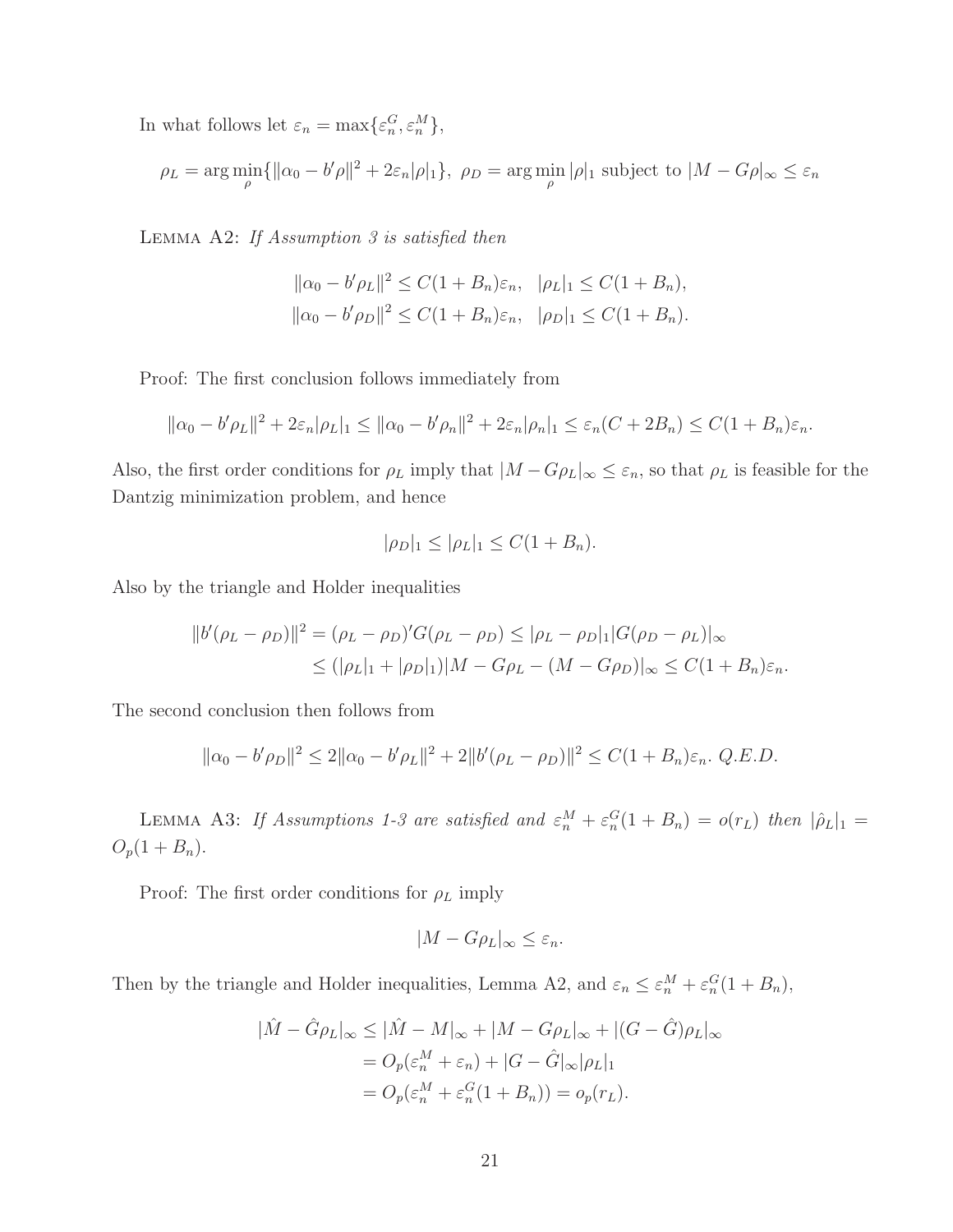In what follows let  $\varepsilon_n = \max{\{\varepsilon_n^G, \varepsilon_n^M\}},$ 

$$
\rho_L = \arg\min_{\rho} \{ ||\alpha_0 - b'\rho||^2 + 2\varepsilon_n|\rho|_1 \}, \ \rho_D = \arg\min_{\rho} |\rho|_1 \text{ subject to } |M - G\rho|_{\infty} \le \varepsilon_n
$$

LEMMA A2: If Assumption  $3$  is satisfied then

$$
\|\alpha_0 - b'\rho_L\|^2 \le C(1 + B_n)\varepsilon_n, \quad |\rho_L|_1 \le C(1 + B_n),
$$
  

$$
\|\alpha_0 - b'\rho_D\|^2 \le C(1 + B_n)\varepsilon_n, \quad |\rho_D|_1 \le C(1 + B_n).
$$

Proof: The first conclusion follows immediately from

$$
\|\alpha_0 - b'\rho_L\|^2 + 2\varepsilon_n|\rho_L|_1 \le \|\alpha_0 - b'\rho_n\|^2 + 2\varepsilon_n|\rho_n|_1 \le \varepsilon_n(C + 2B_n) \le C(1 + B_n)\varepsilon_n.
$$

Also, the first order conditions for  $\rho_L$  imply that  $|M - G\rho_L|_{\infty} \leq \varepsilon_n$ , so that  $\rho_L$  is feasible for the Dantzig minimization problem, and hence

$$
|\rho_D|_1 \le |\rho_L|_1 \le C(1+B_n).
$$

Also by the triangle and Holder inequalities

$$
||b'(\rho_L - \rho_D)||^2 = (\rho_L - \rho_D)'G(\rho_L - \rho_D) \le |\rho_L - \rho_D|_1|G(\rho_D - \rho_L)|_{\infty}
$$
  
 
$$
\le (|\rho_L|_1 + |\rho_D|_1)|M - G\rho_L - (M - G\rho_D)|_{\infty} \le C(1 + B_n)\varepsilon_n.
$$

The second conclusion then follows from

$$
\|\alpha_0 - b'\rho_D\|^2 \le 2\|\alpha_0 - b'\rho_L\|^2 + 2\|b'(\rho_L - \rho_D)\|^2 \le C(1 + B_n)\varepsilon_n. \ Q.E.D.
$$

LEMMA A3: If Assumptions 1-3 are satisfied and  $\varepsilon_n^M + \varepsilon_n^G(1 + B_n) = o(r_L)$  then  $|\hat{\rho}_L|_1 =$  $O_p(1 + B_n).$ 

Proof: The first order conditions for  $\rho_L$  imply

$$
|M - G\rho_L|_{\infty} \le \varepsilon_n.
$$

Then by the triangle and Holder inequalities, Lemma A2, and  $\varepsilon_n \leq \varepsilon_n^M + \varepsilon_n^G (1 + B_n)$ ,

$$
|\hat{M} - \hat{G}\rho_L|_{\infty} \le |\hat{M} - M|_{\infty} + |M - G\rho_L|_{\infty} + |(G - \hat{G})\rho_L|_{\infty}
$$
  
=  $O_p(\varepsilon_n^M + \varepsilon_n) + |G - \hat{G}|_{\infty}|\rho_L|_1$   
=  $O_p(\varepsilon_n^M + \varepsilon_n^G(1 + B_n)) = o_p(r_L).$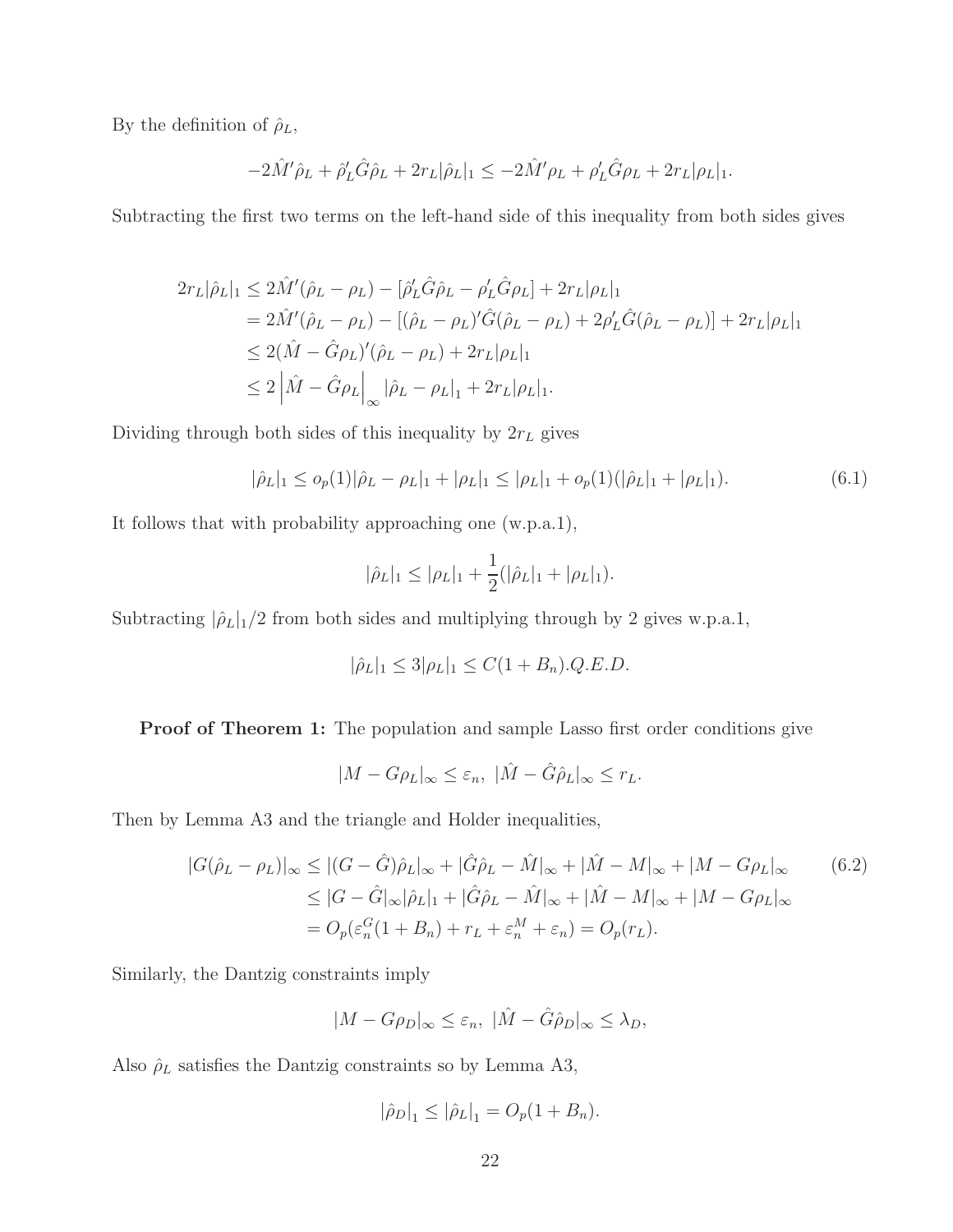By the definition of  $\hat{\rho}_L$ ,

$$
-2\hat{M}'\hat{\rho}_L + \hat{\rho}'_L \hat{G}\hat{\rho}_L + 2r_L|\hat{\rho}_L|_1 \leq -2\hat{M}'\rho_L + \rho'_L \hat{G}\rho_L + 2r_L|\rho_L|_1.
$$

Subtracting the first two terms on the left-hand side of this inequality from both sides gives

$$
2r_L|\hat{\rho}_L|_1 \le 2\hat{M}'(\hat{\rho}_L - \rho_L) - [\hat{\rho}'_L \hat{G} \hat{\rho}_L - \rho'_L \hat{G} \rho_L] + 2r_L|\rho_L|_1
$$
  
=  $2\hat{M}'(\hat{\rho}_L - \rho_L) - [(\hat{\rho}_L - \rho_L)'\hat{G}(\hat{\rho}_L - \rho_L) + 2\rho'_L \hat{G}(\hat{\rho}_L - \rho_L)] + 2r_L|\rho_L|_1$   
 $\le 2(\hat{M} - \hat{G}\rho_L)'(\hat{\rho}_L - \rho_L) + 2r_L|\rho_L|_1$   
 $\le 2|\hat{M} - \hat{G}\rho_L|_{\infty} |\hat{\rho}_L - \rho_L|_1 + 2r_L|\rho_L|_1.$ 

Dividing through both sides of this inequality by  $2r<sub>L</sub>$  gives

<span id="page-21-1"></span>
$$
|\hat{\rho}_L|_1 \leq o_p(1)|\hat{\rho}_L - \rho_L|_1 + |\rho_L|_1 \leq |\rho_L|_1 + o_p(1)(|\hat{\rho}_L|_1 + |\rho_L|_1). \tag{6.1}
$$

It follows that with probability approaching one (w.p.a.1),

$$
|\hat{\rho}_L|_1 \leq |\rho_L|_1 + \frac{1}{2}(|\hat{\rho}_L|_1 + |\rho_L|_1).
$$

Subtracting  $|\hat{\rho}_L|_1/2$  from both sides and multiplying through by 2 gives w.p.a.1,

$$
|\hat{\rho}_L|_1 \le 3|\rho_L|_1 \le C(1+B_n).Q.E.D.
$$

Proof of Theorem 1: The population and sample Lasso first order conditions give

<span id="page-21-0"></span>
$$
|M - G\rho_L|_{\infty} \le \varepsilon_n, \ |\hat{M} - \hat{G}\hat{\rho}_L|_{\infty} \le r_L.
$$

Then by Lemma A3 and the triangle and Holder inequalities,

$$
|G(\hat{\rho}_L - \rho_L)|_{\infty} \le |(G - \hat{G})\hat{\rho}_L|_{\infty} + |\hat{G}\hat{\rho}_L - \hat{M}|_{\infty} + |\hat{M} - M|_{\infty} + |M - G\rho_L|_{\infty}
$$
(6.2)  

$$
\le |G - \hat{G}|_{\infty} |\hat{\rho}_L|_1 + |\hat{G}\hat{\rho}_L - \hat{M}|_{\infty} + |\hat{M} - M|_{\infty} + |M - G\rho_L|_{\infty}
$$
  

$$
= O_p(\varepsilon_n^G(1 + B_n) + r_L + \varepsilon_n^M + \varepsilon_n) = O_p(r_L).
$$

Similarly, the Dantzig constraints imply

$$
|M - G\rho_D|_{\infty} \le \varepsilon_n, \ |\hat{M} - \hat{G}\hat{\rho}_D|_{\infty} \le \lambda_D,
$$

Also  $\rho_L$  satisfies the Dantzig constraints so by Lemma A3,

$$
|\hat{\rho}_D|_1 \leq |\hat{\rho}_L|_1 = O_p(1 + B_n).
$$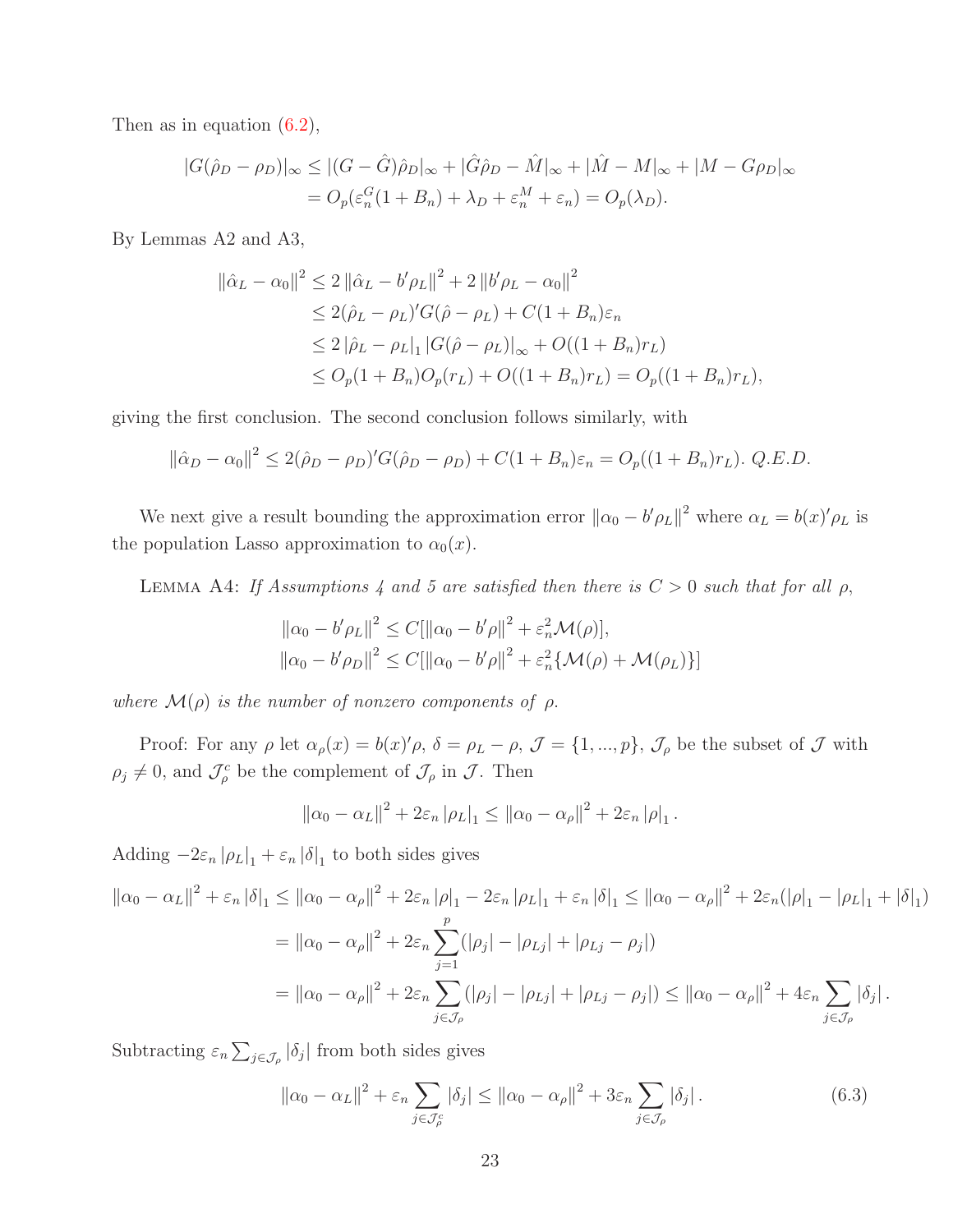Then as in equation  $(6.2)$ ,

$$
|G(\hat{\rho}_D - \rho_D)|_{\infty} \le |(G - \hat{G})\hat{\rho}_D|_{\infty} + |\hat{G}\hat{\rho}_D - \hat{M}|_{\infty} + |\hat{M} - M|_{\infty} + |M - G\rho_D|_{\infty}
$$
  
=  $O_p(\varepsilon_n^G(1 + B_n) + \lambda_D + \varepsilon_n^M + \varepsilon_n) = O_p(\lambda_D).$ 

By Lemmas A2 and A3,

$$
\|\hat{\alpha}_L - \alpha_0\|^2 \le 2 \|\hat{\alpha}_L - b'\rho_L\|^2 + 2 \|b'\rho_L - \alpha_0\|^2
$$
  
\n
$$
\le 2(\hat{\rho}_L - \rho_L)'G(\hat{\rho} - \rho_L) + C(1 + B_n)\varepsilon_n
$$
  
\n
$$
\le 2 \|\hat{\rho}_L - \rho_L\|_1 |G(\hat{\rho} - \rho_L)|_{\infty} + O((1 + B_n)r_L)
$$
  
\n
$$
\le O_p(1 + B_n)O_p(r_L) + O((1 + B_n)r_L) = O_p((1 + B_n)r_L),
$$

giving the first conclusion. The second conclusion follows similarly, with

$$
\|\hat{\alpha}_D - \alpha_0\|^2 \le 2(\hat{\rho}_D - \rho_D)'G(\hat{\rho}_D - \rho_D) + C(1 + B_n)\varepsilon_n = O_p((1 + B_n)r_L). \ Q.E.D.
$$

We next give a result bounding the approximation error  $\|\alpha_0 - b'\rho_L\|^2$  where  $\alpha_L = b(x)'\rho_L$  is the population Lasso approximation to  $\alpha_0(x)$ .

LEMMA A4: If Assumptions 4 and 5 are satisfied then there is  $C > 0$  such that for all  $\rho$ ,

$$
\|\alpha_0 - b'\rho_L\|^2 \le C[\|\alpha_0 - b'\rho\|^2 + \varepsilon_n^2 \mathcal{M}(\rho)],
$$
  

$$
\|\alpha_0 - b'\rho_D\|^2 \le C[\|\alpha_0 - b'\rho\|^2 + \varepsilon_n^2 \{\mathcal{M}(\rho) + \mathcal{M}(\rho_L)\}]
$$

where  $\mathcal{M}(\rho)$  is the number of nonzero components of  $\rho$ .

Proof: For any  $\rho$  let  $\alpha_{\rho}(x) = b(x)^{\prime} \rho$ ,  $\delta = \rho_L - \rho$ ,  $\mathcal{J} = \{1, ..., p\}$ ,  $\mathcal{J}_{\rho}$  be the subset of  $\mathcal{J}$  with  $\rho_j \neq 0$ , and  $\mathcal{J}_{\rho}^c$  be the complement of  $\mathcal{J}_{\rho}$  in  $\mathcal{J}$ . Then

$$
\|\alpha_0 - \alpha_L\|^2 + 2\varepsilon_n \|\rho_L\|_1 \le \|\alpha_0 - \alpha_\rho\|^2 + 2\varepsilon_n \|\rho\|_1.
$$

Adding  $-2\varepsilon_n |\rho_L|_1 + \varepsilon_n |\delta|_1$  to both sides gives

$$
\begin{split} \left\| \alpha_{0} - \alpha_{L} \right\|^{2} + \varepsilon_{n} \left| \delta \right|_{1} &\leq \left\| \alpha_{0} - \alpha_{\rho} \right\|^{2} + 2\varepsilon_{n} \left| \rho \right|_{1} - 2\varepsilon_{n} \left| \rho_{L} \right|_{1} + \varepsilon_{n} \left| \delta \right|_{1} &\leq \left\| \alpha_{0} - \alpha_{\rho} \right\|^{2} + 2\varepsilon_{n} (\left| \rho \right|_{1} - \left| \rho_{L} \right|_{1} + \left| \delta \right|_{1}) \\ &= \left\| \alpha_{0} - \alpha_{\rho} \right\|^{2} + 2\varepsilon_{n} \sum_{j=1}^{p} (\left| \rho_{j} \right| - \left| \rho_{Lj} \right| + \left| \rho_{Lj} - \rho_{j} \right|) \\ &= \left\| \alpha_{0} - \alpha_{\rho} \right\|^{2} + 2\varepsilon_{n} \sum_{j \in \mathcal{J}_{\rho}} (\left| \rho_{j} \right| - \left| \rho_{Lj} \right| + \left| \rho_{Lj} - \rho_{j} \right|) \leq \left\| \alpha_{0} - \alpha_{\rho} \right\|^{2} + 4\varepsilon_{n} \sum_{j \in \mathcal{J}_{\rho}} \left| \delta_{j} \right| .\end{split}
$$

Subtracting  $\varepsilon_n \sum_{j \in \mathcal{J}_{\rho}} |\delta_j|$  from both sides gives

$$
\left\|\alpha_0 - \alpha_L\right\|^2 + \varepsilon_n \sum_{j \in \mathcal{J}_{\rho}^c} |\delta_j| \le \left\|\alpha_0 - \alpha_\rho\right\|^2 + 3\varepsilon_n \sum_{j \in \mathcal{J}_{\rho}} |\delta_j|.
$$
 (6.3)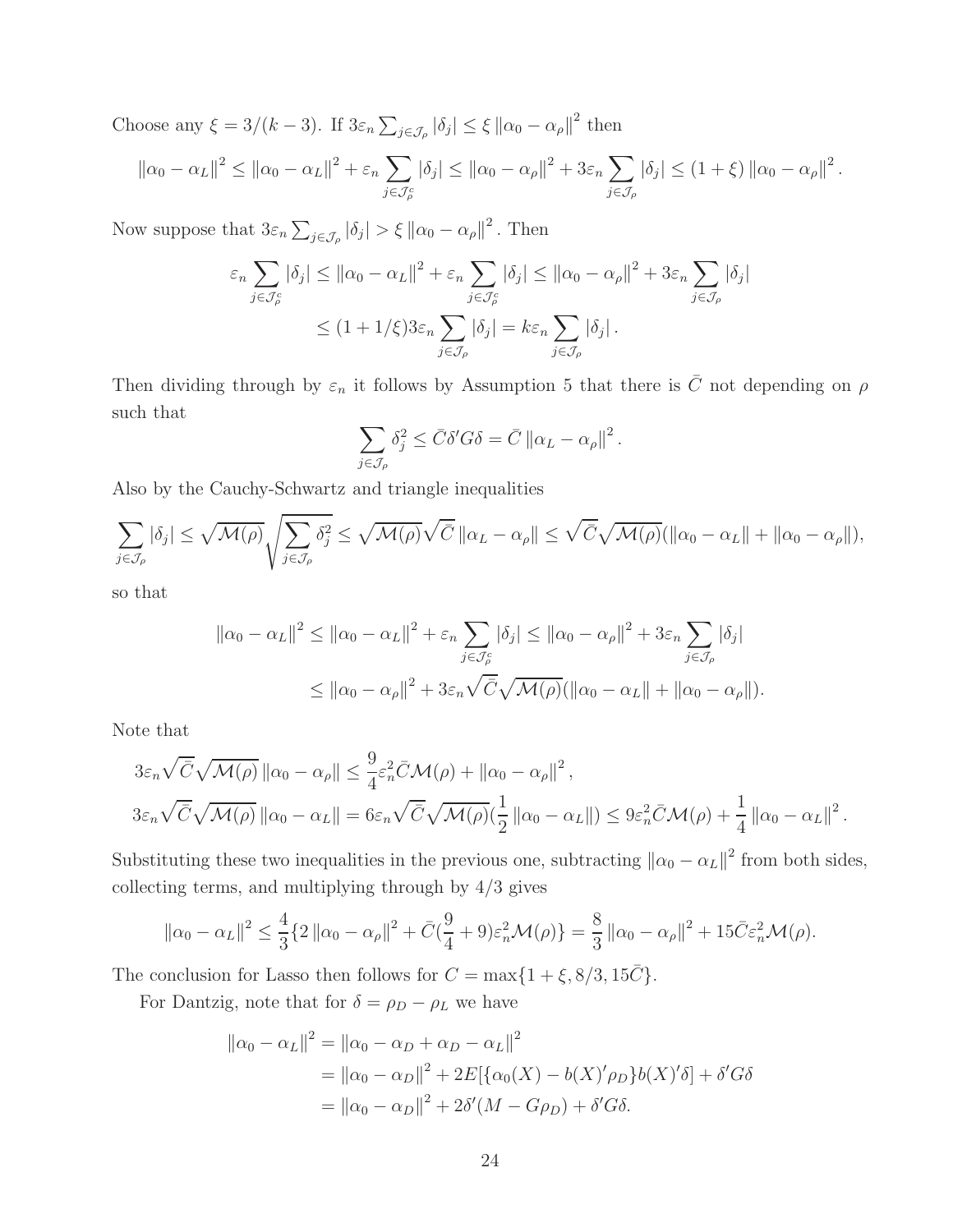Choose any  $\xi = 3/(k-3)$ . If  $3\varepsilon_n \sum_{j \in \mathcal{J}_{\rho}} |\delta_j| \leq \xi ||\alpha_0 - \alpha_{\rho}||^2$  then

$$
\left\|\alpha_0-\alpha_L\right\|^2 \leq \left\|\alpha_0-\alpha_L\right\|^2 + \varepsilon_n \sum_{j\in\mathcal{J}_{\rho}^c} |\delta_j| \leq \left\|\alpha_0-\alpha_\rho\right\|^2 + 3\varepsilon_n \sum_{j\in\mathcal{J}_{\rho}} |\delta_j| \leq (1+\xi) \left\|\alpha_0-\alpha_\rho\right\|^2.
$$

Now suppose that  $3\varepsilon_n \sum_{j\in\mathcal{J}_{\rho}} |\delta_j| > \xi ||\alpha_0 - \alpha_{\rho}||^2$ . Then

$$
\varepsilon_n \sum_{j \in \mathcal{J}_{\rho}^c} |\delta_j| \le ||\alpha_0 - \alpha_L||^2 + \varepsilon_n \sum_{j \in \mathcal{J}_{\rho}^c} |\delta_j| \le ||\alpha_0 - \alpha_\rho||^2 + 3\varepsilon_n \sum_{j \in \mathcal{J}_{\rho}} |\delta_j|
$$
  
 
$$
\le (1 + 1/\xi) 3\varepsilon_n \sum_{j \in \mathcal{J}_{\rho}} |\delta_j| = k\varepsilon_n \sum_{j \in \mathcal{J}_{\rho}} |\delta_j|.
$$

Then dividing through by  $\varepsilon_n$  it follows by Assumption 5 that there is  $\bar{C}$  not depending on  $\rho$ such that

$$
\sum_{j\in\mathcal{J}_{\rho}}\delta_{j}^{2}\leq\bar{C}\delta'G\delta=\bar{C}\left\Vert \alpha_{L}-\alpha_{\rho}\right\Vert ^{2}.
$$

Also by the Cauchy-Schwartz and triangle inequalities

$$
\sum_{j\in\mathcal{J}_{\rho}}|\delta_j| \leq \sqrt{\mathcal{M}(\rho)}\sqrt{\sum_{j\in\mathcal{J}_{\rho}}\delta_j^2} \leq \sqrt{\mathcal{M}(\rho)}\sqrt{\bar{C}}\left\|\alpha_L-\alpha_{\rho}\right\| \leq \sqrt{\bar{C}}\sqrt{\mathcal{M}(\rho)}\left(\left\|\alpha_0-\alpha_L\right\|+\left\|\alpha_0-\alpha_{\rho}\right\|\right),
$$

so that

$$
\|\alpha_0 - \alpha_L\|^2 \le \|\alpha_0 - \alpha_L\|^2 + \varepsilon_n \sum_{j \in \mathcal{J}_\rho^c} |\delta_j| \le \|\alpha_0 - \alpha_\rho\|^2 + 3\varepsilon_n \sum_{j \in \mathcal{J}_\rho} |\delta_j|
$$
  

$$
\le \|\alpha_0 - \alpha_\rho\|^2 + 3\varepsilon_n \sqrt{C} \sqrt{\mathcal{M}(\rho)} (\|\alpha_0 - \alpha_L\| + \|\alpha_0 - \alpha_\rho\|).
$$

Note that

$$
3\varepsilon_n\sqrt{\bar{C}}\sqrt{\mathcal{M}(\rho)} \|\alpha_0 - \alpha_\rho\| \leq \frac{9}{4}\varepsilon_n^2 \bar{C}\mathcal{M}(\rho) + \|\alpha_0 - \alpha_\rho\|^2,
$$
  

$$
3\varepsilon_n\sqrt{\bar{C}}\sqrt{\mathcal{M}(\rho)} \|\alpha_0 - \alpha_L\| = 6\varepsilon_n\sqrt{\bar{C}}\sqrt{\mathcal{M}(\rho)}(\frac{1}{2} \|\alpha_0 - \alpha_L\|) \leq 9\varepsilon_n^2 \bar{C}\mathcal{M}(\rho) + \frac{1}{4} \|\alpha_0 - \alpha_L\|^2.
$$

Substituting these two inequalities in the previous one, subtracting  $\|\alpha_0 - \alpha_L\|^2$  from both sides, collecting terms, and multiplying through by  $4/3$  gives

$$
\|\alpha_0-\alpha_L\|^2 \le \frac{4}{3}\left\{2\|\alpha_0-\alpha_\rho\|^2 + \bar{C}\left(\frac{9}{4}+9\right)\varepsilon_n^2\mathcal{M}(\rho)\right\} = \frac{8}{3}\|\alpha_0-\alpha_\rho\|^2 + 15\bar{C}\varepsilon_n^2\mathcal{M}(\rho).
$$

The conclusion for Lasso then follows for  $C = \max\{1 + \xi, 8/3, 15\overline{C}\}.$ 

For Dantzig, note that for  $\delta = \rho_D - \rho_L$  we have

$$
\|\alpha_0 - \alpha_L\|^2 = \|\alpha_0 - \alpha_D + \alpha_D - \alpha_L\|^2
$$
  
=  $\|\alpha_0 - \alpha_D\|^2 + 2E[\{\alpha_0(X) - b(X)'\rho_D\}b(X)'\delta] + \delta'G\delta$   
=  $\|\alpha_0 - \alpha_D\|^2 + 2\delta'(M - G\rho) + \delta'G\delta$ .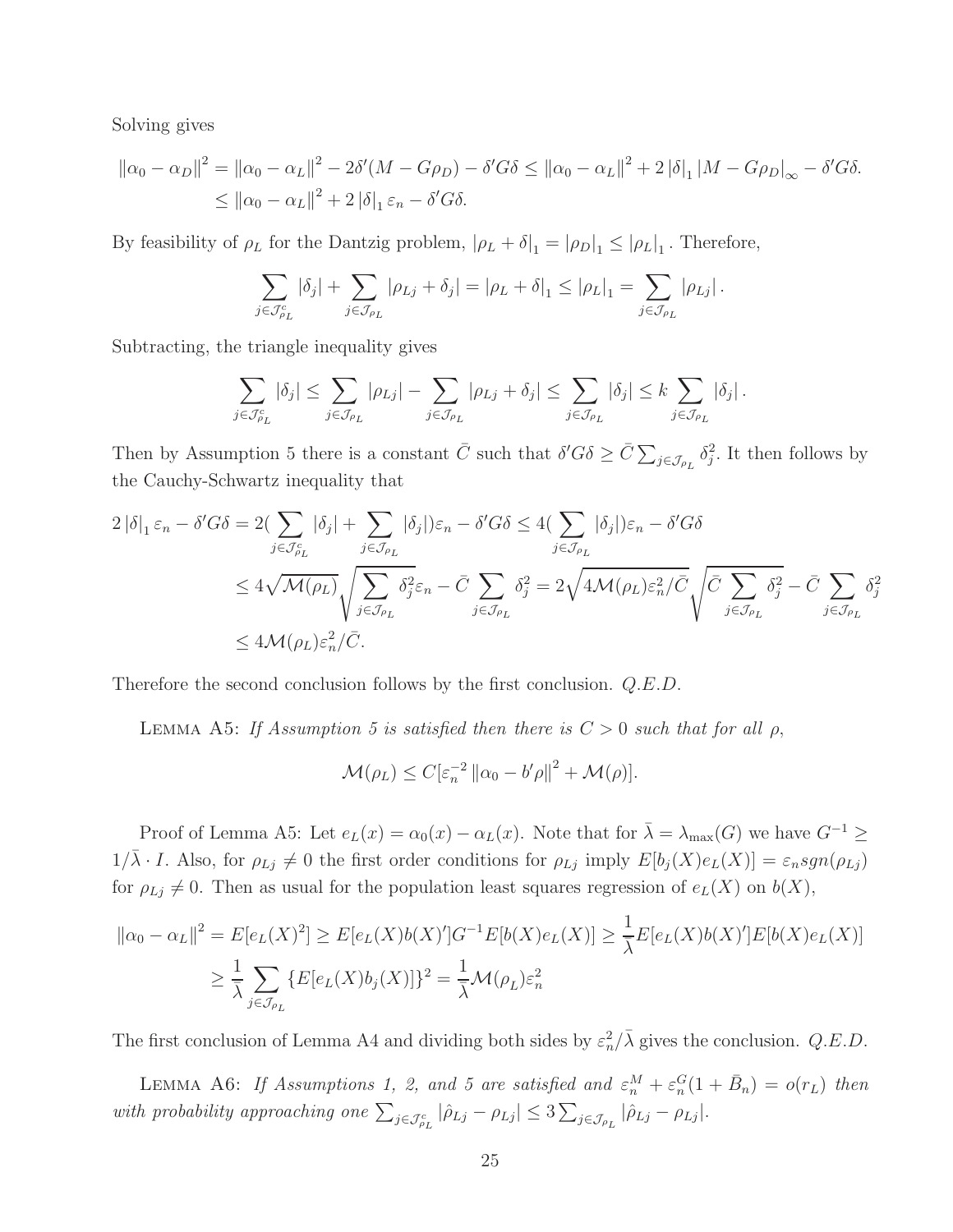Solving gives

$$
\|\alpha_0 - \alpha_D\|^2 = \|\alpha_0 - \alpha_L\|^2 - 2\delta'(M - G\rho) - \delta' G \delta \le \|\alpha_0 - \alpha_L\|^2 + 2\|\delta\|_1 \|M - G\rho_D\|_{\infty} - \delta' G \delta.
$$
  
\$\leq \|\alpha\_0 - \alpha\_L\|^2 + 2\|\delta\|\_1 \varepsilon\_n - \delta' G \delta.\$

By feasibility of  $\rho_L$  for the Dantzig problem,  $|\rho_L + \delta|_1 = |\rho_D|_1 \leq |\rho_L|_1$ . Therefore,

$$
\sum_{j\in\mathcal{J}_{\rho_L}^c} |\delta_j| + \sum_{j\in\mathcal{J}_{\rho_L}} |\rho_{Lj} + \delta_j| = |\rho_L + \delta|_1 \leq |\rho_L|_1 = \sum_{j\in\mathcal{J}_{\rho_L}} |\rho_{Lj}|.
$$

Subtracting, the triangle inequality gives

$$
\sum_{j \in \mathcal{J}_{\rho_L}^c} |\delta_j| \leq \sum_{j \in \mathcal{J}_{\rho_L}} |\rho_{Lj}| - \sum_{j \in \mathcal{J}_{\rho_L}} |\rho_{Lj} + \delta_j| \leq \sum_{j \in \mathcal{J}_{\rho_L}} |\delta_j| \leq k \sum_{j \in \mathcal{J}_{\rho_L}} |\delta_j|.
$$

Then by Assumption 5 there is a constant  $\bar{C}$  such that  $\delta' G \delta \geq \bar{C} \sum_{j \in \mathcal{J}_{\rho_L}} \delta_j^2$ . It then follows by the Cauchy-Schwartz inequality that

$$
2\left|\delta\right|_{1}\varepsilon_{n} - \delta'G\delta = 2\left(\sum_{j\in\mathcal{J}_{\rho_{L}}^{c}}\left|\delta_{j}\right| + \sum_{j\in\mathcal{J}_{\rho_{L}}}\left|\delta_{j}\right|\right)\varepsilon_{n} - \delta'G\delta \le 4\left(\sum_{j\in\mathcal{J}_{\rho_{L}}}\left|\delta_{j}\right|\right)\varepsilon_{n} - \delta'G\delta
$$
  

$$
\le 4\sqrt{\mathcal{M}(\rho_{L})}\sqrt{\sum_{j\in\mathcal{J}_{\rho_{L}}}\delta_{j}^{2}\varepsilon_{n}} - \bar{C}\sum_{j\in\mathcal{J}_{\rho_{L}}}\delta_{j}^{2} = 2\sqrt{4\mathcal{M}(\rho_{L})\varepsilon_{n}^{2}/\bar{C}}\sqrt{\bar{C}\sum_{j\in\mathcal{J}_{\rho_{L}}}\delta_{j}^{2}} - \bar{C}\sum_{j\in\mathcal{J}_{\rho_{L}}}\delta_{j}^{2}
$$
  

$$
\le 4\mathcal{M}(\rho_{L})\varepsilon_{n}^{2}/\bar{C}.
$$

Therefore the second conclusion follows by the first conclusion. Q.E.D.

LEMMA A5: If Assumption 5 is satisfied then there is  $C > 0$  such that for all  $\rho$ ,

$$
\mathcal{M}(\rho_L) \le C \big[\varepsilon_n^{-2} \, ||\alpha_0 - b'\rho||^2 + \mathcal{M}(\rho)\big].
$$

Proof of Lemma A5: Let  $e_L(x) = \alpha_0(x) - \alpha_L(x)$ . Note that for  $\bar{\lambda} = \lambda_{\max}(G)$  we have  $G^{-1} \ge$  $1/\overline{\lambda} \cdot I$ . Also, for  $\rho_{Lj} \neq 0$  the first order conditions for  $\rho_{Lj}$  imply  $E[b_j(X)e_L(X)] = \varepsilon_n sgn(\rho_{Lj})$ for  $\rho_{Lj} \neq 0$ . Then as usual for the population least squares regression of  $e_L(X)$  on  $b(X)$ ,

$$
\|\alpha_0 - \alpha_L\|^2 = E[e_L(X)^2] \ge E[e_L(X)b(X)']G^{-1}E[b(X)e_L(X)] \ge \frac{1}{\overline{\lambda}}E[e_L(X)b(X)']E[b(X)e_L(X)]
$$
  

$$
\ge \frac{1}{\overline{\lambda}} \sum_{j \in \mathcal{J}_{\rho_L}} \{E[e_L(X)b_j(X)]\}^2 = \frac{1}{\overline{\lambda}} \mathcal{M}(\rho_L)\varepsilon_n^2
$$

The first conclusion of Lemma A4 and dividing both sides by  $\varepsilon_n^2/\bar{\lambda}$  gives the conclusion.  $Q.E.D.$ 

LEMMA A6: If Assumptions 1, 2, and 5 are satisfied and  $\varepsilon_n^M + \varepsilon_n^G(1 + \bar{B}_n) = o(r_L)$  then with probability approaching one  $\sum_{j\in\mathcal{J}_{\rho_L}}|\hat{\rho}_{Lj}-\rho_{Lj}|\leq 3\sum_{j\in\mathcal{J}_{\rho_L}}|\hat{\rho}_{Lj}-\rho_{Lj}|.$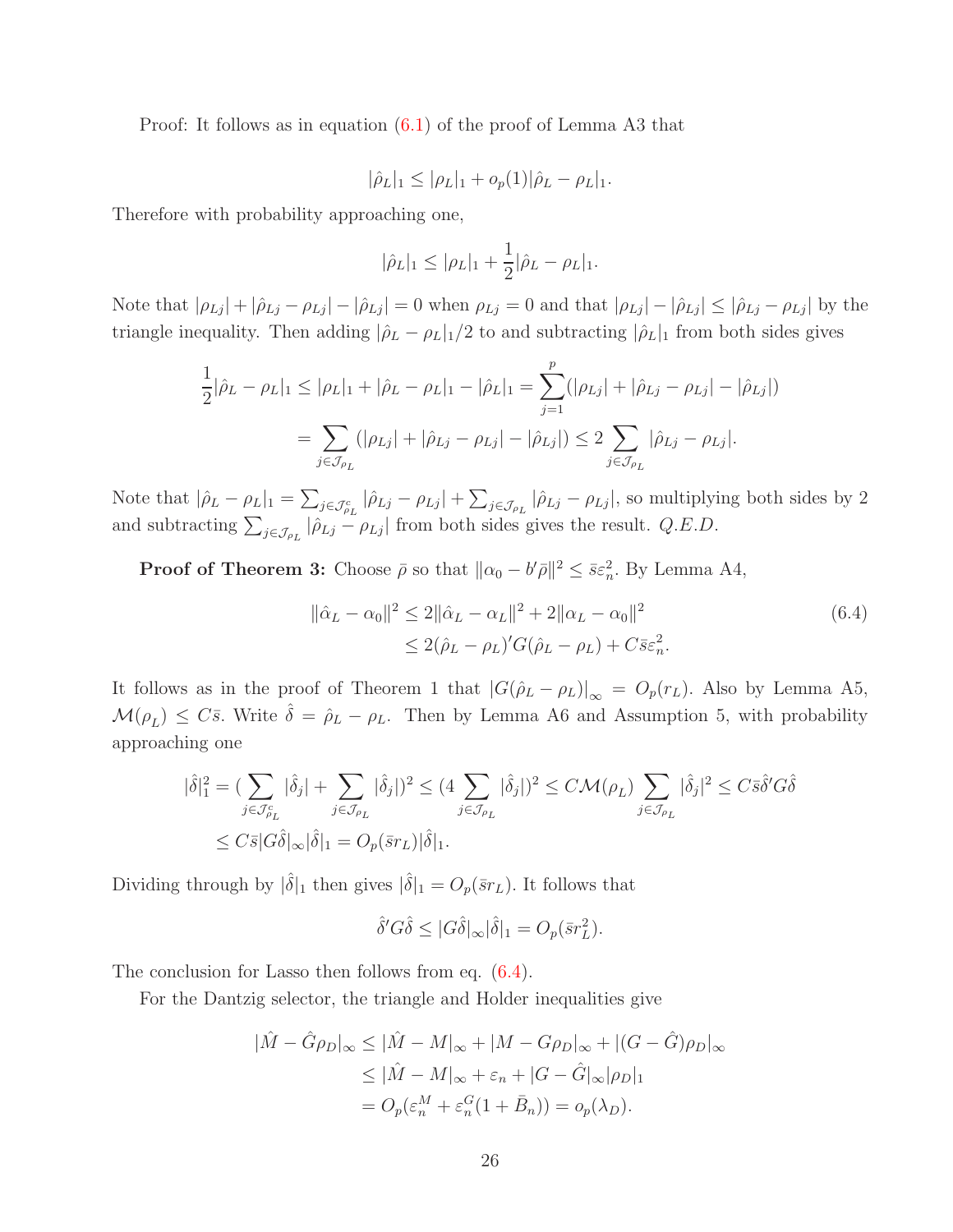Proof: It follows as in equation [\(6.1\)](#page-21-1) of the proof of Lemma A3 that

$$
|\hat{\rho}_L|_1 \leq |\rho_L|_1 + o_p(1)|\hat{\rho}_L - \rho_L|_1.
$$

Therefore with probability approaching one,

$$
|\hat{\rho}_L|_1 \le |\rho_L|_1 + \frac{1}{2} |\hat{\rho}_L - \rho_L|_1.
$$

Note that  $|\rho_{Lj}| + |\hat{\rho}_{Lj} - \rho_{Lj}| - |\hat{\rho}_{Lj}| = 0$  when  $\rho_{Lj} = 0$  and that  $|\rho_{Lj}| - |\hat{\rho}_{Lj}| \leq |\hat{\rho}_{Lj} - \rho_{Lj}|$  by the triangle inequality. Then adding  $|\hat{\rho}_L - \rho_L|_1/2$  to and subtracting  $|\hat{\rho}_L|_1$  from both sides gives

$$
\frac{1}{2}|\hat{\rho}_L - \rho_L|_1 \le |\rho_L|_1 + |\hat{\rho}_L - \rho_L|_1 - |\hat{\rho}_L|_1 = \sum_{j=1}^p (|\rho_{Lj}| + |\hat{\rho}_{Lj} - \rho_{Lj}| - |\hat{\rho}_{Lj}|)
$$

$$
= \sum_{j \in \mathcal{J}_{\rho_L}} (|\rho_{Lj}| + |\hat{\rho}_{Lj} - \rho_{Lj}| - |\hat{\rho}_{Lj}|) \le 2 \sum_{j \in \mathcal{J}_{\rho_L}} |\hat{\rho}_{Lj} - \rho_{Lj}|.
$$

Note that  $|\hat{\rho}_L - \rho_L|_1 = \sum_{j \in \mathcal{J}^c_{\rho_L}} |\hat{\rho}_{Lj} - \rho_{Lj}| + \sum_{j \in \mathcal{J}_{\rho_L}} |\hat{\rho}_{Lj} - \rho_{Lj}|$ , so multiplying both sides by 2 and subtracting  $\sum_{j\in\mathcal{J}_{\rho_L}}|\hat{\rho}_{Lj} - \rho_{Lj}|$  from both sides gives the result.  $Q.E.D.$ 

**Proof of Theorem 3:** Choose  $\bar{\rho}$  so that  $\|\alpha_0 - b'\bar{\rho}\|^2 \leq \bar{s}\epsilon_n^2$ . By Lemma A4,

<span id="page-25-0"></span>
$$
\|\hat{\alpha}_L - \alpha_0\|^2 \le 2\|\hat{\alpha}_L - \alpha_L\|^2 + 2\|\alpha_L - \alpha_0\|^2
$$
  
 
$$
\le 2(\hat{\rho}_L - \rho_L)'G(\hat{\rho}_L - \rho_L) + C\bar{s}\varepsilon_n^2.
$$
 (6.4)

It follows as in the proof of Theorem 1 that  $|G(\hat{\rho}_L - \rho_L)|_{\infty} = O_p(r_L)$ . Also by Lemma A5,  $\mathcal{M}(\rho_L) \leq C\bar{s}$ . Write  $\hat{\delta} = \hat{\rho}_L - \rho_L$ . Then by Lemma A6 and Assumption 5, with probability approaching one

$$
\begin{aligned} |\hat{\delta}|_1^2 &= \left( \sum_{j \in \mathcal{J}_{\rho_L}^c} |\hat{\delta}_j| + \sum_{j \in \mathcal{J}_{\rho_L}} |\hat{\delta}_j| \right)^2 \le (4 \sum_{j \in \mathcal{J}_{\rho_L}} |\hat{\delta}_j|)^2 \le C \mathcal{M}(\rho_L) \sum_{j \in \mathcal{J}_{\rho_L}} |\hat{\delta}_j|^2 \le C \bar{s} \hat{\delta}' G \hat{\delta} \\ &\le C \bar{s} |G \hat{\delta}|_{\infty} |\hat{\delta}|_1 = O_p(\bar{s} r_L) |\hat{\delta}|_1. \end{aligned}
$$

Dividing through by  $|\hat{\delta}|_1$  then gives  $|\hat{\delta}|_1 = O_p(\bar{s}r_L)$ . It follows that

$$
\hat{\delta}' G \hat{\delta} \le |G \hat{\delta}|_{\infty} |\hat{\delta}|_{1} = O_{p}(\bar{s} r_{L}^{2}).
$$

The conclusion for Lasso then follows from eq. [\(6.4\)](#page-25-0).

For the Dantzig selector, the triangle and Holder inequalities give

$$
|\hat{M} - \hat{G}\rho_D|_{\infty} \le |\hat{M} - M|_{\infty} + |M - G\rho_D|_{\infty} + |(G - \hat{G})\rho_D|_{\infty}
$$
  
\n
$$
\le |\hat{M} - M|_{\infty} + \varepsilon_n + |G - \hat{G}|_{\infty}|\rho_D|_1
$$
  
\n
$$
= O_p(\varepsilon_n^M + \varepsilon_n^G(1 + \bar{B}_n)) = o_p(\lambda_D).
$$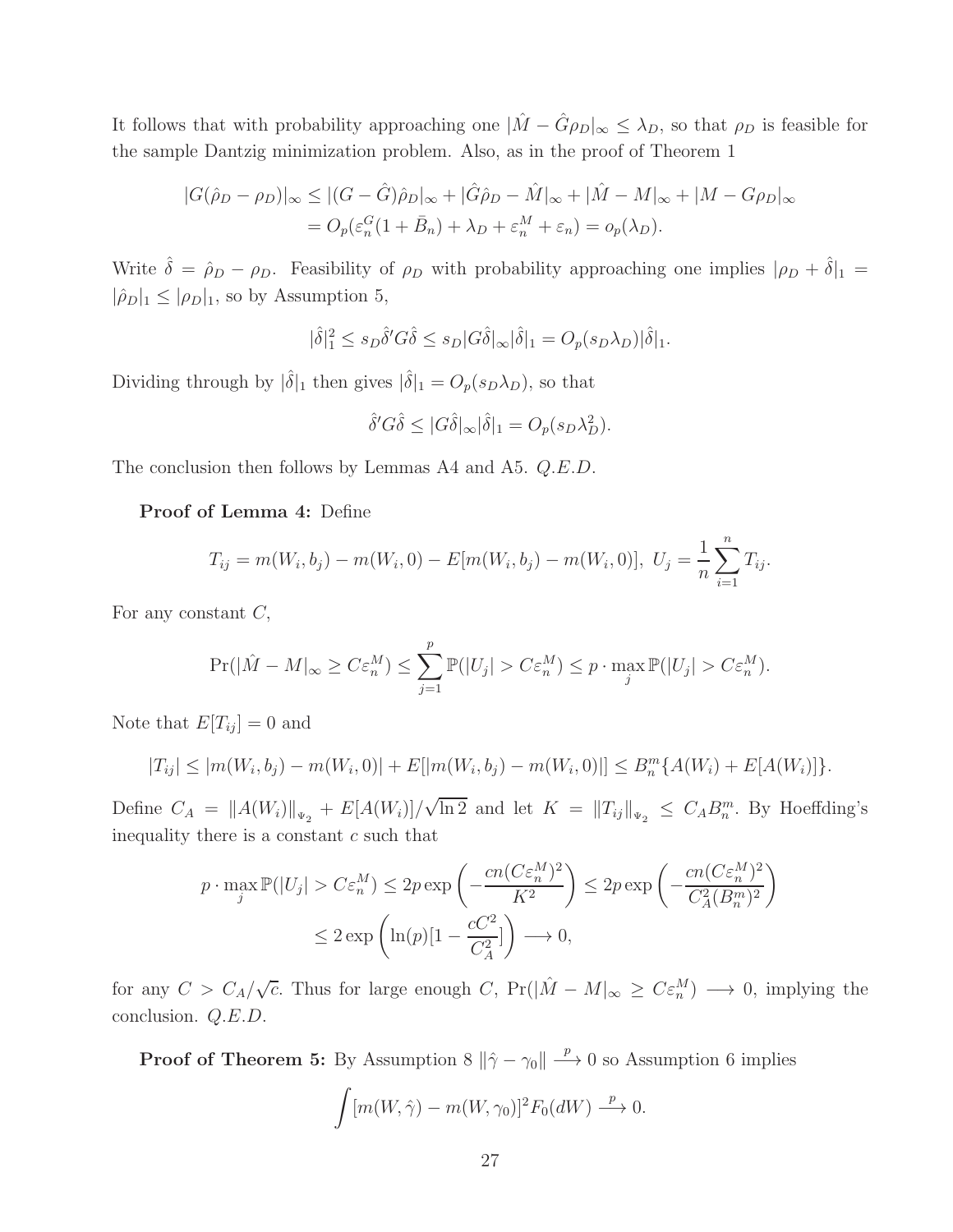It follows that with probability approaching one  $|\hat{M} - \hat{G}\rho_D|_{\infty} \leq \lambda_D$ , so that  $\rho_D$  is feasible for the sample Dantzig minimization problem. Also, as in the proof of Theorem 1

$$
|G(\hat{\rho}_D - \rho_D)|_{\infty} \le |(G - \hat{G})\hat{\rho}_D|_{\infty} + |\hat{G}\hat{\rho}_D - \hat{M}|_{\infty} + |\hat{M} - M|_{\infty} + |M - G\rho_D|_{\infty}
$$
  
=  $O_p(\varepsilon_n^G(1 + \bar{B}_n) + \lambda_D + \varepsilon_n^M + \varepsilon_n) = o_p(\lambda_D).$ 

Write  $\hat{\delta} = \hat{\rho}_D - \rho_D$ . Feasibility of  $\rho_D$  with probability approaching one implies  $|\rho_D + \hat{\delta}|_1$  $|\hat{\rho}_D|_1 \leq |\rho_D|_1$ , so by Assumption 5,

$$
|\hat{\delta}|_1^2 \le s_D \hat{\delta}' G \hat{\delta} \le s_D |G \hat{\delta}|_{\infty} |\hat{\delta}|_1 = O_p(s_D \lambda_D) |\hat{\delta}|_1.
$$

Dividing through by  $|\hat{\delta}|_1$  then gives  $|\hat{\delta}|_1 = O_p(s_D\lambda_D)$ , so that

$$
\hat{\delta}'G\hat{\delta} \le |G\hat{\delta}|_{\infty}|\hat{\delta}|_{1} = O_{p}(s_{D}\lambda_{D}^{2}).
$$

The conclusion then follows by Lemmas A4 and A5. Q.E.D.

#### Proof of Lemma 4: Define

$$
T_{ij} = m(W_i, b_j) - m(W_i, 0) - E[m(W_i, b_j) - m(W_i, 0)], \ U_j = \frac{1}{n} \sum_{i=1}^n T_{ij}.
$$

For any constant  $C$ ,

$$
\Pr(|\hat{M} - M|_{\infty} \ge C\varepsilon_n^M) \le \sum_{j=1}^p \mathbb{P}(|U_j| > C\varepsilon_n^M) \le p \cdot \max_j \mathbb{P}(|U_j| > C\varepsilon_n^M).
$$

Note that  $E[T_{ij}] = 0$  and

$$
|T_{ij}| \le |m(W_i, b_j) - m(W_i, 0)| + E[|m(W_i, b_j) - m(W_i, 0)|] \le B_n^m \{A(W_i) + E[A(W_i)]\}.
$$

Define  $C_A = ||A(W_i)||_{\Psi_2} + E[A(W_i)]/\sqrt{\ln 2}$  and let  $K = ||T_{ij}||_{\Psi_2} \leq C_A B_n^m$ . By Hoeffding's inequality there is a constant  $c$  such that

$$
p \cdot \max_{j} \mathbb{P}(|U_j| > C \varepsilon_n^M) \le 2p \exp\left(-\frac{cn(C\varepsilon_n^M)^2}{K^2}\right) \le 2p \exp\left(-\frac{cn(C\varepsilon_n^M)^2}{C_A^2(B_n^m)^2}\right)
$$
  

$$
\le 2 \exp\left(\ln(p)[1 - \frac{cC^2}{C_A^2}]\right) \longrightarrow 0,
$$

for any  $C > C_A/\sqrt{c}$ . Thus for large enough C,  $Pr(|\hat{M} - M|_{\infty} \geq C \varepsilon_n^M) \longrightarrow 0$ , implying the conclusion. Q.E.D.

**Proof of Theorem 5:** By Assumption 8  $\|\hat{\gamma} - \gamma_0\| \longrightarrow 0$  so Assumption 6 implies

$$
\int [m(W, \hat{\gamma}) - m(W, \gamma_0)]^2 F_0(dW) \stackrel{p}{\longrightarrow} 0.
$$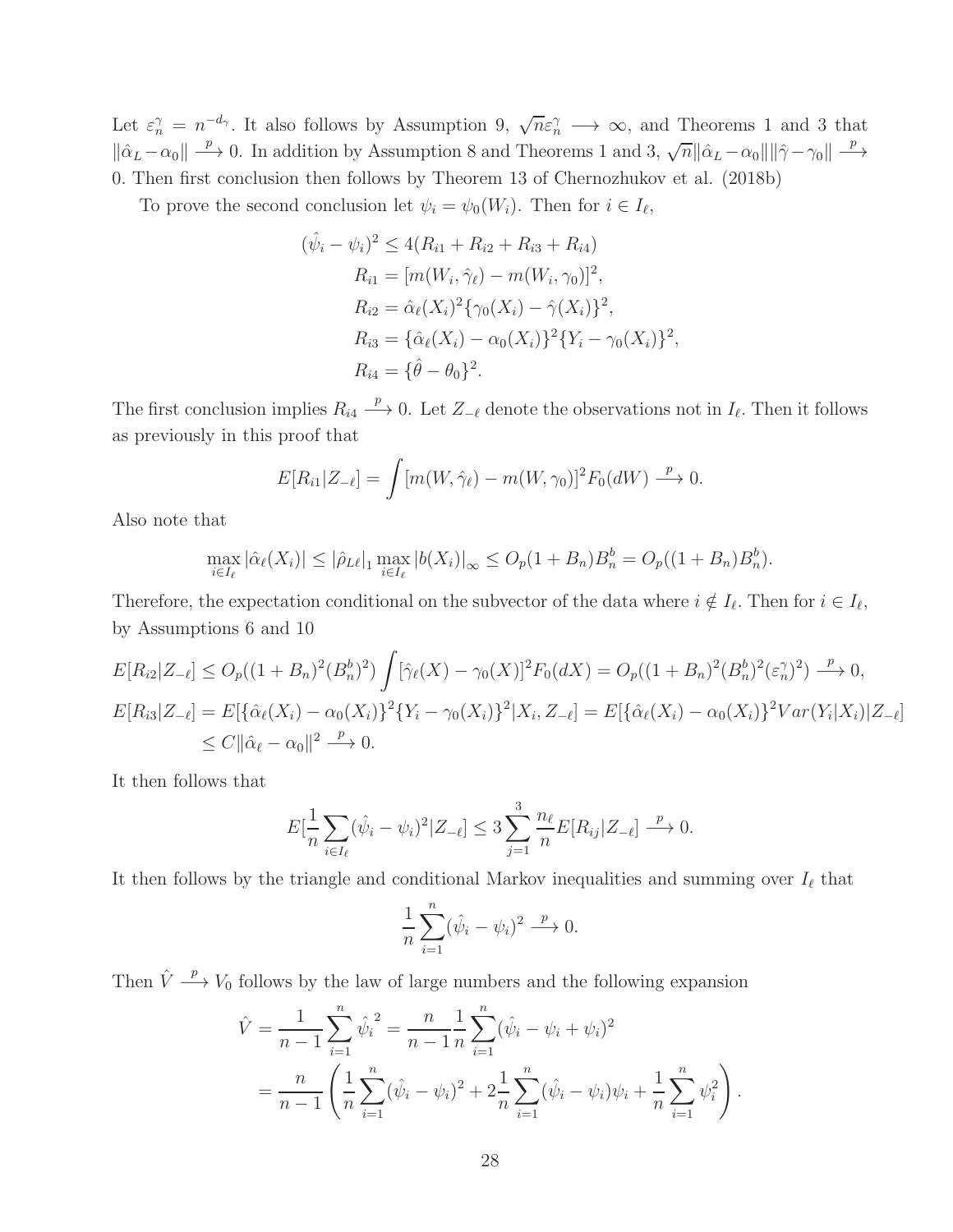Let  $\varepsilon_n^{\gamma} = n^{-d_{\gamma}}$ . It also follows by Assumption 9,  $\sqrt{n}\varepsilon_n^{\gamma} \longrightarrow \infty$ , and Theorems 1 and 3 that  $\|\hat{\alpha}_L-\alpha_0\| \stackrel{p}{\longrightarrow} 0$ . In addition by Assumption 8 and Theorems 1 and 3,  $\sqrt{n}\|\hat{\alpha}_L-\alpha_0\|\|\hat{\gamma}-\gamma_0\| \stackrel{p}{\longrightarrow}$ 0. Then first conclusion then follows by Theorem 13 of Chernozhukov et al. (2018b)

To prove the second conclusion let  $\psi_i = \psi_0(W_i)$ . Then for  $i \in I_\ell$ ,

$$
(\hat{\psi}_i - \psi_i)^2 \le 4(R_{i1} + R_{i2} + R_{i3} + R_{i4})
$$
  
\n
$$
R_{i1} = [m(W_i, \hat{\gamma}_\ell) - m(W_i, \gamma_0)]^2,
$$
  
\n
$$
R_{i2} = \hat{\alpha}_\ell(X_i)^2 \{\gamma_0(X_i) - \hat{\gamma}(X_i)\}^2,
$$
  
\n
$$
R_{i3} = \{\hat{\alpha}_\ell(X_i) - \alpha_0(X_i)\}^2 \{Y_i - \gamma_0(X_i)\}^2,
$$
  
\n
$$
R_{i4} = \{\hat{\theta} - \theta_0\}^2.
$$

The first conclusion implies  $R_{i4} \stackrel{p}{\longrightarrow} 0$ . Let  $Z_{-\ell}$  denote the observations not in  $I_{\ell}$ . Then it follows as previously in this proof that

$$
E[R_{i1}|Z_{-\ell}] = \int [m(W,\hat{\gamma}_{\ell}) - m(W,\gamma_0)]^2 F_0(dW) \xrightarrow{p} 0.
$$

Also note that

$$
\max_{i \in I_{\ell}} |\hat{\alpha}_{\ell}(X_i)| \leq |\hat{\rho}_{L\ell}|_1 \max_{i \in I_{\ell}} |b(X_i)|_{\infty} \leq O_p(1 + B_n)B_n^b = O_p((1 + B_n)B_n^b).
$$

Therefore, the expectation conditional on the subvector of the data where  $i \notin I_{\ell}$ . Then for  $i \in I_{\ell}$ , by Assumptions 6 and 10

$$
E[R_{i2}|Z_{-\ell}] \le O_p((1+B_n)^2(B_n^b)^2) \int [\hat{\gamma}_{\ell}(X) - \gamma_0(X)]^2 F_0(dX) = O_p((1+B_n)^2(B_n^b)^2(\varepsilon_n^{\gamma})^2) \xrightarrow{p} 0,
$$
  
\n
$$
E[R_{i3}|Z_{-\ell}] = E[\{\hat{\alpha}_{\ell}(X_i) - \alpha_0(X_i)\}^2 \{Y_i - \gamma_0(X_i)\}^2 | X_i, Z_{-\ell}] = E[\{\hat{\alpha}_{\ell}(X_i) - \alpha_0(X_i)\}^2 Var(Y_i|X_i)|Z_{-\ell}]
$$
  
\n
$$
\le C ||\hat{\alpha}_{\ell} - \alpha_0||^2 \xrightarrow{p} 0.
$$

It then follows that

$$
E[\frac{1}{n}\sum_{i\in I_{\ell}}(\hat{\psi}_i - \psi_i)^2 | Z_{-\ell}] \leq 3\sum_{j=1}^3 \frac{n_{\ell}}{n} E[R_{ij}|Z_{-\ell}] \xrightarrow{p} 0.
$$

It then follows by the triangle and conditional Markov inequalities and summing over  $I_{\ell}$  that

$$
\frac{1}{n}\sum_{i=1}^n(\hat{\psi}_i - \psi_i)^2 \stackrel{p}{\longrightarrow} 0.
$$

Then  $\hat{V} \stackrel{p}{\longrightarrow} V_0$  follows by the law of large numbers and the following expansion

$$
\hat{V} = \frac{1}{n-1} \sum_{i=1}^{n} \hat{\psi}_i^2 = \frac{n}{n-1} \frac{1}{n} \sum_{i=1}^{n} (\hat{\psi}_i - \psi_i + \psi_i)^2
$$
  
= 
$$
\frac{n}{n-1} \left( \frac{1}{n} \sum_{i=1}^{n} (\hat{\psi}_i - \psi_i)^2 + 2 \frac{1}{n} \sum_{i=1}^{n} (\hat{\psi}_i - \psi_i) \psi_i + \frac{1}{n} \sum_{i=1}^{n} \psi_i^2 \right).
$$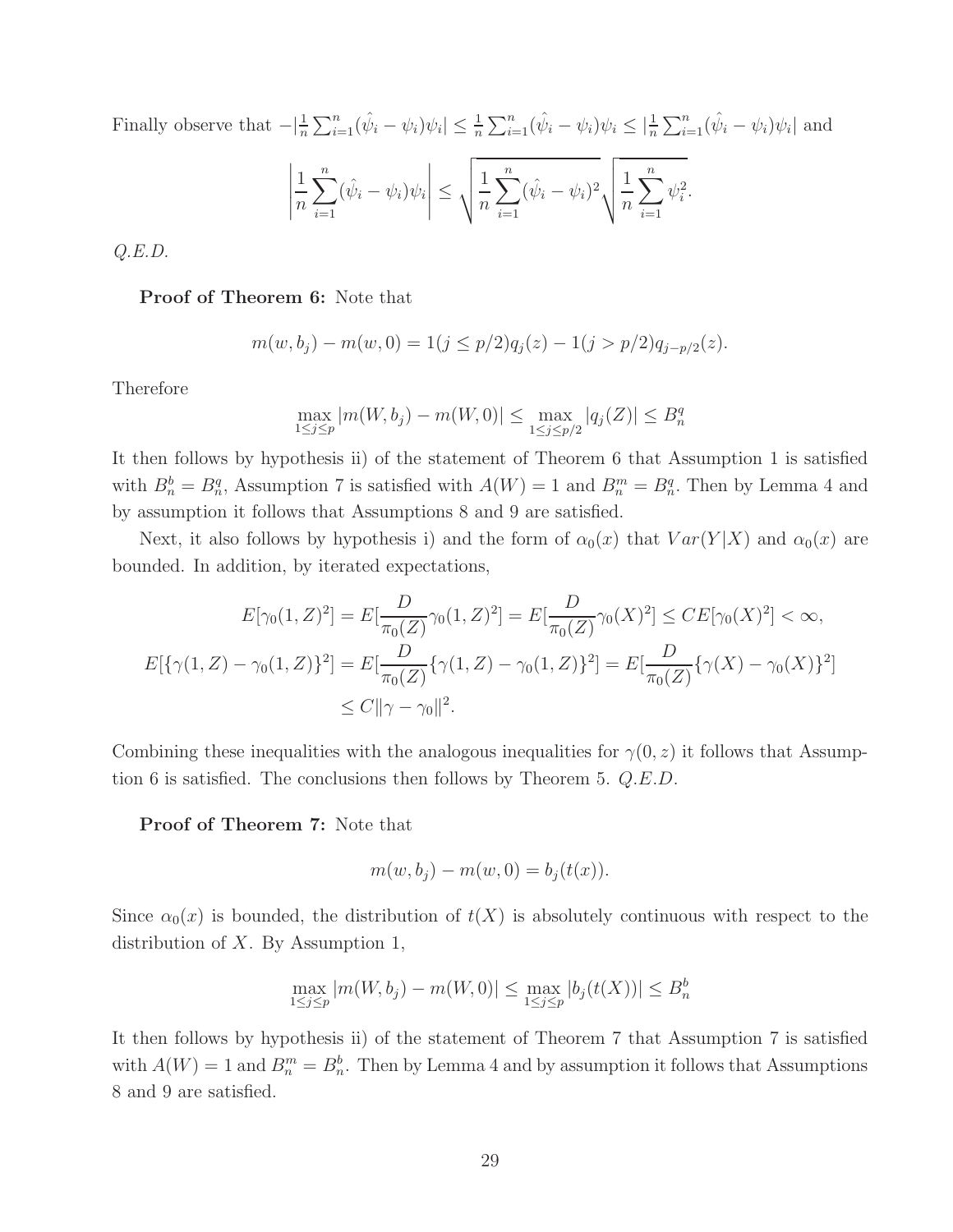Finally observe that  $-|\frac{1}{n}\sum_{i=1}^n(\hat{\psi}_i - \psi_i)\psi_i| \leq \frac{1}{n}\sum_{i=1}^n(\hat{\psi}_i - \psi_i)\psi_i \leq |\frac{1}{n}\sum_{i=1}^n(\hat{\psi}_i - \psi_i)\psi_i|$  and 1  $\overline{n}$  $\sum_{n=1}^{\infty}$  $i=1$  $(\hat{\psi}_i - \psi_i)\psi_i$   $\leq \sqrt{\frac{1}{n}}$ n  $\sum_{n=1}^{\infty}$  $i=1$  $(\hat{\psi}_i - \psi_i)^2$  $\sqrt{\frac{1}{n}}$ n  $\sum_{n=1}^{\infty}$  $i=1$  $\psi_i^2$ .

 $Q.E.D.$ 

#### Proof of Theorem 6: Note that

$$
m(w, b_j) - m(w, 0) = 1(j \le p/2)q_j(z) - 1(j > p/2)q_{j-p/2}(z).
$$

Therefore

$$
\max_{1 \le j \le p} |m(W, b_j) - m(W, 0)| \le \max_{1 \le j \le p/2} |q_j(Z)| \le B_n^q
$$

It then follows by hypothesis ii) of the statement of Theorem 6 that Assumption 1 is satisfied with  $B_n^b = B_n^q$ , Assumption 7 is satisfied with  $A(W) = 1$  and  $B_n^m = B_n^q$ . Then by Lemma 4 and by assumption it follows that Assumptions 8 and 9 are satisfied.

Next, it also follows by hypothesis i) and the form of  $\alpha_0(x)$  that  $Var(Y|X)$  and  $\alpha_0(x)$  are bounded. In addition, by iterated expectations,

$$
E[\gamma_0(1, Z)^2] = E[\frac{D}{\pi_0(Z)}\gamma_0(1, Z)^2] = E[\frac{D}{\pi_0(Z)}\gamma_0(X)^2] \le CE[\gamma_0(X)^2] < \infty,
$$
  

$$
E[\{\gamma(1, Z) - \gamma_0(1, Z)\}^2] = E[\frac{D}{\pi_0(Z)}\{\gamma(1, Z) - \gamma_0(1, Z)\}^2] = E[\frac{D}{\pi_0(Z)}\{\gamma(X) - \gamma_0(X)\}^2]
$$
  

$$
\le C\|\gamma - \gamma_0\|^2.
$$

Combining these inequalities with the analogous inequalities for  $\gamma(0, z)$  it follows that Assumption 6 is satisfied. The conclusions then follows by Theorem 5. Q.E.D.

Proof of Theorem 7: Note that

$$
m(w, b_j) - m(w, 0) = b_j(t(x)).
$$

Since  $\alpha_0(x)$  is bounded, the distribution of  $t(X)$  is absolutely continuous with respect to the distribution of  $X$ . By Assumption 1,

$$
\max_{1 \le j \le p} |m(W, b_j) - m(W, 0)| \le \max_{1 \le j \le p} |b_j(t(X))| \le B_n^b
$$

It then follows by hypothesis ii) of the statement of Theorem 7 that Assumption 7 is satisfied with  $A(W) = 1$  and  $B_n^m = B_n^b$ . Then by Lemma 4 and by assumption it follows that Assumptions 8 and 9 are satisfied.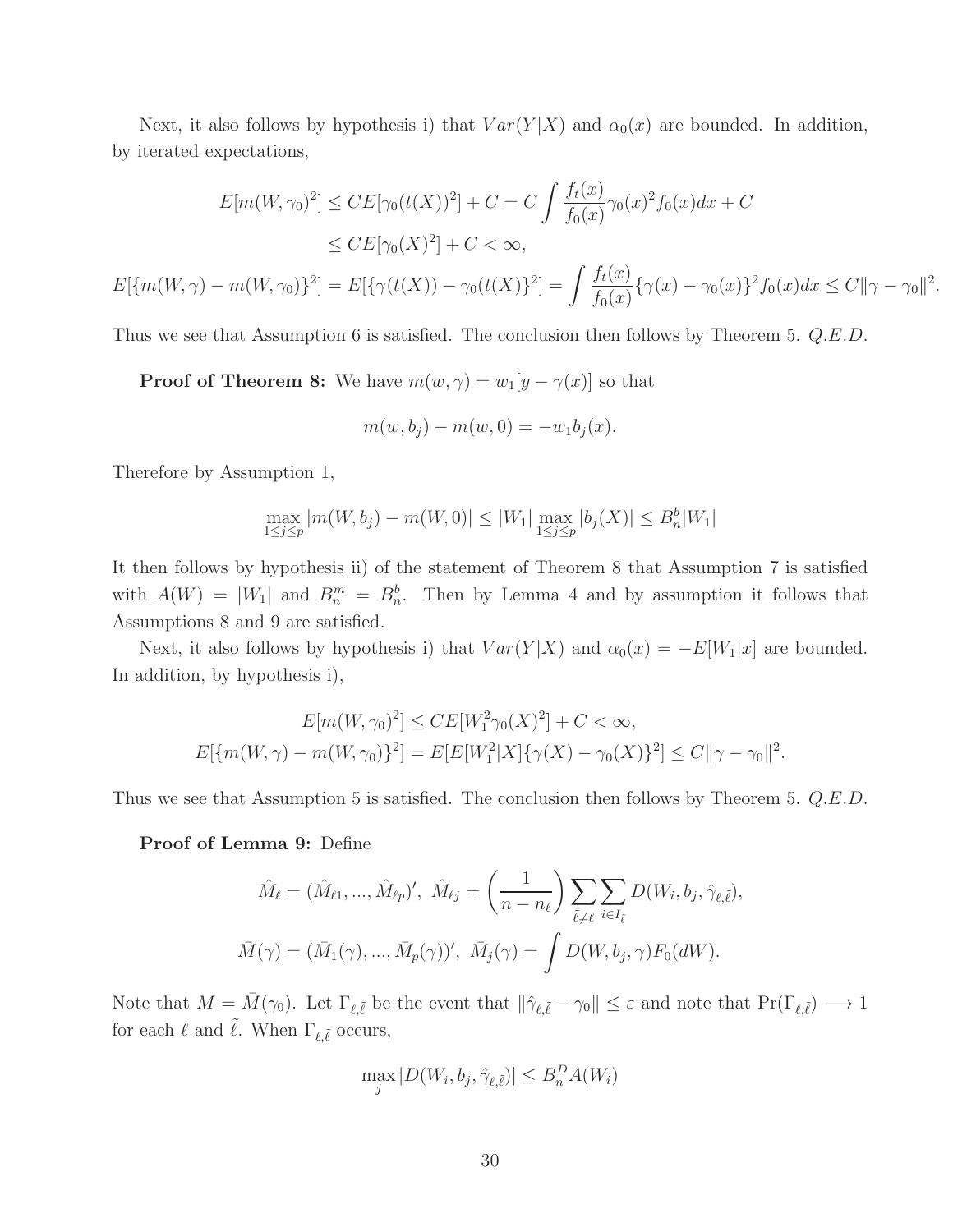Next, it also follows by hypothesis i) that  $Var(Y|X)$  and  $\alpha_0(x)$  are bounded. In addition, by iterated expectations,

$$
E[m(W, \gamma_0)^2] \leq CE[\gamma_0(t(X))^2] + C = C \int \frac{f_t(x)}{f_0(x)} \gamma_0(x)^2 f_0(x) dx + C
$$
  
\n
$$
\leq CE[\gamma_0(X)^2] + C < \infty,
$$
  
\n
$$
E[\{m(W, \gamma) - m(W, \gamma_0)\}^2] = E[\{\gamma(t(X)) - \gamma_0(t(X)\}^2] = \int \frac{f_t(x)}{f_0(x)} \{\gamma(x) - \gamma_0(x)\}^2 f_0(x) dx \leq C ||\gamma - \gamma_0||^2.
$$

Thus we see that Assumption 6 is satisfied. The conclusion then follows by Theorem 5. Q.E.D.

**Proof of Theorem 8:** We have  $m(w, \gamma) = w_1[y - \gamma(x)]$  so that

$$
m(w, b_j) - m(w, 0) = -w_1 b_j(x).
$$

Therefore by Assumption 1,

$$
\max_{1 \le j \le p} |m(W, b_j) - m(W, 0)| \le |W_1| \max_{1 \le j \le p} |b_j(X)| \le B_n^b |W_1|
$$

It then follows by hypothesis ii) of the statement of Theorem 8 that Assumption 7 is satisfied with  $A(W) = |W_1|$  and  $B_n^m = B_n^b$ . Then by Lemma 4 and by assumption it follows that Assumptions 8 and 9 are satisfied.

Next, it also follows by hypothesis i) that  $Var(Y|X)$  and  $\alpha_0(x) = -E[W_1|x]$  are bounded. In addition, by hypothesis i),

$$
E[m(W, \gamma_0)^2] \leq CE[W_1^2 \gamma_0(X)^2] + C < \infty,
$$
  

$$
E[\{m(W, \gamma) - m(W, \gamma_0)\}^2] = E[E[W_1^2 | X] \{\gamma(X) - \gamma_0(X)\}^2] \leq C ||\gamma - \gamma_0||^2.
$$

Thus we see that Assumption 5 is satisfied. The conclusion then follows by Theorem 5. Q.E.D.

Proof of Lemma 9: Define

$$
\hat{M}_{\ell} = (\hat{M}_{\ell 1}, ..., \hat{M}_{\ell p})', \quad \hat{M}_{\ell j} = \left(\frac{1}{n - n_{\ell}}\right) \sum_{\tilde{\ell} \neq \ell} \sum_{i \in I_{\tilde{\ell}}} D(W_i, b_j, \hat{\gamma}_{\ell, \tilde{\ell}}),
$$

$$
\bar{M}(\gamma) = (\bar{M}_1(\gamma), ..., \bar{M}_p(\gamma))', \quad \bar{M}_j(\gamma) = \int D(W, b_j, \gamma) F_0(dW).
$$

Note that  $M = \overline{M}(\gamma_0)$ . Let  $\Gamma_{\ell, \tilde{\ell}}$  be the event that  $\|\hat{\gamma}_{\ell, \tilde{\ell}} - \gamma_0\| \leq \varepsilon$  and note that  $\Pr(\Gamma_{\ell, \tilde{\ell}}) \longrightarrow 1$ for each  $\ell$  and  $\tilde{\ell}$ . When  $\Gamma_{\ell, \tilde{\ell}}$  occurs,

$$
\max_{j} |D(W_i, b_j, \hat{\gamma}_{\ell, \tilde{\ell}})| \le B_n^D A(W_i)
$$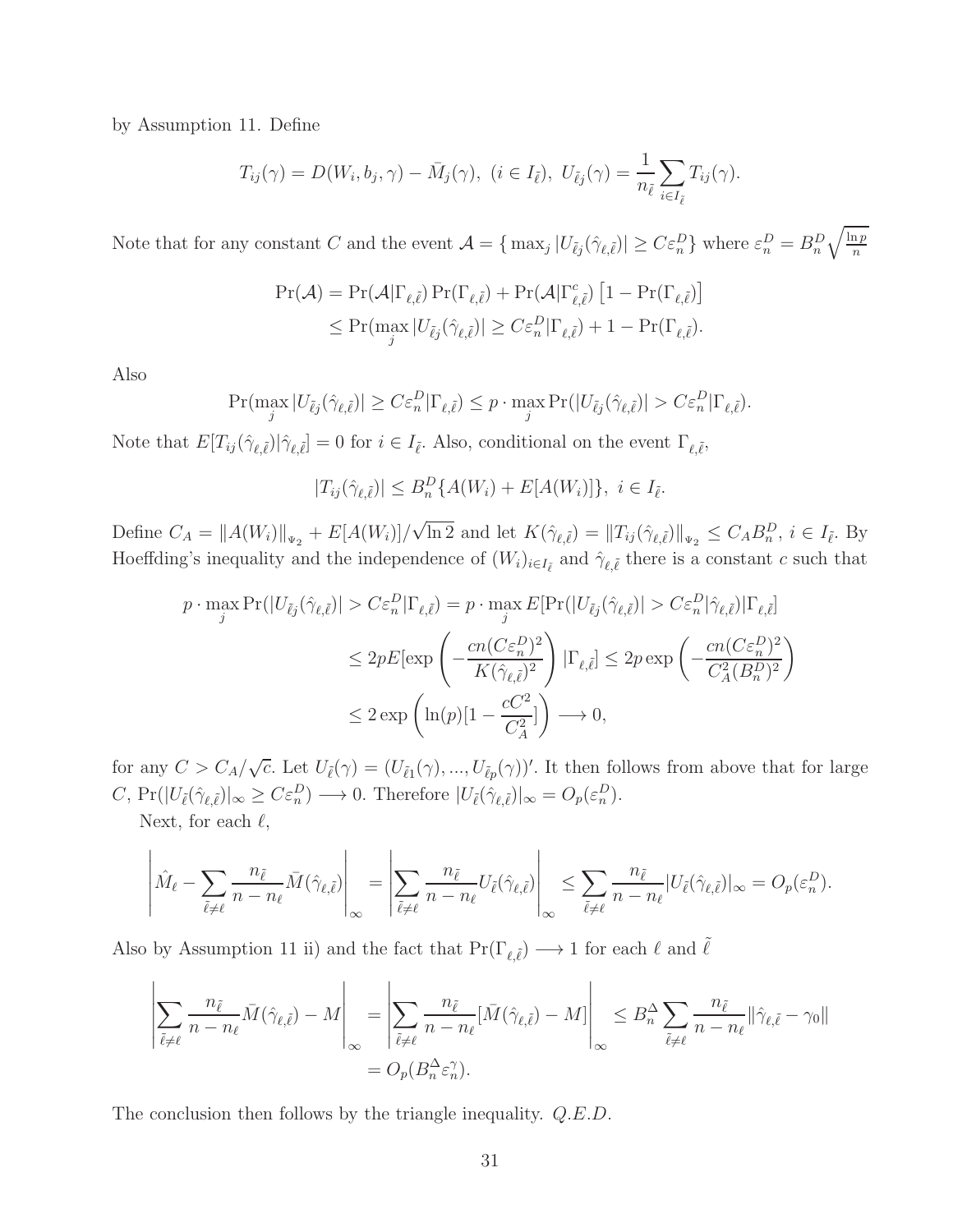by Assumption 11. Define

$$
T_{ij}(\gamma) = D(W_i, b_j, \gamma) - \bar{M}_j(\gamma), \ (i \in I_{\tilde{\ell}}), \ U_{\tilde{\ell}j}(\gamma) = \frac{1}{n_{\tilde{\ell}}} \sum_{i \in I_{\tilde{\ell}}} T_{ij}(\gamma).
$$

Note that for any constant C and the event  $\mathcal{A} = \{ \max_j |U_{\tilde{\ell}j}(\hat{\gamma}_{\ell,\tilde{\ell}})| \geq C \varepsilon_n^D \}$  where  $\varepsilon_n^D = B_n^D \sqrt{\frac{\ln p}{n}}$ n

$$
\Pr(\mathcal{A}) = \Pr(\mathcal{A} | \Gamma_{\ell, \tilde{\ell}}) \Pr(\Gamma_{\ell, \tilde{\ell}}) + \Pr(\mathcal{A} | \Gamma_{\ell, \tilde{\ell}}^c) [1 - \Pr(\Gamma_{\ell, \tilde{\ell}})]
$$
  
\$\leq\$ 
$$
\Pr(\max_j |U_{\tilde{\ell}j}(\hat{\gamma}_{\ell, \tilde{\ell}})| \geq C \varepsilon_n^D |\Gamma_{\ell, \tilde{\ell}}) + 1 - \Pr(\Gamma_{\ell, \tilde{\ell}}). \]
$$

Also

$$
\Pr(\max_j |U_{\tilde{\ell}j}(\hat{\gamma}_{\ell,\tilde{\ell}})| \ge C\varepsilon_n^D|\Gamma_{\ell,\tilde{\ell}}) \le p \cdot \max_j \Pr(|U_{\tilde{\ell}j}(\hat{\gamma}_{\ell,\tilde{\ell}})| > C\varepsilon_n^D|\Gamma_{\ell,\tilde{\ell}}).
$$

Note that  $E[T_{ij}(\hat{\gamma}_{\ell,\tilde{\ell}})|\hat{\gamma}_{\ell,\tilde{\ell}}]=0$  for  $i \in I_{\tilde{\ell}}$ . Also, conditional on the event  $\Gamma_{\ell,\tilde{\ell}}$ ,

$$
|T_{ij}(\hat{\gamma}_{\ell,\tilde{\ell}})| \leq B_n^D\{A(W_i) + E[A(W_i)]\}, \ i \in I_{\tilde{\ell}}.
$$

Define  $C_A = ||A(W_i)||_{\Psi_2} + E[A(W_i)]/\sqrt{\ln 2}$  and let  $K(\hat{\gamma}_{\ell,\tilde{\ell}}) = ||T_{ij}(\hat{\gamma}_{\ell,\tilde{\ell}})||_{\Psi_2} \leq C_A B_n^D$ ,  $i \in I_{\tilde{\ell}}$ . By Hoeffding's inequality and the independence of  $(W_i)_{i \in I_{\tilde{\ell}}}$  and  $\hat{\gamma}_{\ell, \tilde{\ell}}$  there is a constant c such that

$$
p \cdot \max_{j} \Pr(|U_{\tilde{\ell}j}(\hat{\gamma}_{\ell,\tilde{\ell}})| > C \varepsilon_n^D |\Gamma_{\ell,\tilde{\ell}}) = p \cdot \max_{j} E[\Pr(|U_{\tilde{\ell}j}(\hat{\gamma}_{\ell,\tilde{\ell}})| > C \varepsilon_n^D |\hat{\gamma}_{\ell,\tilde{\ell}}| |\Gamma_{\ell,\tilde{\ell}}]
$$
  

$$
\leq 2p E[\exp\left(-\frac{cn(C\varepsilon_n^D)^2}{K(\hat{\gamma}_{\ell,\tilde{\ell}})^2}\right) |\Gamma_{\ell,\tilde{\ell}}| \leq 2p \exp\left(-\frac{cn(C\varepsilon_n^D)^2}{C_A^2(B_n^D)^2}\right)
$$
  

$$
\leq 2 \exp\left(\ln(p)[1 - \frac{cC^2}{C_A^2}]\right) \longrightarrow 0,
$$

for any  $C > C_A/\sqrt{c}$ . Let  $U_{\tilde{\ell}}(\gamma) = (U_{\tilde{\ell}_1}(\gamma),...,U_{\tilde{\ell}_p}(\gamma))'$ . It then follows from above that for large C,  $Pr(|U_{\tilde{\ell}}(\hat{\gamma}_{\ell,\tilde{\ell}})|_{\infty} \geq C\varepsilon_n^D) \longrightarrow 0$ . Therefore  $|U_{\tilde{\ell}}(\hat{\gamma}_{\ell,\tilde{\ell}})|_{\infty} = O_p(\varepsilon_n^D)$ .

Next, for each  $\ell$ ,

$$
\left| \hat{M}_{\ell} - \sum_{\tilde{\ell} \neq \ell} \frac{n_{\tilde{\ell}}}{n - n_{\ell}} \bar{M}(\hat{\gamma}_{\ell, \tilde{\ell}}) \right|_{\infty} = \left| \sum_{\tilde{\ell} \neq \ell} \frac{n_{\tilde{\ell}}}{n - n_{\ell}} U_{\tilde{\ell}}(\hat{\gamma}_{\ell, \tilde{\ell}}) \right|_{\infty} \leq \sum_{\tilde{\ell} \neq \ell} \frac{n_{\tilde{\ell}}}{n - n_{\ell}} |U_{\tilde{\ell}}(\hat{\gamma}_{\ell, \tilde{\ell}})|_{\infty} = O_p(\varepsilon_n^D).
$$

Also by Assumption 11 ii) and the fact that  $Pr(\Gamma_{\ell,\tilde{\ell}}) \longrightarrow 1$  for each  $\ell$  and  $\tilde{\ell}$ 

$$
\left| \sum_{\tilde{\ell} \neq \ell} \frac{n_{\tilde{\ell}}}{n - n_{\ell}} \bar{M}(\hat{\gamma}_{\ell, \tilde{\ell}}) - M \right|_{\infty} = \left| \sum_{\tilde{\ell} \neq \ell} \frac{n_{\tilde{\ell}}}{n - n_{\ell}} [\bar{M}(\hat{\gamma}_{\ell, \tilde{\ell}}) - M] \right|_{\infty} \leq B_n^{\Delta} \sum_{\tilde{\ell} \neq \ell} \frac{n_{\tilde{\ell}}}{n - n_{\ell}} ||\hat{\gamma}_{\ell, \tilde{\ell}} - \gamma_0||
$$

$$
= O_p(B_n^{\Delta} \varepsilon_n^{\gamma}).
$$

The conclusion then follows by the triangle inequality.  $Q.E.D.$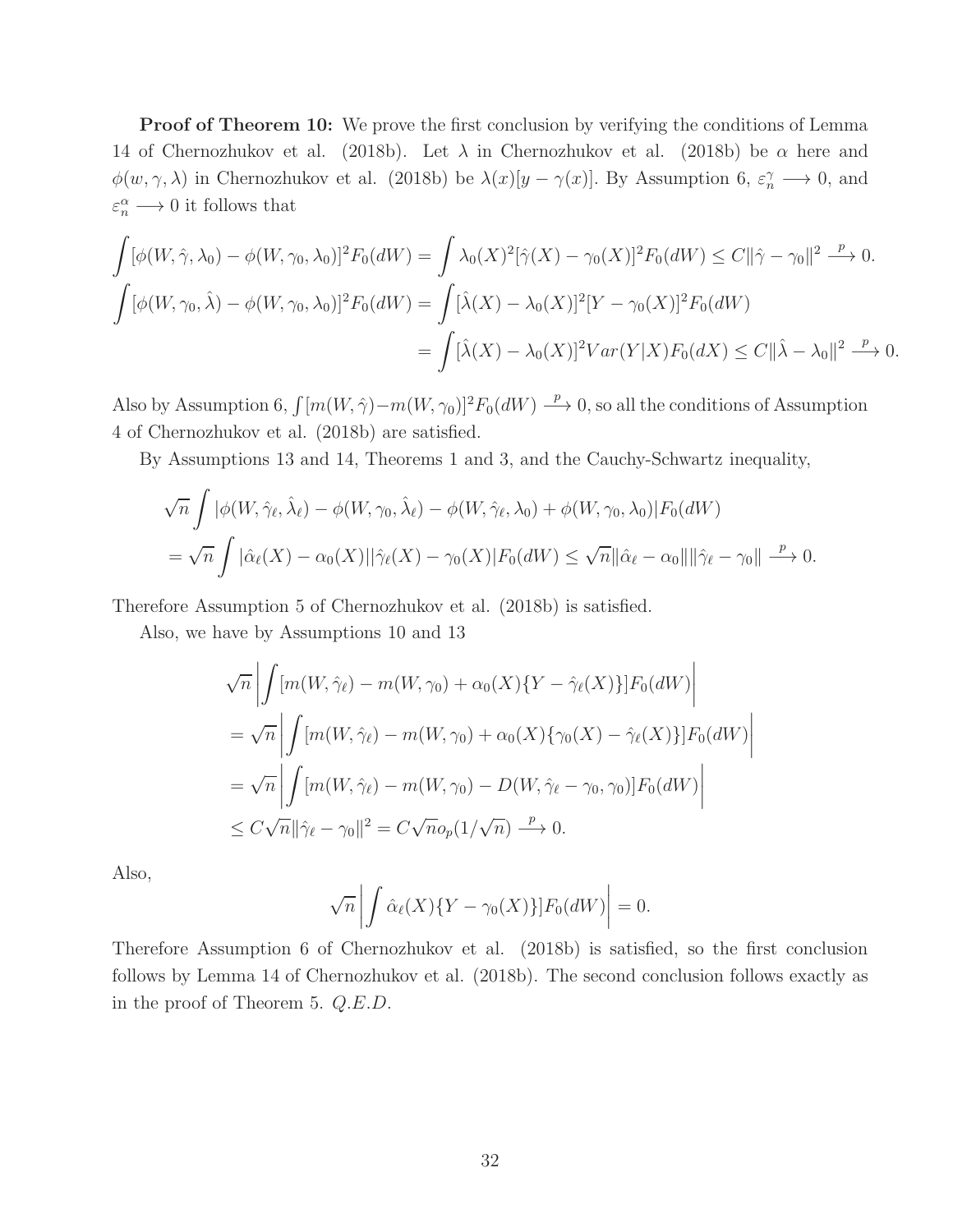Proof of Theorem 10: We prove the first conclusion by verifying the conditions of Lemma 14 of Chernozhukov et al. (2018b). Let  $\lambda$  in Chernozhukov et al. (2018b) be  $\alpha$  here and  $\phi(w,\gamma,\lambda)$  in Chernozhukov et al. (2018b) be  $\lambda(x)[y-\gamma(x)]$ . By Assumption 6,  $\varepsilon_n^{\gamma} \longrightarrow 0$ , and  $\varepsilon_n^{\alpha} \longrightarrow 0$  it follows that

$$
\int [\phi(W, \hat{\gamma}, \lambda_0) - \phi(W, \gamma_0, \lambda_0)]^2 F_0(dW) = \int \lambda_0(X)^2 [\hat{\gamma}(X) - \gamma_0(X)]^2 F_0(dW) \le C ||\hat{\gamma} - \gamma_0||^2 \xrightarrow{p} 0.
$$
  

$$
\int [\phi(W, \gamma_0, \hat{\lambda}) - \phi(W, \gamma_0, \lambda_0)]^2 F_0(dW) = \int [\hat{\lambda}(X) - \lambda_0(X)]^2 [Y - \gamma_0(X)]^2 F_0(dW)
$$
  

$$
= \int [\hat{\lambda}(X) - \lambda_0(X)]^2 Var(Y|X) F_0(dX) \le C ||\hat{\lambda} - \lambda_0||^2 \xrightarrow{p} 0.
$$

Also by Assumption 6,  $\int [m(W, \hat{\gamma}) - m(W, \gamma_0)]^2 F_0(dW) \stackrel{p}{\longrightarrow} 0$ , so all the conditions of Assumption 4 of Chernozhukov et al. (2018b) are satisfied.

By Assumptions 13 and 14, Theorems 1 and 3, and the Cauchy-Schwartz inequality,

$$
\sqrt{n} \int |\phi(W, \hat{\gamma}_{\ell}, \hat{\lambda}_{\ell}) - \phi(W, \gamma_{0}, \hat{\lambda}_{\ell}) - \phi(W, \hat{\gamma}_{\ell}, \lambda_{0}) + \phi(W, \gamma_{0}, \lambda_{0})|F_{0}(dW)
$$
  
= 
$$
\sqrt{n} \int |\hat{\alpha}_{\ell}(X) - \alpha_{0}(X)||\hat{\gamma}_{\ell}(X) - \gamma_{0}(X)|F_{0}(dW) \le \sqrt{n} ||\hat{\alpha}_{\ell} - \alpha_{0}|| ||\hat{\gamma}_{\ell} - \gamma_{0}|| \xrightarrow{p} 0.
$$

Therefore Assumption 5 of Chernozhukov et al. (2018b) is satisfied.

Also, we have by Assumptions 10 and 13

$$
\sqrt{n} \left| \int \left[ m(W, \hat{\gamma}_{\ell}) - m(W, \gamma_{0}) + \alpha_{0}(X) \{ Y - \hat{\gamma}_{\ell}(X) \} \right] F_{0}(dW) \right|
$$
  
=  $\sqrt{n} \left| \int \left[ m(W, \hat{\gamma}_{\ell}) - m(W, \gamma_{0}) + \alpha_{0}(X) \{ \gamma_{0}(X) - \hat{\gamma}_{\ell}(X) \} \right] F_{0}(dW) \right|$   
=  $\sqrt{n} \left| \int \left[ m(W, \hat{\gamma}_{\ell}) - m(W, \gamma_{0}) - D(W, \hat{\gamma}_{\ell} - \gamma_{0}, \gamma_{0}) \right] F_{0}(dW) \right|$   
 $\leq C \sqrt{n} ||\hat{\gamma}_{\ell} - \gamma_{0}||^{2} = C \sqrt{n} o_{p}(1/\sqrt{n}) \stackrel{p}{\longrightarrow} 0.$ 

Also,

$$
\sqrt{n}\left|\int \hat{\alpha}_{\ell}(X)\{Y-\gamma_0(X)\}\right| F_0(dW)\right|=0.
$$

Therefore Assumption 6 of Chernozhukov et al. (2018b) is satisfied, so the first conclusion follows by Lemma 14 of Chernozhukov et al. (2018b). The second conclusion follows exactly as in the proof of Theorem 5. Q.E.D.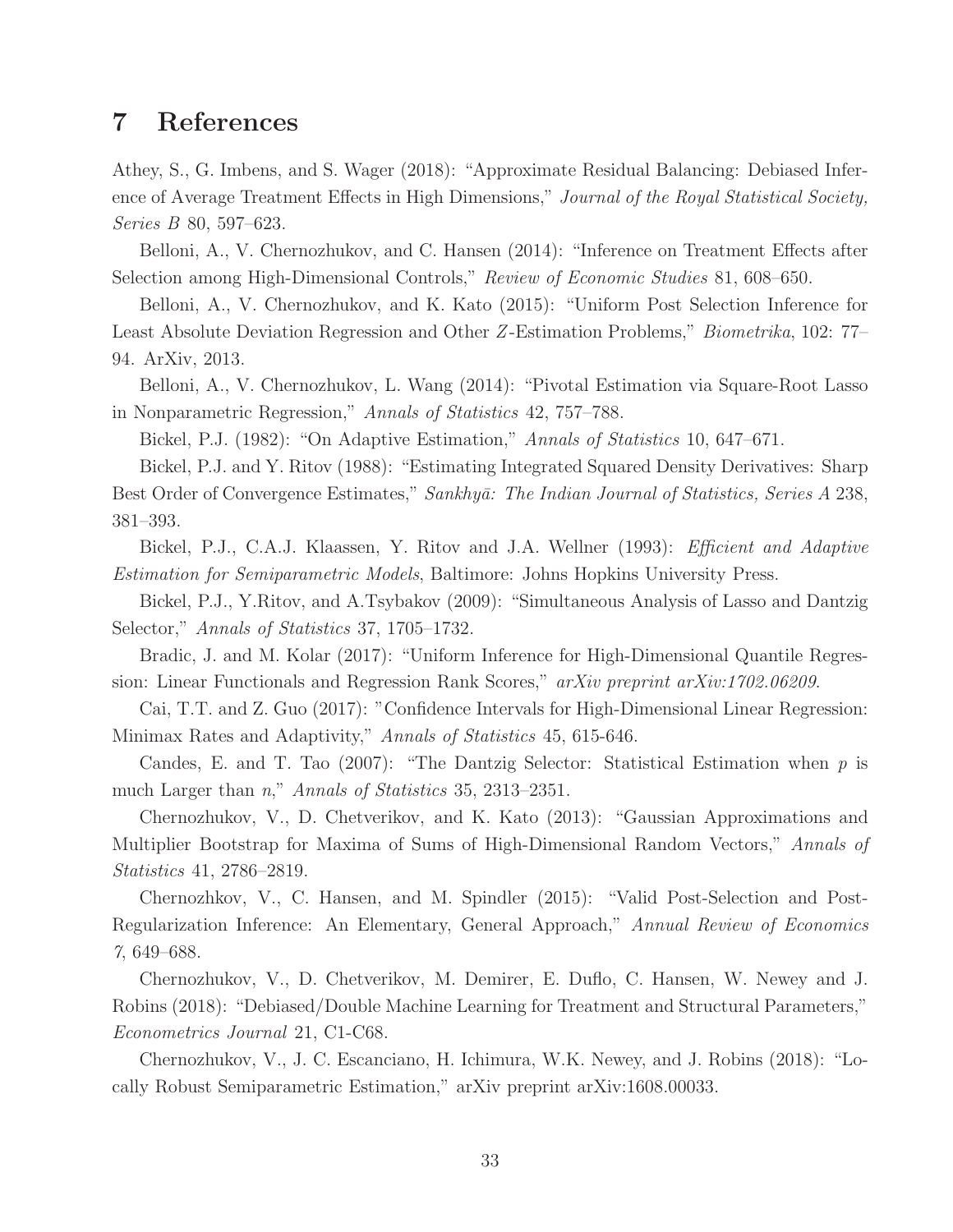## 7 References

Athey, S., G. Imbens, and S. Wager (2018): "Approximate Residual Balancing: Debiased Inference of Average Treatment Effects in High Dimensions," Journal of the Royal Statistical Society, Series B 80, 597–623.

Belloni, A., V. Chernozhukov, and C. Hansen (2014): "Inference on Treatment Effects after Selection among High-Dimensional Controls," Review of Economic Studies 81, 608–650.

Belloni, A., V. Chernozhukov, and K. Kato (2015): "Uniform Post Selection Inference for Least Absolute Deviation Regression and Other Z -Estimation Problems," Biometrika, 102: 77– 94. ArXiv, 2013.

Belloni, A., V. Chernozhukov, L. Wang (2014): "Pivotal Estimation via Square-Root Lasso in Nonparametric Regression," Annals of Statistics 42, 757–788.

Bickel, P.J. (1982): "On Adaptive Estimation," Annals of Statistics 10, 647–671.

Bickel, P.J. and Y. Ritov (1988): "Estimating Integrated Squared Density Derivatives: Sharp Best Order of Convergence Estimates," Sankhyā: The Indian Journal of Statistics, Series A 238, 381–393.

Bickel, P.J., C.A.J. Klaassen, Y. Ritov and J.A. Wellner (1993): Efficient and Adaptive Estimation for Semiparametric Models, Baltimore: Johns Hopkins University Press.

Bickel, P.J., Y.Ritov, and A.Tsybakov (2009): "Simultaneous Analysis of Lasso and Dantzig Selector," Annals of Statistics 37, 1705–1732.

Bradic, J. and M. Kolar (2017): "Uniform Inference for High-Dimensional Quantile Regression: Linear Functionals and Regression Rank Scores," arXiv preprint arXiv:1702.06209.

Cai, T.T. and Z. Guo (2017): "Confidence Intervals for High-Dimensional Linear Regression: Minimax Rates and Adaptivity," Annals of Statistics 45, 615-646.

Candes, E. and T. Tao (2007): "The Dantzig Selector: Statistical Estimation when  $p$  is much Larger than n," Annals of Statistics 35, 2313–2351.

Chernozhukov, V., D. Chetverikov, and K. Kato (2013): "Gaussian Approximations and Multiplier Bootstrap for Maxima of Sums of High-Dimensional Random Vectors," Annals of Statistics 41, 2786–2819.

Chernozhkov, V., C. Hansen, and M. Spindler (2015): "Valid Post-Selection and Post-Regularization Inference: An Elementary, General Approach," Annual Review of Economics 7, 649–688.

Chernozhukov, V., D. Chetverikov, M. Demirer, E. Duflo, C. Hansen, W. Newey and J. Robins (2018): "Debiased/Double Machine Learning for Treatment and Structural Parameters," Econometrics Journal 21, C1-C68.

Chernozhukov, V., J. C. Escanciano, H. Ichimura, W.K. Newey, and J. Robins (2018): "Locally Robust Semiparametric Estimation," arXiv preprint arXiv:1608.00033.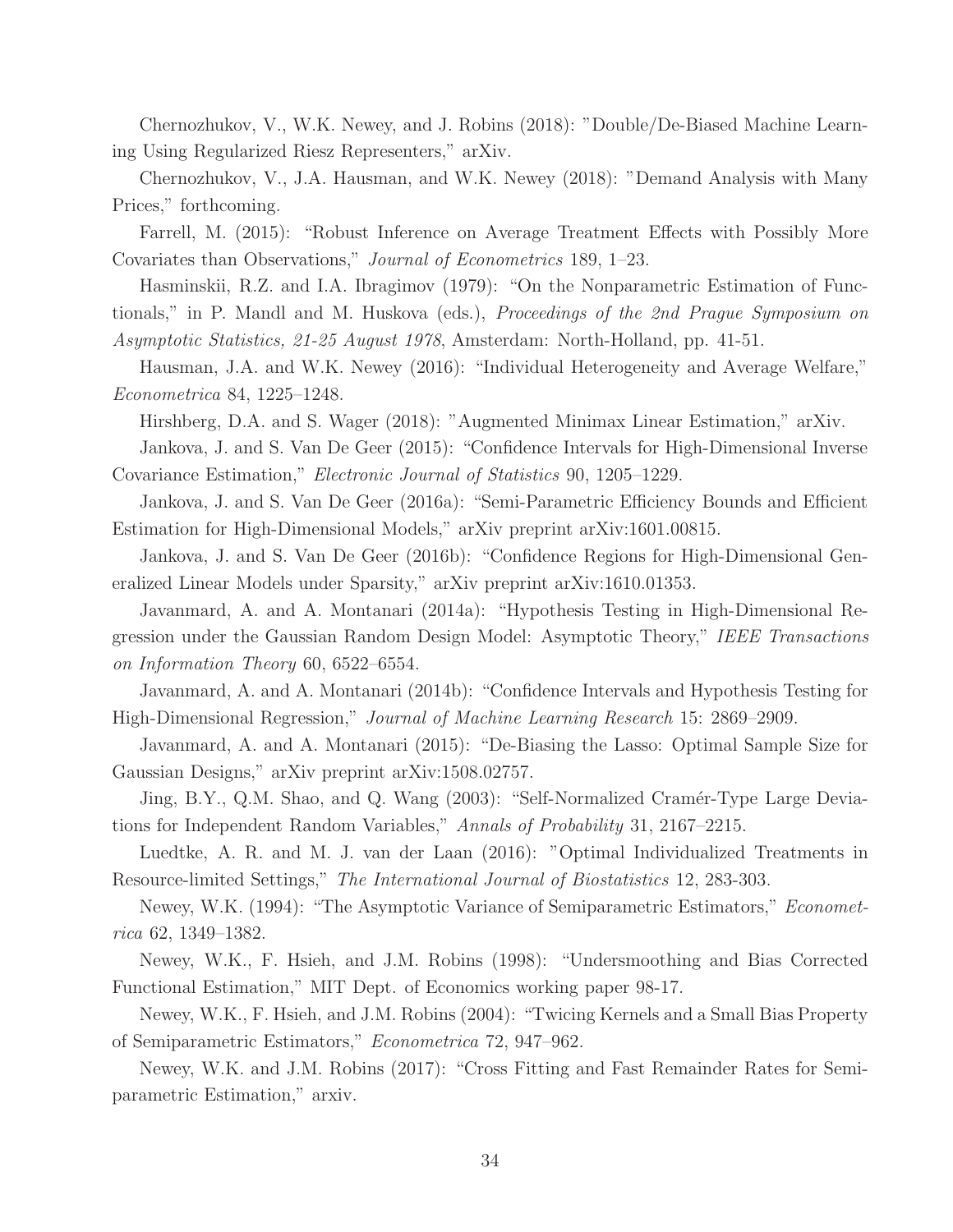Chernozhukov, V., W.K. Newey, and J. Robins (2018): "Double/De-Biased Machine Learning Using Regularized Riesz Representers," arXiv.

Chernozhukov, V., J.A. Hausman, and W.K. Newey (2018): "Demand Analysis with Many Prices," forthcoming.

Farrell, M. (2015): "Robust Inference on Average Treatment Effects with Possibly More Covariates than Observations," Journal of Econometrics 189, 1–23.

Hasminskii, R.Z. and I.A. Ibragimov (1979): "On the Nonparametric Estimation of Functionals," in P. Mandl and M. Huskova (eds.), Proceedings of the 2nd Prague Symposium on

Asymptotic Statistics, 21-25 August 1978, Amsterdam: North-Holland, pp. 41-51.

Hausman, J.A. and W.K. Newey (2016): "Individual Heterogeneity and Average Welfare," Econometrica 84, 1225–1248.

Hirshberg, D.A. and S. Wager (2018): "Augmented Minimax Linear Estimation," arXiv.

Jankova, J. and S. Van De Geer (2015): "Confidence Intervals for High-Dimensional Inverse Covariance Estimation," Electronic Journal of Statistics 90, 1205–1229.

Jankova, J. and S. Van De Geer (2016a): "Semi-Parametric Efficiency Bounds and Efficient Estimation for High-Dimensional Models," arXiv preprint arXiv:1601.00815.

Jankova, J. and S. Van De Geer (2016b): "Confidence Regions for High-Dimensional Generalized Linear Models under Sparsity," arXiv preprint arXiv:1610.01353.

Javanmard, A. and A. Montanari (2014a): "Hypothesis Testing in High-Dimensional Regression under the Gaussian Random Design Model: Asymptotic Theory," IEEE Transactions on Information Theory 60, 6522–6554.

Javanmard, A. and A. Montanari (2014b): "Confidence Intervals and Hypothesis Testing for High-Dimensional Regression," Journal of Machine Learning Research 15: 2869–2909.

Javanmard, A. and A. Montanari (2015): "De-Biasing the Lasso: Optimal Sample Size for Gaussian Designs," arXiv preprint arXiv:1508.02757.

Jing, B.Y., Q.M. Shao, and Q. Wang (2003): "Self-Normalized Cramér-Type Large Deviations for Independent Random Variables," Annals of Probability 31, 2167–2215.

Luedtke, A. R. and M. J. van der Laan (2016): "Optimal Individualized Treatments in Resource-limited Settings," The International Journal of Biostatistics 12, 283-303.

Newey, W.K. (1994): "The Asymptotic Variance of Semiparametric Estimators," Econometrica 62, 1349–1382.

Newey, W.K., F. Hsieh, and J.M. Robins (1998): "Undersmoothing and Bias Corrected Functional Estimation," MIT Dept. of Economics working paper 98-17.

Newey, W.K., F. Hsieh, and J.M. Robins (2004): "Twicing Kernels and a Small Bias Property of Semiparametric Estimators," Econometrica 72, 947–962.

Newey, W.K. and J.M. Robins (2017): "Cross Fitting and Fast Remainder Rates for Semiparametric Estimation," arxiv.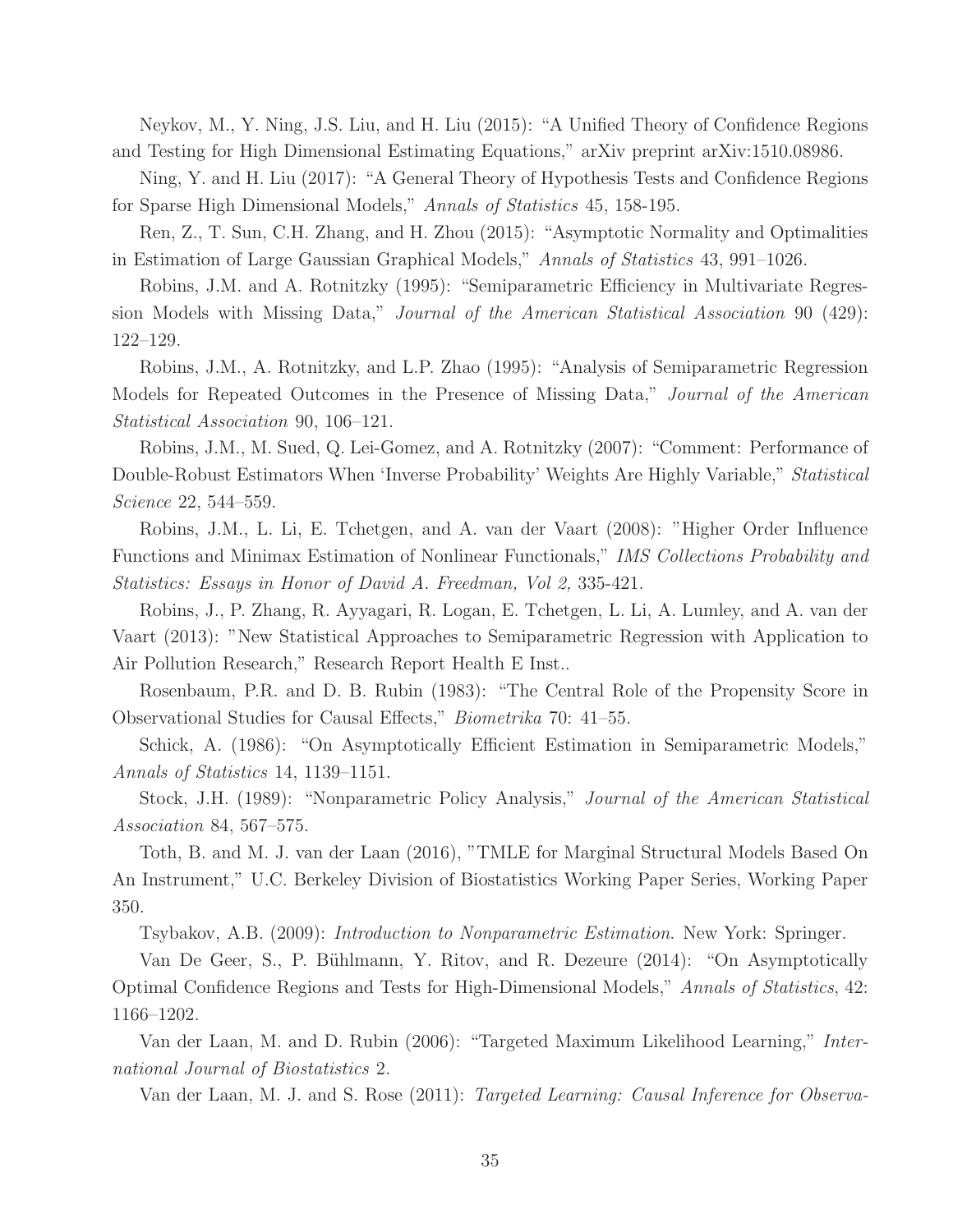Neykov, M., Y. Ning, J.S. Liu, and H. Liu (2015): "A Unified Theory of Confidence Regions and Testing for High Dimensional Estimating Equations," arXiv preprint arXiv:1510.08986.

Ning, Y. and H. Liu (2017): "A General Theory of Hypothesis Tests and Confidence Regions for Sparse High Dimensional Models," Annals of Statistics 45, 158-195.

Ren, Z., T. Sun, C.H. Zhang, and H. Zhou (2015): "Asymptotic Normality and Optimalities in Estimation of Large Gaussian Graphical Models," Annals of Statistics 43, 991–1026.

Robins, J.M. and A. Rotnitzky (1995): "Semiparametric Efficiency in Multivariate Regression Models with Missing Data," Journal of the American Statistical Association 90 (429): 122–129.

Robins, J.M., A. Rotnitzky, and L.P. Zhao (1995): "Analysis of Semiparametric Regression Models for Repeated Outcomes in the Presence of Missing Data," Journal of the American Statistical Association 90, 106–121.

Robins, J.M., M. Sued, Q. Lei-Gomez, and A. Rotnitzky (2007): "Comment: Performance of Double-Robust Estimators When 'Inverse Probability' Weights Are Highly Variable," Statistical Science 22, 544–559.

Robins, J.M., L. Li, E. Tchetgen, and A. van der Vaart (2008): "Higher Order Influence Functions and Minimax Estimation of Nonlinear Functionals," IMS Collections Probability and Statistics: Essays in Honor of David A. Freedman, Vol 2, 335-421.

Robins, J., P. Zhang, R. Ayyagari, R. Logan, E. Tchetgen, L. Li, A. Lumley, and A. van der Vaart (2013): "New Statistical Approaches to Semiparametric Regression with Application to Air Pollution Research," Research Report Health E Inst..

Rosenbaum, P.R. and D. B. Rubin (1983): "The Central Role of the Propensity Score in Observational Studies for Causal Effects," Biometrika 70: 41–55.

Schick, A. (1986): "On Asymptotically Efficient Estimation in Semiparametric Models," Annals of Statistics 14, 1139–1151.

Stock, J.H. (1989): "Nonparametric Policy Analysis," Journal of the American Statistical Association 84, 567–575.

Toth, B. and M. J. van der Laan (2016), "TMLE for Marginal Structural Models Based On An Instrument," U.C. Berkeley Division of Biostatistics Working Paper Series, Working Paper 350.

Tsybakov, A.B. (2009): Introduction to Nonparametric Estimation. New York: Springer.

Van De Geer, S., P. Bühlmann, Y. Ritov, and R. Dezeure (2014): "On Asymptotically Optimal Confidence Regions and Tests for High-Dimensional Models," Annals of Statistics, 42: 1166–1202.

Van der Laan, M. and D. Rubin (2006): "Targeted Maximum Likelihood Learning," International Journal of Biostatistics 2.

Van der Laan, M. J. and S. Rose (2011): Targeted Learning: Causal Inference for Observa-